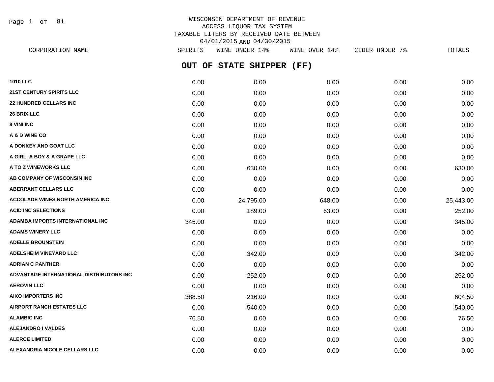Page 1 of 81

| CORPORATION NAME                         | SPIRITS | WINE UNDER 14%            | WINE OVER 14% | CIDER UNDER 7% | <b>TOTALS</b> |
|------------------------------------------|---------|---------------------------|---------------|----------------|---------------|
|                                          |         | OUT OF STATE SHIPPER (FF) |               |                |               |
| <b>1010 LLC</b>                          | 0.00    | 0.00                      | 0.00          | 0.00           | 0.00          |
| 21ST CENTURY SPIRITS LLC                 | 0.00    | 0.00                      | 0.00          | 0.00           | 0.00          |
| <b>22 HUNDRED CELLARS INC</b>            | 0.00    | 0.00                      | 0.00          | 0.00           | 0.00          |
| <b>26 BRIX LLC</b>                       | 0.00    | 0.00                      | 0.00          | 0.00           | 0.00          |
| 8 VINI INC                               | 0.00    | 0.00                      | 0.00          | 0.00           | 0.00          |
| A & D WINE CO                            | 0.00    | 0.00                      | 0.00          | 0.00           | 0.00          |
| A DONKEY AND GOAT LLC                    | 0.00    | 0.00                      | 0.00          | 0.00           | 0.00          |
| A GIRL, A BOY & A GRAPE LLC              | 0.00    | 0.00                      | 0.00          | 0.00           | 0.00          |
| A TO Z WINEWORKS LLC                     | 0.00    | 630.00                    | 0.00          | 0.00           | 630.00        |
| AB COMPANY OF WISCONSIN INC              | 0.00    | 0.00                      | 0.00          | 0.00           | 0.00          |
| <b>ABERRANT CELLARS LLC</b>              | 0.00    | 0.00                      | 0.00          | 0.00           | 0.00          |
| <b>ACCOLADE WINES NORTH AMERICA INC</b>  | 0.00    | 24,795.00                 | 648.00        | 0.00           | 25,443.00     |
| <b>ACID INC SELECTIONS</b>               | 0.00    | 189.00                    | 63.00         | 0.00           | 252.00        |
| ADAMBA IMPORTS INTERNATIONAL INC         | 345.00  | 0.00                      | 0.00          | 0.00           | 345.00        |
| <b>ADAMS WINERY LLC</b>                  | 0.00    | 0.00                      | 0.00          | 0.00           | 0.00          |
| <b>ADELLE BROUNSTEIN</b>                 | 0.00    | 0.00                      | 0.00          | 0.00           | 0.00          |
| <b>ADELSHEIM VINEYARD LLC</b>            | 0.00    | 342.00                    | 0.00          | 0.00           | 342.00        |
| <b>ADRIAN C PANTHER</b>                  | 0.00    | 0.00                      | 0.00          | 0.00           | 0.00          |
| ADVANTAGE INTERNATIONAL DISTRIBUTORS INC | 0.00    | 252.00                    | 0.00          | 0.00           | 252.00        |
| <b>AEROVIN LLC</b>                       | 0.00    | 0.00                      | 0.00          | 0.00           | 0.00          |
| <b>AIKO IMPORTERS INC</b>                | 388.50  | 216.00                    | 0.00          | 0.00           | 604.50        |
| <b>AIRPORT RANCH ESTATES LLC</b>         | 0.00    | 540.00                    | 0.00          | 0.00           | 540.00        |
| <b>ALAMBIC INC</b>                       | 76.50   | 0.00                      | 0.00          | 0.00           | 76.50         |
| <b>ALEJANDRO I VALDES</b>                | 0.00    | 0.00                      | 0.00          | 0.00           | 0.00          |
| <b>ALERCE LIMITED</b>                    | 0.00    | 0.00                      | 0.00          | 0.00           | 0.00          |
| ALEXANDRIA NICOLE CELLARS LLC            | 0.00    | 0.00                      | 0.00          | 0.00           | 0.00          |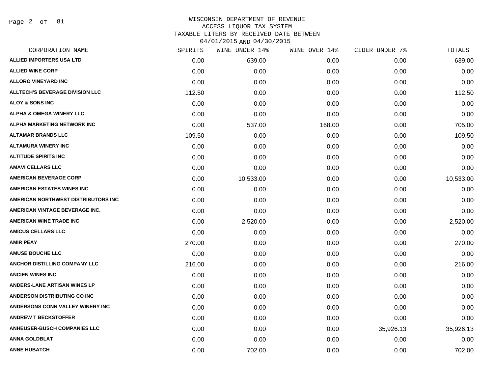Page 2 of 81

| CORPORATION NAME                       | SPIRITS | WINE UNDER 14% | WINE OVER 14% | CIDER UNDER 7% | TOTALS    |
|----------------------------------------|---------|----------------|---------------|----------------|-----------|
| <b>ALLIED IMPORTERS USA LTD</b>        | 0.00    | 639.00         | 0.00          | 0.00           | 639.00    |
| <b>ALLIED WINE CORP</b>                | 0.00    | 0.00           | 0.00          | 0.00           | 0.00      |
| <b>ALLORO VINEYARD INC</b>             | 0.00    | 0.00           | 0.00          | 0.00           | 0.00      |
| <b>ALLTECH'S BEVERAGE DIVISION LLC</b> | 112.50  | 0.00           | 0.00          | 0.00           | 112.50    |
| <b>ALOY &amp; SONS INC</b>             | 0.00    | 0.00           | 0.00          | 0.00           | 0.00      |
| <b>ALPHA &amp; OMEGA WINERY LLC</b>    | 0.00    | 0.00           | 0.00          | 0.00           | 0.00      |
| ALPHA MARKETING NETWORK INC            | 0.00    | 537.00         | 168.00        | 0.00           | 705.00    |
| <b>ALTAMAR BRANDS LLC</b>              | 109.50  | 0.00           | 0.00          | 0.00           | 109.50    |
| <b>ALTAMURA WINERY INC</b>             | 0.00    | 0.00           | 0.00          | 0.00           | 0.00      |
| <b>ALTITUDE SPIRITS INC</b>            | 0.00    | 0.00           | 0.00          | 0.00           | 0.00      |
| <b>AMAVI CELLARS LLC</b>               | 0.00    | 0.00           | 0.00          | 0.00           | 0.00      |
| <b>AMERICAN BEVERAGE CORP</b>          | 0.00    | 10,533.00      | 0.00          | 0.00           | 10,533.00 |
| <b>AMERICAN ESTATES WINES INC</b>      | 0.00    | 0.00           | 0.00          | 0.00           | 0.00      |
| AMERICAN NORTHWEST DISTRIBUTORS INC    | 0.00    | 0.00           | 0.00          | 0.00           | 0.00      |
| AMERICAN VINTAGE BEVERAGE INC.         | 0.00    | 0.00           | 0.00          | 0.00           | 0.00      |
| <b>AMERICAN WINE TRADE INC</b>         | 0.00    | 2,520.00       | 0.00          | 0.00           | 2,520.00  |
| <b>AMICUS CELLARS LLC</b>              | 0.00    | 0.00           | 0.00          | 0.00           | 0.00      |
| <b>AMIR PEAY</b>                       | 270.00  | 0.00           | 0.00          | 0.00           | 270.00    |
| <b>AMUSE BOUCHE LLC</b>                | 0.00    | 0.00           | 0.00          | 0.00           | 0.00      |
| ANCHOR DISTILLING COMPANY LLC          | 216.00  | 0.00           | 0.00          | 0.00           | 216.00    |
| <b>ANCIEN WINES INC</b>                | 0.00    | 0.00           | 0.00          | 0.00           | 0.00      |
| <b>ANDERS-LANE ARTISAN WINES LP</b>    | 0.00    | 0.00           | 0.00          | 0.00           | 0.00      |
| ANDERSON DISTRIBUTING CO INC           | 0.00    | 0.00           | 0.00          | 0.00           | 0.00      |
| ANDERSONS CONN VALLEY WINERY INC       | 0.00    | 0.00           | 0.00          | 0.00           | 0.00      |
| <b>ANDREW T BECKSTOFFER</b>            | 0.00    | 0.00           | 0.00          | 0.00           | 0.00      |
| <b>ANHEUSER-BUSCH COMPANIES LLC</b>    | 0.00    | 0.00           | 0.00          | 35,926.13      | 35,926.13 |
| <b>ANNA GOLDBLAT</b>                   | 0.00    | 0.00           | 0.00          | 0.00           | 0.00      |
| <b>ANNE HUBATCH</b>                    | 0.00    | 702.00         | 0.00          | 0.00           | 702.00    |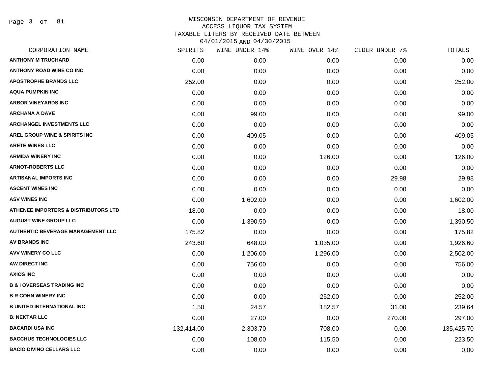Page 3 of 81

| CORPORATION NAME                         | SPIRITS    | WINE UNDER 14% | WINE OVER 14% | CIDER UNDER 7% | TOTALS     |
|------------------------------------------|------------|----------------|---------------|----------------|------------|
| <b>ANTHONY M TRUCHARD</b>                | 0.00       | 0.00           | 0.00          | 0.00           | 0.00       |
| <b>ANTHONY ROAD WINE CO INC</b>          | 0.00       | 0.00           | 0.00          | 0.00           | 0.00       |
| <b>APOSTROPHE BRANDS LLC</b>             | 252.00     | 0.00           | 0.00          | 0.00           | 252.00     |
| <b>AQUA PUMPKIN INC</b>                  | 0.00       | 0.00           | 0.00          | 0.00           | 0.00       |
| <b>ARBOR VINEYARDS INC</b>               | 0.00       | 0.00           | 0.00          | 0.00           | 0.00       |
| <b>ARCHANA A DAVE</b>                    | 0.00       | 99.00          | 0.00          | 0.00           | 99.00      |
| <b>ARCHANGEL INVESTMENTS LLC</b>         | 0.00       | 0.00           | 0.00          | 0.00           | 0.00       |
| AREL GROUP WINE & SPIRITS INC            | 0.00       | 409.05         | 0.00          | 0.00           | 409.05     |
| <b>ARETE WINES LLC</b>                   | 0.00       | 0.00           | 0.00          | 0.00           | 0.00       |
| <b>ARMIDA WINERY INC</b>                 | 0.00       | 0.00           | 126.00        | 0.00           | 126.00     |
| <b>ARNOT-ROBERTS LLC</b>                 | 0.00       | 0.00           | 0.00          | 0.00           | 0.00       |
| ARTISANAL IMPORTS INC                    | 0.00       | 0.00           | 0.00          | 29.98          | 29.98      |
| <b>ASCENT WINES INC</b>                  | 0.00       | 0.00           | 0.00          | 0.00           | 0.00       |
| <b>ASV WINES INC</b>                     | 0.00       | 1,602.00       | 0.00          | 0.00           | 1,602.00   |
| ATHENEE IMPORTERS & DISTRIBUTORS LTD     | 18.00      | 0.00           | 0.00          | 0.00           | 18.00      |
| <b>AUGUST WINE GROUP LLC</b>             | 0.00       | 1,390.50       | 0.00          | 0.00           | 1,390.50   |
| <b>AUTHENTIC BEVERAGE MANAGEMENT LLC</b> | 175.82     | 0.00           | 0.00          | 0.00           | 175.82     |
| <b>AV BRANDS INC</b>                     | 243.60     | 648.00         | 1,035.00      | 0.00           | 1,926.60   |
| AVV WINERY CO LLC                        | 0.00       | 1,206.00       | 1,296.00      | 0.00           | 2,502.00   |
| AW DIRECT INC                            | 0.00       | 756.00         | 0.00          | 0.00           | 756.00     |
| <b>AXIOS INC</b>                         | 0.00       | 0.00           | 0.00          | 0.00           | 0.00       |
| <b>B &amp; I OVERSEAS TRADING INC</b>    | 0.00       | 0.00           | 0.00          | 0.00           | 0.00       |
| <b>B R COHN WINERY INC</b>               | 0.00       | 0.00           | 252.00        | 0.00           | 252.00     |
| <b>B UNITED INTERNATIONAL INC</b>        | 1.50       | 24.57          | 182.57        | 31.00          | 239.64     |
| <b>B. NEKTAR LLC</b>                     | 0.00       | 27.00          | 0.00          | 270.00         | 297.00     |
| <b>BACARDI USA INC</b>                   | 132,414.00 | 2,303.70       | 708.00        | 0.00           | 135,425.70 |
| <b>BACCHUS TECHNOLOGIES LLC</b>          | 0.00       | 108.00         | 115.50        | 0.00           | 223.50     |
| <b>BACIO DIVINO CELLARS LLC</b>          | 0.00       | 0.00           | 0.00          | 0.00           | 0.00       |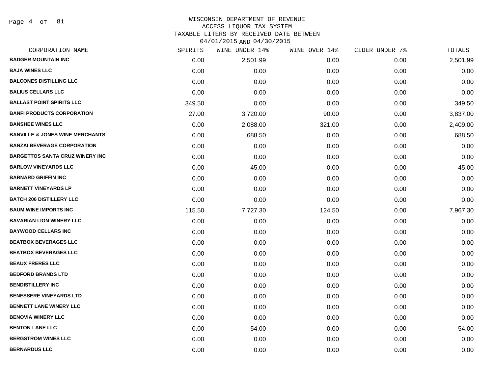Page 4 of 81

| CORPORATION NAME                           | SPIRITS | WINE UNDER 14% | WINE OVER 14% | CIDER UNDER 7% | TOTALS   |
|--------------------------------------------|---------|----------------|---------------|----------------|----------|
| <b>BADGER MOUNTAIN INC</b>                 | 0.00    | 2,501.99       | 0.00          | 0.00           | 2,501.99 |
| <b>BAJA WINES LLC</b>                      | 0.00    | 0.00           | 0.00          | 0.00           | 0.00     |
| <b>BALCONES DISTILLING LLC</b>             | 0.00    | 0.00           | 0.00          | 0.00           | 0.00     |
| <b>BALIUS CELLARS LLC</b>                  | 0.00    | 0.00           | 0.00          | 0.00           | 0.00     |
| <b>BALLAST POINT SPIRITS LLC</b>           | 349.50  | 0.00           | 0.00          | 0.00           | 349.50   |
| <b>BANFI PRODUCTS CORPORATION</b>          | 27.00   | 3,720.00       | 90.00         | 0.00           | 3,837.00 |
| <b>BANSHEE WINES LLC</b>                   | 0.00    | 2,088.00       | 321.00        | 0.00           | 2,409.00 |
| <b>BANVILLE &amp; JONES WINE MERCHANTS</b> | 0.00    | 688.50         | 0.00          | 0.00           | 688.50   |
| <b>BANZAI BEVERAGE CORPORATION</b>         | 0.00    | 0.00           | 0.00          | 0.00           | 0.00     |
| <b>BARGETTOS SANTA CRUZ WINERY INC</b>     | 0.00    | 0.00           | 0.00          | 0.00           | 0.00     |
| <b>BARLOW VINEYARDS LLC</b>                | 0.00    | 45.00          | 0.00          | 0.00           | 45.00    |
| <b>BARNARD GRIFFIN INC</b>                 | 0.00    | 0.00           | 0.00          | 0.00           | 0.00     |
| <b>BARNETT VINEYARDS LP</b>                | 0.00    | 0.00           | 0.00          | 0.00           | 0.00     |
| <b>BATCH 206 DISTILLERY LLC</b>            | 0.00    | 0.00           | 0.00          | 0.00           | 0.00     |
| <b>BAUM WINE IMPORTS INC</b>               | 115.50  | 7,727.30       | 124.50        | 0.00           | 7,967.30 |
| <b>BAVARIAN LION WINERY LLC</b>            | 0.00    | 0.00           | 0.00          | 0.00           | 0.00     |
| <b>BAYWOOD CELLARS INC</b>                 | 0.00    | 0.00           | 0.00          | 0.00           | 0.00     |
| <b>BEATBOX BEVERAGES LLC</b>               | 0.00    | 0.00           | 0.00          | 0.00           | 0.00     |
| <b>BEATBOX BEVERAGES LLC</b>               | 0.00    | 0.00           | 0.00          | 0.00           | 0.00     |
| <b>BEAUX FRERES LLC</b>                    | 0.00    | 0.00           | 0.00          | 0.00           | 0.00     |
| <b>BEDFORD BRANDS LTD</b>                  | 0.00    | 0.00           | 0.00          | 0.00           | 0.00     |
| <b>BENDISTILLERY INC</b>                   | 0.00    | 0.00           | 0.00          | 0.00           | 0.00     |
| <b>BENESSERE VINEYARDS LTD</b>             | 0.00    | 0.00           | 0.00          | 0.00           | 0.00     |
| <b>BENNETT LANE WINERY LLC</b>             | 0.00    | 0.00           | 0.00          | 0.00           | 0.00     |
| <b>BENOVIA WINERY LLC</b>                  | 0.00    | 0.00           | 0.00          | 0.00           | 0.00     |
| <b>BENTON-LANE LLC</b>                     | 0.00    | 54.00          | 0.00          | 0.00           | 54.00    |
| <b>BERGSTROM WINES LLC</b>                 | 0.00    | 0.00           | 0.00          | 0.00           | 0.00     |
| <b>BERNARDUS LLC</b>                       | 0.00    | 0.00           | 0.00          | 0.00           | 0.00     |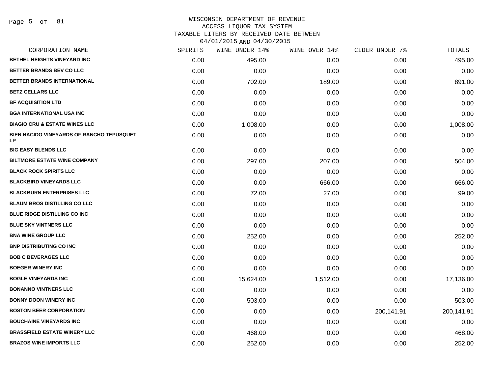## WISCONSIN DEPARTMENT OF REVENUE ACCESS LIQUOR TAX SYSTEM

TAXABLE LITERS BY RECEIVED DATE BETWEEN

| CORPORATION NAME                                              | SPIRITS | WINE UNDER 14% | WINE OVER 14% | CIDER UNDER 7% | TOTALS     |
|---------------------------------------------------------------|---------|----------------|---------------|----------------|------------|
| <b>BETHEL HEIGHTS VINEYARD INC</b>                            | 0.00    | 495.00         | 0.00          | 0.00           | 495.00     |
| BETTER BRANDS BEV CO LLC                                      | 0.00    | 0.00           | 0.00          | 0.00           | 0.00       |
| BETTER BRANDS INTERNATIONAL                                   | 0.00    | 702.00         | 189.00        | 0.00           | 891.00     |
| <b>BETZ CELLARS LLC</b>                                       | 0.00    | 0.00           | 0.00          | 0.00           | 0.00       |
| <b>BF ACQUISITION LTD</b>                                     | 0.00    | 0.00           | 0.00          | 0.00           | 0.00       |
| <b>BGA INTERNATIONAL USA INC</b>                              | 0.00    | 0.00           | 0.00          | 0.00           | 0.00       |
| <b>BIAGIO CRU &amp; ESTATE WINES LLC</b>                      | 0.00    | 1,008.00       | 0.00          | 0.00           | 1,008.00   |
| <b>BIEN NACIDO VINEYARDS OF RANCHO TEPUSQUET</b><br><b>LP</b> | 0.00    | 0.00           | 0.00          | 0.00           | 0.00       |
| <b>BIG EASY BLENDS LLC</b>                                    | 0.00    | 0.00           | 0.00          | 0.00           | 0.00       |
| <b>BILTMORE ESTATE WINE COMPANY</b>                           | 0.00    | 297.00         | 207.00        | 0.00           | 504.00     |
| <b>BLACK ROCK SPIRITS LLC</b>                                 | 0.00    | 0.00           | 0.00          | 0.00           | 0.00       |
| <b>BLACKBIRD VINEYARDS LLC</b>                                | 0.00    | 0.00           | 666.00        | 0.00           | 666.00     |
| <b>BLACKBURN ENTERPRISES LLC</b>                              | 0.00    | 72.00          | 27.00         | 0.00           | 99.00      |
| <b>BLAUM BROS DISTILLING CO LLC</b>                           | 0.00    | 0.00           | 0.00          | 0.00           | 0.00       |
| <b>BLUE RIDGE DISTILLING CO INC</b>                           | 0.00    | 0.00           | 0.00          | 0.00           | 0.00       |
| <b>BLUE SKY VINTNERS LLC</b>                                  | 0.00    | 0.00           | 0.00          | 0.00           | 0.00       |
| <b>BNA WINE GROUP LLC</b>                                     | 0.00    | 252.00         | 0.00          | 0.00           | 252.00     |
| <b>BNP DISTRIBUTING CO INC</b>                                | 0.00    | 0.00           | 0.00          | 0.00           | 0.00       |
| <b>BOB C BEVERAGES LLC</b>                                    | 0.00    | 0.00           | 0.00          | 0.00           | 0.00       |
| <b>BOEGER WINERY INC</b>                                      | 0.00    | 0.00           | 0.00          | 0.00           | 0.00       |
| <b>BOGLE VINEYARDS INC</b>                                    | 0.00    | 15,624.00      | 1,512.00      | 0.00           | 17,136.00  |
| <b>BONANNO VINTNERS LLC</b>                                   | 0.00    | 0.00           | 0.00          | 0.00           | 0.00       |
| <b>BONNY DOON WINERY INC</b>                                  | 0.00    | 503.00         | 0.00          | 0.00           | 503.00     |
| <b>BOSTON BEER CORPORATION</b>                                | 0.00    | 0.00           | 0.00          | 200,141.91     | 200,141.91 |
| <b>BOUCHAINE VINEYARDS INC</b>                                | 0.00    | 0.00           | 0.00          | 0.00           | 0.00       |
| <b>BRASSFIELD ESTATE WINERY LLC</b>                           | 0.00    | 468.00         | 0.00          | 0.00           | 468.00     |
| <b>BRAZOS WINE IMPORTS LLC</b>                                | 0.00    | 252.00         | 0.00          | 0.00           | 252.00     |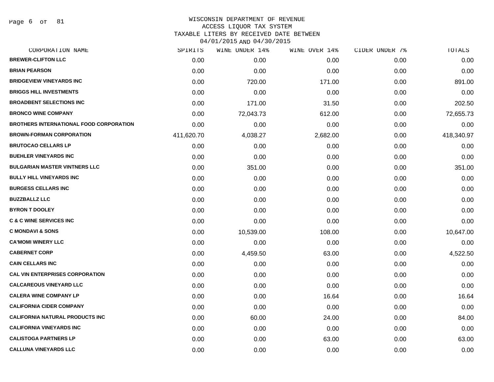Page 6 of 81

# WISCONSIN DEPARTMENT OF REVENUE ACCESS LIQUOR TAX SYSTEM

TAXABLE LITERS BY RECEIVED DATE BETWEEN

| 04/01/2015 AND 04/30/2015 |  |
|---------------------------|--|
|---------------------------|--|

| CORPORATION NAME                               | SPIRITS    | WINE UNDER 14% | WINE OVER 14% | CIDER UNDER 7% | TOTALS     |
|------------------------------------------------|------------|----------------|---------------|----------------|------------|
| <b>BREWER-CLIFTON LLC</b>                      | 0.00       | 0.00           | 0.00          | 0.00           | 0.00       |
| <b>BRIAN PEARSON</b>                           | 0.00       | 0.00           | 0.00          | 0.00           | 0.00       |
| <b>BRIDGEVIEW VINEYARDS INC</b>                | 0.00       | 720.00         | 171.00        | 0.00           | 891.00     |
| <b>BRIGGS HILL INVESTMENTS</b>                 | 0.00       | 0.00           | 0.00          | 0.00           | 0.00       |
| <b>BROADBENT SELECTIONS INC</b>                | 0.00       | 171.00         | 31.50         | 0.00           | 202.50     |
| <b>BRONCO WINE COMPANY</b>                     | 0.00       | 72,043.73      | 612.00        | 0.00           | 72,655.73  |
| <b>BROTHERS INTERNATIONAL FOOD CORPORATION</b> | 0.00       | 0.00           | 0.00          | 0.00           | 0.00       |
| <b>BROWN-FORMAN CORPORATION</b>                | 411,620.70 | 4,038.27       | 2,682.00      | 0.00           | 418,340.97 |
| <b>BRUTOCAO CELLARS LP</b>                     | 0.00       | 0.00           | 0.00          | 0.00           | 0.00       |
| <b>BUEHLER VINEYARDS INC</b>                   | 0.00       | 0.00           | 0.00          | 0.00           | 0.00       |
| <b>BULGARIAN MASTER VINTNERS LLC</b>           | 0.00       | 351.00         | 0.00          | 0.00           | 351.00     |
| <b>BULLY HILL VINEYARDS INC</b>                | 0.00       | 0.00           | 0.00          | 0.00           | 0.00       |
| <b>BURGESS CELLARS INC</b>                     | 0.00       | 0.00           | 0.00          | 0.00           | 0.00       |
| <b>BUZZBALLZ LLC</b>                           | 0.00       | 0.00           | 0.00          | 0.00           | 0.00       |
| <b>BYRON T DOOLEY</b>                          | 0.00       | 0.00           | 0.00          | 0.00           | 0.00       |
| <b>C &amp; C WINE SERVICES INC</b>             | 0.00       | 0.00           | 0.00          | 0.00           | 0.00       |
| <b>C MONDAVI &amp; SONS</b>                    | 0.00       | 10,539.00      | 108.00        | 0.00           | 10,647.00  |
| <b>CA'MOMI WINERY LLC</b>                      | 0.00       | 0.00           | 0.00          | 0.00           | 0.00       |
| <b>CABERNET CORP</b>                           | 0.00       | 4,459.50       | 63.00         | 0.00           | 4,522.50   |
| <b>CAIN CELLARS INC</b>                        | 0.00       | 0.00           | 0.00          | 0.00           | 0.00       |
| <b>CAL VIN ENTERPRISES CORPORATION</b>         | 0.00       | 0.00           | 0.00          | 0.00           | 0.00       |
| <b>CALCAREOUS VINEYARD LLC</b>                 | 0.00       | 0.00           | 0.00          | 0.00           | 0.00       |
| <b>CALERA WINE COMPANY LP</b>                  | 0.00       | 0.00           | 16.64         | 0.00           | 16.64      |
| <b>CALIFORNIA CIDER COMPANY</b>                | 0.00       | 0.00           | 0.00          | 0.00           | 0.00       |
| <b>CALIFORNIA NATURAL PRODUCTS INC</b>         | 0.00       | 60.00          | 24.00         | 0.00           | 84.00      |
| <b>CALIFORNIA VINEYARDS INC</b>                | 0.00       | 0.00           | 0.00          | 0.00           | 0.00       |
| <b>CALISTOGA PARTNERS LP</b>                   | 0.00       | 0.00           | 63.00         | 0.00           | 63.00      |
| <b>CALLUNA VINEYARDS LLC</b>                   | 0.00       | 0.00           | 0.00          | 0.00           | 0.00       |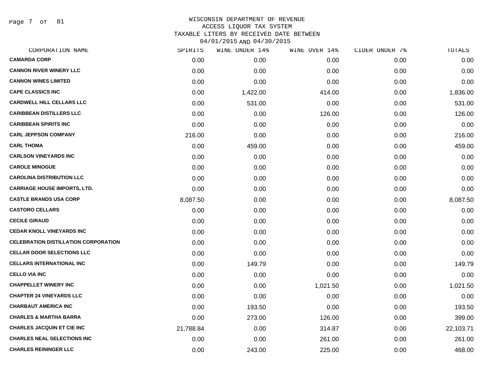Page 7 of 81

| CORPORATION NAME                            | SPIRITS   | WINE UNDER 14% | WINE OVER 14% | CIDER UNDER 7% | TOTALS    |
|---------------------------------------------|-----------|----------------|---------------|----------------|-----------|
| <b>CAMARDA CORP</b>                         | 0.00      | 0.00           | 0.00          | 0.00           | 0.00      |
| <b>CANNON RIVER WINERY LLC</b>              | 0.00      | 0.00           | 0.00          | 0.00           | 0.00      |
| <b>CANNON WINES LIMITED</b>                 | 0.00      | 0.00           | 0.00          | 0.00           | 0.00      |
| <b>CAPE CLASSICS INC</b>                    | 0.00      | 1,422.00       | 414.00        | 0.00           | 1,836.00  |
| <b>CARDWELL HILL CELLARS LLC</b>            | 0.00      | 531.00         | 0.00          | 0.00           | 531.00    |
| <b>CARIBBEAN DISTILLERS LLC</b>             | 0.00      | 0.00           | 126.00        | 0.00           | 126.00    |
| <b>CARIBBEAN SPIRITS INC</b>                | 0.00      | 0.00           | 0.00          | 0.00           | 0.00      |
| <b>CARL JEPPSON COMPANY</b>                 | 216.00    | 0.00           | 0.00          | 0.00           | 216.00    |
| <b>CARL THOMA</b>                           | 0.00      | 459.00         | 0.00          | 0.00           | 459.00    |
| <b>CARLSON VINEYARDS INC</b>                | 0.00      | 0.00           | 0.00          | 0.00           | 0.00      |
| <b>CAROLE MINOGUE</b>                       | 0.00      | 0.00           | 0.00          | 0.00           | 0.00      |
| <b>CAROLINA DISTRIBUTION LLC</b>            | 0.00      | 0.00           | 0.00          | 0.00           | 0.00      |
| <b>CARRIAGE HOUSE IMPORTS, LTD.</b>         | 0.00      | 0.00           | 0.00          | 0.00           | 0.00      |
| <b>CASTLE BRANDS USA CORP</b>               | 8,087.50  | 0.00           | 0.00          | 0.00           | 8,087.50  |
| <b>CASTORO CELLARS</b>                      | 0.00      | 0.00           | 0.00          | 0.00           | 0.00      |
| <b>CECILE GIRAUD</b>                        | 0.00      | 0.00           | 0.00          | 0.00           | 0.00      |
| <b>CEDAR KNOLL VINEYARDS INC</b>            | 0.00      | 0.00           | 0.00          | 0.00           | 0.00      |
| <b>CELEBRATION DISTILLATION CORPORATION</b> | 0.00      | 0.00           | 0.00          | 0.00           | 0.00      |
| <b>CELLAR DOOR SELECTIONS LLC</b>           | 0.00      | 0.00           | 0.00          | 0.00           | 0.00      |
| <b>CELLARS INTERNATIONAL INC</b>            | 0.00      | 149.79         | 0.00          | 0.00           | 149.79    |
| <b>CELLO VIA INC</b>                        | 0.00      | 0.00           | 0.00          | 0.00           | 0.00      |
| <b>CHAPPELLET WINERY INC</b>                | 0.00      | 0.00           | 1,021.50      | 0.00           | 1,021.50  |
| <b>CHAPTER 24 VINEYARDS LLC</b>             | 0.00      | 0.00           | 0.00          | 0.00           | 0.00      |
| <b>CHARBAUT AMERICA INC</b>                 | 0.00      | 193.50         | 0.00          | 0.00           | 193.50    |
| <b>CHARLES &amp; MARTHA BARRA</b>           | 0.00      | 273.00         | 126.00        | 0.00           | 399.00    |
| <b>CHARLES JACQUIN ET CIE INC</b>           | 21,788.84 | 0.00           | 314.87        | 0.00           | 22,103.71 |
| <b>CHARLES NEAL SELECTIONS INC</b>          | 0.00      | 0.00           | 261.00        | 0.00           | 261.00    |
| <b>CHARLES REININGER LLC</b>                | 0.00      | 243.00         | 225.00        | 0.00           | 468.00    |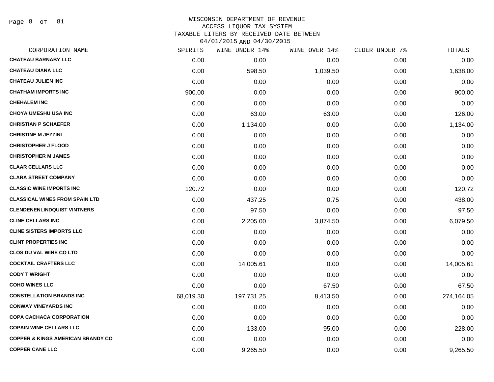Page 8 of 81

| CORPORATION NAME                             | SPIRITS   | WINE UNDER 14% | WINE OVER 14% | CIDER UNDER 7% | <b>TOTALS</b> |
|----------------------------------------------|-----------|----------------|---------------|----------------|---------------|
| <b>CHATEAU BARNABY LLC</b>                   | 0.00      | 0.00           | 0.00          | 0.00           | 0.00          |
| <b>CHATEAU DIANA LLC</b>                     | 0.00      | 598.50         | 1,039.50      | 0.00           | 1,638.00      |
| <b>CHATEAU JULIEN INC</b>                    | 0.00      | 0.00           | 0.00          | 0.00           | 0.00          |
| <b>CHATHAM IMPORTS INC</b>                   | 900.00    | 0.00           | 0.00          | 0.00           | 900.00        |
| <b>CHEHALEM INC</b>                          | 0.00      | 0.00           | 0.00          | 0.00           | 0.00          |
| <b>CHOYA UMESHU USA INC</b>                  | 0.00      | 63.00          | 63.00         | 0.00           | 126.00        |
| <b>CHRISTIAN P SCHAEFER</b>                  | 0.00      | 1,134.00       | 0.00          | 0.00           | 1,134.00      |
| <b>CHRISTINE M JEZZINI</b>                   | 0.00      | 0.00           | 0.00          | 0.00           | 0.00          |
| <b>CHRISTOPHER J FLOOD</b>                   | 0.00      | 0.00           | 0.00          | 0.00           | 0.00          |
| <b>CHRISTOPHER M JAMES</b>                   | 0.00      | 0.00           | 0.00          | 0.00           | 0.00          |
| <b>CLAAR CELLARS LLC</b>                     | 0.00      | 0.00           | 0.00          | 0.00           | 0.00          |
| <b>CLARA STREET COMPANY</b>                  | 0.00      | 0.00           | 0.00          | 0.00           | 0.00          |
| <b>CLASSIC WINE IMPORTS INC</b>              | 120.72    | 0.00           | 0.00          | 0.00           | 120.72        |
| <b>CLASSICAL WINES FROM SPAIN LTD</b>        | 0.00      | 437.25         | 0.75          | 0.00           | 438.00        |
| <b>CLENDENENLINDQUIST VINTNERS</b>           | 0.00      | 97.50          | 0.00          | 0.00           | 97.50         |
| <b>CLINE CELLARS INC</b>                     | 0.00      | 2,205.00       | 3,874.50      | 0.00           | 6,079.50      |
| <b>CLINE SISTERS IMPORTS LLC</b>             | 0.00      | 0.00           | 0.00          | 0.00           | 0.00          |
| <b>CLINT PROPERTIES INC</b>                  | 0.00      | 0.00           | 0.00          | 0.00           | 0.00          |
| <b>CLOS DU VAL WINE CO LTD</b>               | 0.00      | 0.00           | 0.00          | 0.00           | 0.00          |
| <b>COCKTAIL CRAFTERS LLC</b>                 | 0.00      | 14,005.61      | 0.00          | 0.00           | 14,005.61     |
| <b>CODY T WRIGHT</b>                         | 0.00      | 0.00           | 0.00          | 0.00           | 0.00          |
| <b>COHO WINES LLC</b>                        | 0.00      | 0.00           | 67.50         | 0.00           | 67.50         |
| <b>CONSTELLATION BRANDS INC</b>              | 68,019.30 | 197,731.25     | 8,413.50      | 0.00           | 274,164.05    |
| <b>CONWAY VINEYARDS INC</b>                  | 0.00      | 0.00           | 0.00          | 0.00           | 0.00          |
| <b>COPA CACHACA CORPORATION</b>              | 0.00      | 0.00           | 0.00          | 0.00           | 0.00          |
| <b>COPAIN WINE CELLARS LLC</b>               | 0.00      | 133.00         | 95.00         | 0.00           | 228.00        |
| <b>COPPER &amp; KINGS AMERICAN BRANDY CO</b> | 0.00      | 0.00           | 0.00          | 0.00           | 0.00          |
| <b>COPPER CANE LLC</b>                       | 0.00      | 9,265.50       | 0.00          | 0.00           | 9,265.50      |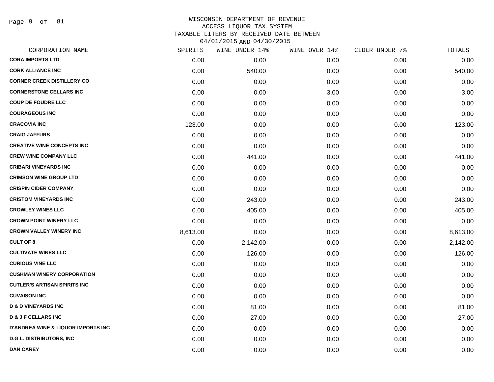Page 9 of 81

| CORPORATION NAME                              | SPIRITS  | WINE UNDER 14% | WINE OVER 14% | CIDER UNDER 7% | TOTALS   |
|-----------------------------------------------|----------|----------------|---------------|----------------|----------|
| <b>CORA IMPORTS LTD</b>                       | 0.00     | 0.00           | 0.00          | 0.00           | 0.00     |
| <b>CORK ALLIANCE INC</b>                      | 0.00     | 540.00         | 0.00          | 0.00           | 540.00   |
| <b>CORNER CREEK DISTILLERY CO</b>             | 0.00     | 0.00           | 0.00          | 0.00           | 0.00     |
| <b>CORNERSTONE CELLARS INC</b>                | 0.00     | 0.00           | 3.00          | 0.00           | 3.00     |
| <b>COUP DE FOUDRE LLC</b>                     | 0.00     | 0.00           | 0.00          | 0.00           | 0.00     |
| <b>COURAGEOUS INC</b>                         | 0.00     | 0.00           | 0.00          | 0.00           | 0.00     |
| <b>CRACOVIA INC</b>                           | 123.00   | 0.00           | 0.00          | 0.00           | 123.00   |
| <b>CRAIG JAFFURS</b>                          | 0.00     | 0.00           | 0.00          | 0.00           | 0.00     |
| <b>CREATIVE WINE CONCEPTS INC</b>             | 0.00     | 0.00           | 0.00          | 0.00           | 0.00     |
| <b>CREW WINE COMPANY LLC</b>                  | 0.00     | 441.00         | 0.00          | 0.00           | 441.00   |
| <b>CRIBARI VINEYARDS INC</b>                  | 0.00     | 0.00           | 0.00          | 0.00           | 0.00     |
| <b>CRIMSON WINE GROUP LTD</b>                 | 0.00     | 0.00           | 0.00          | 0.00           | 0.00     |
| <b>CRISPIN CIDER COMPANY</b>                  | 0.00     | 0.00           | 0.00          | 0.00           | 0.00     |
| <b>CRISTOM VINEYARDS INC</b>                  | 0.00     | 243.00         | 0.00          | 0.00           | 243.00   |
| <b>CROWLEY WINES LLC</b>                      | 0.00     | 405.00         | 0.00          | 0.00           | 405.00   |
| <b>CROWN POINT WINERY LLC</b>                 | 0.00     | 0.00           | 0.00          | 0.00           | 0.00     |
| <b>CROWN VALLEY WINERY INC</b>                | 8,613.00 | 0.00           | 0.00          | 0.00           | 8,613.00 |
| <b>CULT OF 8</b>                              | 0.00     | 2,142.00       | 0.00          | 0.00           | 2,142.00 |
| <b>CULTIVATE WINES LLC</b>                    | 0.00     | 126.00         | 0.00          | 0.00           | 126.00   |
| <b>CURIOUS VINE LLC</b>                       | 0.00     | 0.00           | 0.00          | 0.00           | 0.00     |
| <b>CUSHMAN WINERY CORPORATION</b>             | 0.00     | 0.00           | 0.00          | 0.00           | 0.00     |
| <b>CUTLER'S ARTISAN SPIRITS INC</b>           | 0.00     | 0.00           | 0.00          | 0.00           | 0.00     |
| <b>CUVAISON INC</b>                           | 0.00     | 0.00           | 0.00          | 0.00           | 0.00     |
| <b>D &amp; D VINEYARDS INC</b>                | 0.00     | 81.00          | 0.00          | 0.00           | 81.00    |
| <b>D &amp; J F CELLARS INC</b>                | 0.00     | 27.00          | 0.00          | 0.00           | 27.00    |
| <b>D'ANDREA WINE &amp; LIQUOR IMPORTS INC</b> | 0.00     | 0.00           | 0.00          | 0.00           | 0.00     |
| <b>D.G.L. DISTRIBUTORS, INC</b>               | 0.00     | 0.00           | 0.00          | 0.00           | 0.00     |
| <b>DAN CAREY</b>                              | 0.00     | 0.00           | 0.00          | 0.00           | 0.00     |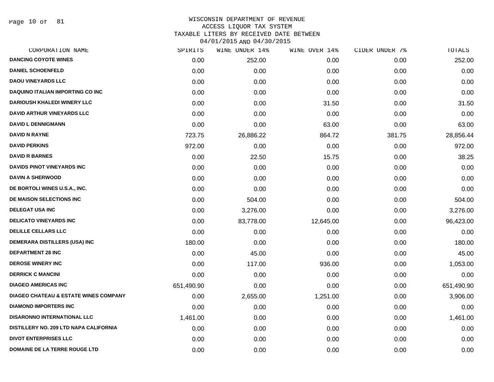Page 10 of 81

|            | WINE UNDER 14% |           |               | TOTALS         |
|------------|----------------|-----------|---------------|----------------|
| 0.00       | 252.00         | 0.00      | 0.00          | 252.00         |
| 0.00       | 0.00           | 0.00      | 0.00          | 0.00           |
| 0.00       | 0.00           | 0.00      | 0.00          | 0.00           |
| 0.00       | 0.00           | 0.00      | 0.00          | 0.00           |
| 0.00       | 0.00           | 31.50     | 0.00          | 31.50          |
| 0.00       | 0.00           | 0.00      | 0.00          | 0.00           |
| 0.00       | 0.00           | 63.00     | 0.00          | 63.00          |
| 723.75     | 26,886.22      | 864.72    | 381.75        | 28,856.44      |
| 972.00     | 0.00           | 0.00      | 0.00          | 972.00         |
| 0.00       | 22.50          | 15.75     | 0.00          | 38.25          |
| 0.00       | 0.00           | 0.00      | 0.00          | 0.00           |
| 0.00       | 0.00           | 0.00      | 0.00          | 0.00           |
| 0.00       | 0.00           | 0.00      | 0.00          | 0.00           |
| 0.00       | 504.00         | 0.00      | 0.00          | 504.00         |
| 0.00       | 3,276.00       | 0.00      | 0.00          | 3,276.00       |
| 0.00       | 83,778.00      | 12,645.00 | 0.00          | 96,423.00      |
| 0.00       | 0.00           | 0.00      | 0.00          | 0.00           |
| 180.00     | 0.00           | 0.00      | 0.00          | 180.00         |
| 0.00       | 45.00          | 0.00      | 0.00          | 45.00          |
| 0.00       | 117.00         | 936.00    | 0.00          | 1,053.00       |
| 0.00       | 0.00           | 0.00      | 0.00          | 0.00           |
| 651,490.90 | 0.00           | 0.00      | 0.00          | 651,490.90     |
| 0.00       | 2,655.00       | 1,251.00  | 0.00          | 3,906.00       |
| 0.00       | 0.00           | 0.00      | 0.00          | 0.00           |
| 1,461.00   | 0.00           | 0.00      | 0.00          | 1,461.00       |
| 0.00       | 0.00           | 0.00      | 0.00          | 0.00           |
| 0.00       | 0.00           | 0.00      | 0.00          | 0.00           |
| 0.00       | 0.00           | 0.00      | 0.00          | 0.00           |
|            | SPIRITS        |           | WINE OVER 14% | CIDER UNDER 7% |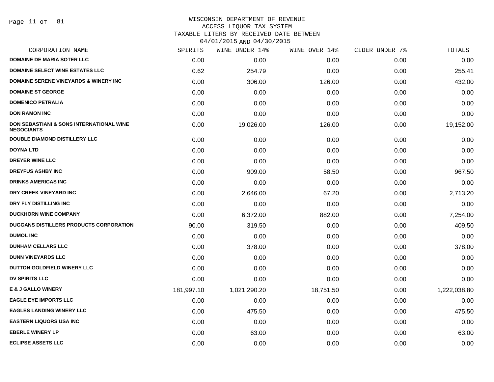#### WISCONSIN DEPARTMENT OF REVENUE ACCESS LIQUOR TAX SYSTEM

TAXABLE LITERS BY RECEIVED DATE BETWEEN

| CORPORATION NAME                                                         | SPIRITS    | WINE UNDER 14% | WINE OVER 14% | CIDER UNDER 7% | TOTALS       |
|--------------------------------------------------------------------------|------------|----------------|---------------|----------------|--------------|
| <b>DOMAINE DE MARIA SOTER LLC</b>                                        | 0.00       | 0.00           | 0.00          | 0.00           | 0.00         |
| <b>DOMAINE SELECT WINE ESTATES LLC</b>                                   | 0.62       | 254.79         | 0.00          | 0.00           | 255.41       |
| <b>DOMAINE SERENE VINEYARDS &amp; WINERY INC</b>                         | 0.00       | 306.00         | 126.00        | 0.00           | 432.00       |
| <b>DOMAINE ST GEORGE</b>                                                 | 0.00       | 0.00           | 0.00          | 0.00           | 0.00         |
| <b>DOMENICO PETRALIA</b>                                                 | 0.00       | 0.00           | 0.00          | 0.00           | 0.00         |
| <b>DON RAMON INC</b>                                                     | 0.00       | 0.00           | 0.00          | 0.00           | 0.00         |
| <b>DON SEBASTIANI &amp; SONS INTERNATIONAL WINE</b><br><b>NEGOCIANTS</b> | 0.00       | 19,026.00      | 126.00        | 0.00           | 19,152.00    |
| <b>DOUBLE DIAMOND DISTILLERY LLC</b>                                     | 0.00       | 0.00           | 0.00          | 0.00           | 0.00         |
| <b>DOYNA LTD</b>                                                         | 0.00       | 0.00           | 0.00          | 0.00           | 0.00         |
| DREYER WINE LLC                                                          | 0.00       | 0.00           | 0.00          | 0.00           | 0.00         |
| <b>DREYFUS ASHBY INC</b>                                                 | 0.00       | 909.00         | 58.50         | 0.00           | 967.50       |
| <b>DRINKS AMERICAS INC</b>                                               | 0.00       | 0.00           | 0.00          | 0.00           | 0.00         |
| DRY CREEK VINEYARD INC                                                   | 0.00       | 2,646.00       | 67.20         | 0.00           | 2,713.20     |
| DRY FLY DISTILLING INC                                                   | 0.00       | 0.00           | 0.00          | 0.00           | 0.00         |
| <b>DUCKHORN WINE COMPANY</b>                                             | 0.00       | 6,372.00       | 882.00        | 0.00           | 7,254.00     |
| DUGGANS DISTILLERS PRODUCTS CORPORATION                                  | 90.00      | 319.50         | 0.00          | 0.00           | 409.50       |
| <b>DUMOL INC</b>                                                         | 0.00       | 0.00           | 0.00          | 0.00           | 0.00         |
| <b>DUNHAM CELLARS LLC</b>                                                | 0.00       | 378.00         | 0.00          | 0.00           | 378.00       |
| <b>DUNN VINEYARDS LLC</b>                                                | 0.00       | 0.00           | 0.00          | 0.00           | 0.00         |
| DUTTON GOLDFIELD WINERY LLC                                              | 0.00       | 0.00           | 0.00          | 0.00           | 0.00         |
| <b>DV SPIRITS LLC</b>                                                    | 0.00       | 0.00           | 0.00          | 0.00           | 0.00         |
| <b>E &amp; J GALLO WINERY</b>                                            | 181,997.10 | 1,021,290.20   | 18,751.50     | 0.00           | 1,222,038.80 |
| <b>EAGLE EYE IMPORTS LLC</b>                                             | 0.00       | 0.00           | 0.00          | 0.00           | 0.00         |
| <b>EAGLES LANDING WINERY LLC</b>                                         | 0.00       | 475.50         | 0.00          | 0.00           | 475.50       |
| <b>EASTERN LIQUORS USA INC</b>                                           | 0.00       | 0.00           | 0.00          | 0.00           | 0.00         |
| <b>EBERLE WINERY LP</b>                                                  | 0.00       | 63.00          | 0.00          | 0.00           | 63.00        |
| <b>ECLIPSE ASSETS LLC</b>                                                | 0.00       | 0.00           | 0.00          | 0.00           | 0.00         |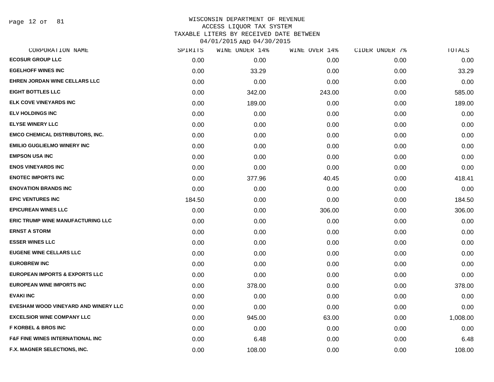Page 12 of 81

| CORPORATION NAME                            | SPIRITS | WINE UNDER 14% | WINE OVER 14% | CIDER UNDER 7% | TOTALS   |
|---------------------------------------------|---------|----------------|---------------|----------------|----------|
| <b>ECOSUR GROUP LLC</b>                     | 0.00    | 0.00           | 0.00          | 0.00           | 0.00     |
| <b>EGELHOFF WINES INC</b>                   | 0.00    | 33.29          | 0.00          | 0.00           | 33.29    |
| EHREN JORDAN WINE CELLARS LLC               | 0.00    | 0.00           | 0.00          | 0.00           | 0.00     |
| <b>EIGHT BOTTLES LLC</b>                    | 0.00    | 342.00         | 243.00        | 0.00           | 585.00   |
| <b>ELK COVE VINEYARDS INC</b>               | 0.00    | 189.00         | 0.00          | 0.00           | 189.00   |
| <b>ELV HOLDINGS INC</b>                     | 0.00    | 0.00           | 0.00          | 0.00           | 0.00     |
| <b>ELYSE WINERY LLC</b>                     | 0.00    | 0.00           | 0.00          | 0.00           | 0.00     |
| <b>EMCO CHEMICAL DISTRIBUTORS, INC.</b>     | 0.00    | 0.00           | 0.00          | 0.00           | 0.00     |
| <b>EMILIO GUGLIELMO WINERY INC</b>          | 0.00    | 0.00           | 0.00          | 0.00           | 0.00     |
| <b>EMPSON USA INC</b>                       | 0.00    | 0.00           | 0.00          | 0.00           | 0.00     |
| <b>ENOS VINEYARDS INC</b>                   | 0.00    | 0.00           | 0.00          | 0.00           | 0.00     |
| <b>ENOTEC IMPORTS INC</b>                   | 0.00    | 377.96         | 40.45         | 0.00           | 418.41   |
| <b>ENOVATION BRANDS INC</b>                 | 0.00    | 0.00           | 0.00          | 0.00           | 0.00     |
| <b>EPIC VENTURES INC</b>                    | 184.50  | 0.00           | 0.00          | 0.00           | 184.50   |
| <b>EPICUREAN WINES LLC</b>                  | 0.00    | 0.00           | 306.00        | 0.00           | 306.00   |
| ERIC TRUMP WINE MANUFACTURING LLC           | 0.00    | 0.00           | 0.00          | 0.00           | 0.00     |
| <b>ERNST A STORM</b>                        | 0.00    | 0.00           | 0.00          | 0.00           | 0.00     |
| <b>ESSER WINES LLC</b>                      | 0.00    | 0.00           | 0.00          | 0.00           | 0.00     |
| <b>EUGENE WINE CELLARS LLC</b>              | 0.00    | 0.00           | 0.00          | 0.00           | 0.00     |
| <b>EUROBREW INC</b>                         | 0.00    | 0.00           | 0.00          | 0.00           | 0.00     |
| <b>EUROPEAN IMPORTS &amp; EXPORTS LLC</b>   | 0.00    | 0.00           | 0.00          | 0.00           | 0.00     |
| <b>EUROPEAN WINE IMPORTS INC</b>            | 0.00    | 378.00         | 0.00          | 0.00           | 378.00   |
| <b>EVAKI INC</b>                            | 0.00    | 0.00           | 0.00          | 0.00           | 0.00     |
| EVESHAM WOOD VINEYARD AND WINERY LLC        | 0.00    | 0.00           | 0.00          | 0.00           | 0.00     |
| <b>EXCELSIOR WINE COMPANY LLC</b>           | 0.00    | 945.00         | 63.00         | 0.00           | 1,008.00 |
| <b>F KORBEL &amp; BROS INC</b>              | 0.00    | 0.00           | 0.00          | 0.00           | 0.00     |
| <b>F&amp;F FINE WINES INTERNATIONAL INC</b> | 0.00    | 6.48           | 0.00          | 0.00           | 6.48     |
| <b>F.X. MAGNER SELECTIONS, INC.</b>         | 0.00    | 108.00         | 0.00          | 0.00           | 108.00   |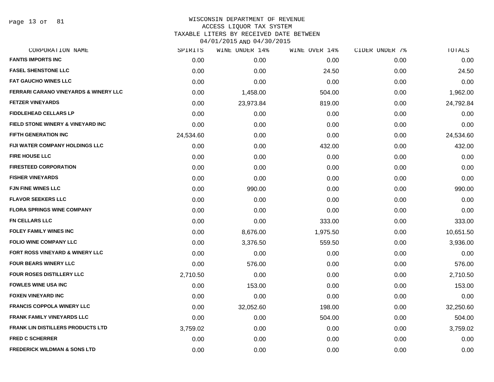Page 13 of 81

## WISCONSIN DEPARTMENT OF REVENUE ACCESS LIQUOR TAX SYSTEM

TAXABLE LITERS BY RECEIVED DATE BETWEEN

| CORPORATION NAME                                 | SPIRITS   | WINE UNDER 14% | WINE OVER 14% | CIDER UNDER 7% | TOTALS    |
|--------------------------------------------------|-----------|----------------|---------------|----------------|-----------|
| <b>FANTIS IMPORTS INC</b>                        | 0.00      | 0.00           | 0.00          | 0.00           | 0.00      |
| <b>FASEL SHENSTONE LLC</b>                       | 0.00      | 0.00           | 24.50         | 0.00           | 24.50     |
| <b>FAT GAUCHO WINES LLC</b>                      | 0.00      | 0.00           | 0.00          | 0.00           | 0.00      |
| <b>FERRARI CARANO VINEYARDS &amp; WINERY LLC</b> | 0.00      | 1,458.00       | 504.00        | 0.00           | 1,962.00  |
| <b>FETZER VINEYARDS</b>                          | 0.00      | 23,973.84      | 819.00        | 0.00           | 24,792.84 |
| <b>FIDDLEHEAD CELLARS LP</b>                     | 0.00      | 0.00           | 0.00          | 0.00           | 0.00      |
| FIELD STONE WINERY & VINEYARD INC                | 0.00      | 0.00           | 0.00          | 0.00           | 0.00      |
| <b>FIFTH GENERATION INC</b>                      | 24,534.60 | 0.00           | 0.00          | 0.00           | 24,534.60 |
| FIJI WATER COMPANY HOLDINGS LLC                  | 0.00      | 0.00           | 432.00        | 0.00           | 432.00    |
| <b>FIRE HOUSE LLC</b>                            | 0.00      | 0.00           | 0.00          | 0.00           | 0.00      |
| <b>FIRESTEED CORPORATION</b>                     | 0.00      | 0.00           | 0.00          | 0.00           | 0.00      |
| <b>FISHER VINEYARDS</b>                          | 0.00      | 0.00           | 0.00          | 0.00           | 0.00      |
| <b>FJN FINE WINES LLC</b>                        | 0.00      | 990.00         | 0.00          | 0.00           | 990.00    |
| <b>FLAVOR SEEKERS LLC</b>                        | 0.00      | 0.00           | 0.00          | 0.00           | 0.00      |
| <b>FLORA SPRINGS WINE COMPANY</b>                | 0.00      | 0.00           | 0.00          | 0.00           | 0.00      |
| <b>FN CELLARS LLC</b>                            | 0.00      | 0.00           | 333.00        | 0.00           | 333.00    |
| <b>FOLEY FAMILY WINES INC</b>                    | 0.00      | 8,676.00       | 1,975.50      | 0.00           | 10,651.50 |
| <b>FOLIO WINE COMPANY LLC</b>                    | 0.00      | 3,376.50       | 559.50        | 0.00           | 3,936.00  |
| FORT ROSS VINEYARD & WINERY LLC                  | 0.00      | 0.00           | 0.00          | 0.00           | 0.00      |
| <b>FOUR BEARS WINERY LLC</b>                     | 0.00      | 576.00         | 0.00          | 0.00           | 576.00    |
| <b>FOUR ROSES DISTILLERY LLC</b>                 | 2,710.50  | 0.00           | 0.00          | 0.00           | 2,710.50  |
| <b>FOWLES WINE USA INC</b>                       | 0.00      | 153.00         | 0.00          | 0.00           | 153.00    |
| <b>FOXEN VINEYARD INC</b>                        | 0.00      | 0.00           | 0.00          | 0.00           | 0.00      |
| <b>FRANCIS COPPOLA WINERY LLC</b>                | 0.00      | 32,052.60      | 198.00        | 0.00           | 32,250.60 |
| <b>FRANK FAMILY VINEYARDS LLC</b>                | 0.00      | 0.00           | 504.00        | 0.00           | 504.00    |
| <b>FRANK LIN DISTILLERS PRODUCTS LTD</b>         | 3,759.02  | 0.00           | 0.00          | 0.00           | 3,759.02  |
| <b>FRED C SCHERRER</b>                           | 0.00      | 0.00           | 0.00          | 0.00           | 0.00      |
| <b>FREDERICK WILDMAN &amp; SONS LTD</b>          | 0.00      | 0.00           | 0.00          | 0.00           | 0.00      |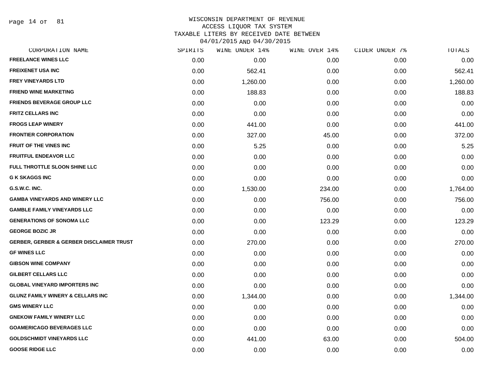Page 14 of 81

# WISCONSIN DEPARTMENT OF REVENUE ACCESS LIQUOR TAX SYSTEM TAXABLE LITERS BY RECEIVED DATE BETWEEN

| CORPORATION NAME                                    | SPIRITS | WINE UNDER 14% | WINE OVER 14% | CIDER UNDER 7% | TOTALS   |
|-----------------------------------------------------|---------|----------------|---------------|----------------|----------|
| <b>FREELANCE WINES LLC</b>                          | 0.00    | 0.00           | 0.00          | 0.00           | 0.00     |
| <b>FREIXENET USA INC</b>                            | 0.00    | 562.41         | 0.00          | 0.00           | 562.41   |
| <b>FREY VINEYARDS LTD</b>                           | 0.00    | 1,260.00       | 0.00          | 0.00           | 1,260.00 |
| <b>FRIEND WINE MARKETING</b>                        | 0.00    | 188.83         | 0.00          | 0.00           | 188.83   |
| <b>FRIENDS BEVERAGE GROUP LLC</b>                   | 0.00    | 0.00           | 0.00          | 0.00           | 0.00     |
| <b>FRITZ CELLARS INC</b>                            | 0.00    | 0.00           | 0.00          | 0.00           | 0.00     |
| <b>FROGS LEAP WINERY</b>                            | 0.00    | 441.00         | 0.00          | 0.00           | 441.00   |
| <b>FRONTIER CORPORATION</b>                         | 0.00    | 327.00         | 45.00         | 0.00           | 372.00   |
| FRUIT OF THE VINES INC                              | 0.00    | 5.25           | 0.00          | 0.00           | 5.25     |
| <b>FRUITFUL ENDEAVOR LLC</b>                        | 0.00    | 0.00           | 0.00          | 0.00           | 0.00     |
| FULL THROTTLE SLOON SHINE LLC                       | 0.00    | 0.00           | 0.00          | 0.00           | 0.00     |
| <b>G K SKAGGS INC</b>                               | 0.00    | 0.00           | 0.00          | 0.00           | 0.00     |
| G.S.W.C. INC.                                       | 0.00    | 1,530.00       | 234.00        | 0.00           | 1,764.00 |
| <b>GAMBA VINEYARDS AND WINERY LLC</b>               | 0.00    | 0.00           | 756.00        | 0.00           | 756.00   |
| <b>GAMBLE FAMILY VINEYARDS LLC</b>                  | 0.00    | 0.00           | 0.00          | 0.00           | 0.00     |
| <b>GENERATIONS OF SONOMA LLC</b>                    | 0.00    | 0.00           | 123.29        | 0.00           | 123.29   |
| <b>GEORGE BOZIC JR</b>                              | 0.00    | 0.00           | 0.00          | 0.00           | 0.00     |
| <b>GERBER, GERBER &amp; GERBER DISCLAIMER TRUST</b> | 0.00    | 270.00         | 0.00          | 0.00           | 270.00   |
| <b>GF WINES LLC</b>                                 | 0.00    | 0.00           | 0.00          | 0.00           | 0.00     |
| <b>GIBSON WINE COMPANY</b>                          | 0.00    | 0.00           | 0.00          | 0.00           | 0.00     |
| <b>GILBERT CELLARS LLC</b>                          | 0.00    | 0.00           | 0.00          | 0.00           | 0.00     |
| <b>GLOBAL VINEYARD IMPORTERS INC</b>                | 0.00    | 0.00           | 0.00          | 0.00           | 0.00     |
| <b>GLUNZ FAMILY WINERY &amp; CELLARS INC</b>        | 0.00    | 1,344.00       | 0.00          | 0.00           | 1,344.00 |
| <b>GMS WINERY LLC</b>                               | 0.00    | 0.00           | 0.00          | 0.00           | 0.00     |
| <b>GNEKOW FAMILY WINERY LLC</b>                     | 0.00    | 0.00           | 0.00          | 0.00           | 0.00     |
| <b>GOAMERICAGO BEVERAGES LLC</b>                    | 0.00    | 0.00           | 0.00          | 0.00           | 0.00     |
| <b>GOLDSCHMIDT VINEYARDS LLC</b>                    | 0.00    | 441.00         | 63.00         | 0.00           | 504.00   |
| <b>GOOSE RIDGE LLC</b>                              | 0.00    | 0.00           | 0.00          | 0.00           | 0.00     |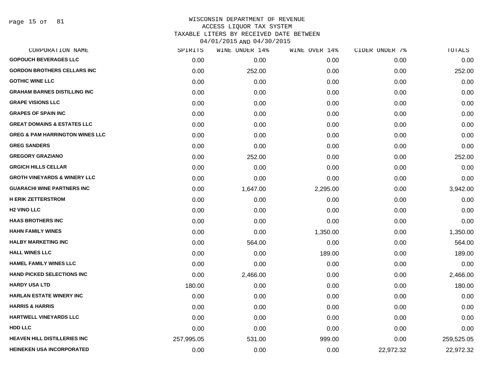Page 15 of 81

| CORPORATION NAME                           | SPIRITS    | WINE UNDER 14% | WINE OVER 14% | CIDER UNDER 7% | TOTALS     |
|--------------------------------------------|------------|----------------|---------------|----------------|------------|
| <b>GOPOUCH BEVERAGES LLC</b>               | 0.00       | 0.00           | 0.00          | 0.00           | 0.00       |
| <b>GORDON BROTHERS CELLARS INC</b>         | 0.00       | 252.00         | 0.00          | 0.00           | 252.00     |
| <b>GOTHIC WINE LLC</b>                     | 0.00       | 0.00           | 0.00          | 0.00           | 0.00       |
| <b>GRAHAM BARNES DISTILLING INC</b>        | 0.00       | 0.00           | 0.00          | 0.00           | 0.00       |
| <b>GRAPE VISIONS LLC</b>                   | 0.00       | 0.00           | 0.00          | 0.00           | 0.00       |
| <b>GRAPES OF SPAIN INC</b>                 | 0.00       | 0.00           | 0.00          | 0.00           | 0.00       |
| <b>GREAT DOMAINS &amp; ESTATES LLC</b>     | 0.00       | 0.00           | 0.00          | 0.00           | 0.00       |
| <b>GREG &amp; PAM HARRINGTON WINES LLC</b> | 0.00       | 0.00           | 0.00          | 0.00           | 0.00       |
| <b>GREG SANDERS</b>                        | 0.00       | 0.00           | 0.00          | 0.00           | 0.00       |
| <b>GREGORY GRAZIANO</b>                    | 0.00       | 252.00         | 0.00          | 0.00           | 252.00     |
| <b>GRGICH HILLS CELLAR</b>                 | 0.00       | 0.00           | 0.00          | 0.00           | 0.00       |
| <b>GROTH VINEYARDS &amp; WINERY LLC</b>    | 0.00       | 0.00           | 0.00          | 0.00           | 0.00       |
| <b>GUARACHI WINE PARTNERS INC</b>          | 0.00       | 1,647.00       | 2,295.00      | 0.00           | 3,942.00   |
| <b>H ERIK ZETTERSTROM</b>                  | 0.00       | 0.00           | 0.00          | 0.00           | 0.00       |
| <b>H<sub>2</sub> VINO LLC</b>              | 0.00       | 0.00           | 0.00          | 0.00           | 0.00       |
| <b>HAAS BROTHERS INC</b>                   | 0.00       | 0.00           | 0.00          | 0.00           | 0.00       |
| <b>HAHN FAMILY WINES</b>                   | 0.00       | 0.00           | 1,350.00      | 0.00           | 1,350.00   |
| <b>HALBY MARKETING INC</b>                 | 0.00       | 564.00         | 0.00          | 0.00           | 564.00     |
| <b>HALL WINES LLC</b>                      | 0.00       | 0.00           | 189.00        | 0.00           | 189.00     |
| <b>HAMEL FAMILY WINES LLC</b>              | 0.00       | 0.00           | 0.00          | 0.00           | 0.00       |
| <b>HAND PICKED SELECTIONS INC</b>          | 0.00       | 2,466.00       | 0.00          | 0.00           | 2,466.00   |
| <b>HARDY USA LTD</b>                       | 180.00     | 0.00           | 0.00          | 0.00           | 180.00     |
| <b>HARLAN ESTATE WINERY INC</b>            | 0.00       | 0.00           | 0.00          | 0.00           | 0.00       |
| <b>HARRIS &amp; HARRIS</b>                 | 0.00       | 0.00           | 0.00          | 0.00           | 0.00       |
| HARTWELL VINEYARDS LLC                     | 0.00       | 0.00           | 0.00          | 0.00           | 0.00       |
| <b>HDD LLC</b>                             | 0.00       | 0.00           | 0.00          | 0.00           | 0.00       |
| <b>HEAVEN HILL DISTILLERIES INC</b>        | 257,995.05 | 531.00         | 999.00        | 0.00           | 259,525.05 |
| <b>HEINEKEN USA INCORPORATED</b>           | 0.00       | 0.00           | 0.00          | 22,972.32      | 22,972.32  |
|                                            |            |                |               |                |            |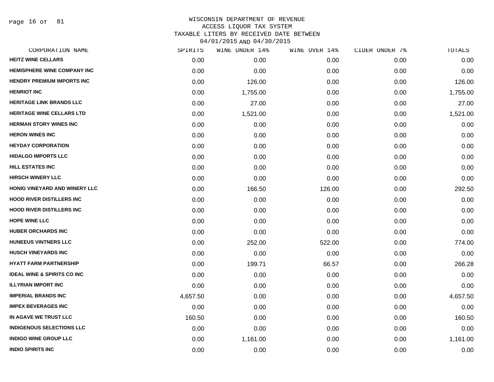Page 16 of 81

| CORPORATION NAME                       | SPIRITS  | WINE UNDER 14% | WINE OVER 14% | CIDER UNDER 7% | TOTALS   |
|----------------------------------------|----------|----------------|---------------|----------------|----------|
| <b>HEITZ WINE CELLARS</b>              | 0.00     | 0.00           | 0.00          | 0.00           | 0.00     |
| <b>HEMISPHERE WINE COMPANY INC</b>     | 0.00     | 0.00           | 0.00          | 0.00           | 0.00     |
| <b>HENDRY PREMIUM IMPORTS INC</b>      | 0.00     | 126.00         | 0.00          | 0.00           | 126.00   |
| <b>HENRIOT INC</b>                     | 0.00     | 1,755.00       | 0.00          | 0.00           | 1,755.00 |
| <b>HERITAGE LINK BRANDS LLC</b>        | 0.00     | 27.00          | 0.00          | 0.00           | 27.00    |
| <b>HERITAGE WINE CELLARS LTD</b>       | 0.00     | 1,521.00       | 0.00          | 0.00           | 1,521.00 |
| <b>HERMAN STORY WINES INC</b>          | 0.00     | 0.00           | 0.00          | 0.00           | 0.00     |
| <b>HERON WINES INC</b>                 | 0.00     | 0.00           | 0.00          | 0.00           | 0.00     |
| <b>HEYDAY CORPORATION</b>              | 0.00     | 0.00           | 0.00          | 0.00           | 0.00     |
| <b>HIDALGO IMPORTS LLC</b>             | 0.00     | 0.00           | 0.00          | 0.00           | 0.00     |
| <b>HILL ESTATES INC</b>                | 0.00     | 0.00           | 0.00          | 0.00           | 0.00     |
| <b>HIRSCH WINERY LLC</b>               | 0.00     | 0.00           | 0.00          | 0.00           | 0.00     |
| HONIG VINEYARD AND WINERY LLC          | 0.00     | 166.50         | 126.00        | 0.00           | 292.50   |
| <b>HOOD RIVER DISTILLERS INC</b>       | 0.00     | 0.00           | 0.00          | 0.00           | 0.00     |
| <b>HOOD RIVER DISTILLERS INC</b>       | 0.00     | 0.00           | 0.00          | 0.00           | 0.00     |
| <b>HOPE WINE LLC</b>                   | 0.00     | 0.00           | 0.00          | 0.00           | 0.00     |
| <b>HUBER ORCHARDS INC</b>              | 0.00     | 0.00           | 0.00          | 0.00           | 0.00     |
| <b>HUNEEUS VINTNERS LLC</b>            | 0.00     | 252.00         | 522.00        | 0.00           | 774.00   |
| <b>HUSCH VINEYARDS INC</b>             | 0.00     | 0.00           | 0.00          | 0.00           | 0.00     |
| <b>HYATT FARM PARTNERSHIP</b>          | 0.00     | 199.71         | 66.57         | 0.00           | 266.28   |
| <b>IDEAL WINE &amp; SPIRITS CO INC</b> | 0.00     | 0.00           | 0.00          | 0.00           | 0.00     |
| <b>ILLYRIAN IMPORT INC</b>             | 0.00     | 0.00           | 0.00          | 0.00           | 0.00     |
| <b>IMPERIAL BRANDS INC</b>             | 4,657.50 | 0.00           | 0.00          | 0.00           | 4,657.50 |
| <b>IMPEX BEVERAGES INC</b>             | 0.00     | 0.00           | 0.00          | 0.00           | 0.00     |
| IN AGAVE WE TRUST LLC                  | 160.50   | 0.00           | 0.00          | 0.00           | 160.50   |
| <b>INDIGENOUS SELECTIONS LLC</b>       | 0.00     | 0.00           | 0.00          | 0.00           | 0.00     |
| <b>INDIGO WINE GROUP LLC</b>           | 0.00     | 1,161.00       | 0.00          | 0.00           | 1,161.00 |
| <b>INDIO SPIRITS INC</b>               | 0.00     | 0.00           | 0.00          | 0.00           | 0.00     |
|                                        |          |                |               |                |          |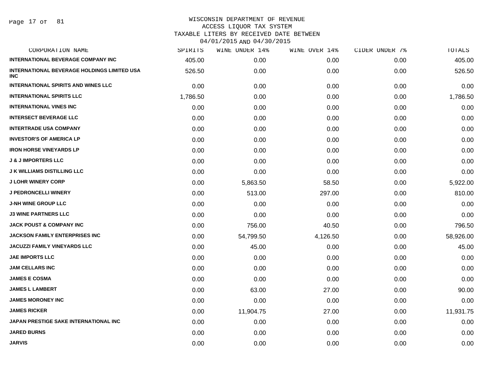Page 17 of 81

| CORPORATION NAME                                                 | SPIRITS  | WINE UNDER 14% | WINE OVER 14% | CIDER UNDER 7% | TOTALS    |
|------------------------------------------------------------------|----------|----------------|---------------|----------------|-----------|
| <b>INTERNATIONAL BEVERAGE COMPANY INC</b>                        | 405.00   | 0.00           | 0.00          | 0.00           | 405.00    |
| <b>INTERNATIONAL BEVERAGE HOLDINGS LIMITED USA</b><br><b>INC</b> | 526.50   | 0.00           | 0.00          | 0.00           | 526.50    |
| <b>INTERNATIONAL SPIRITS AND WINES LLC</b>                       | 0.00     | 0.00           | 0.00          | 0.00           | 0.00      |
| <b>INTERNATIONAL SPIRITS LLC</b>                                 | 1,786.50 | 0.00           | 0.00          | 0.00           | 1,786.50  |
| <b>INTERNATIONAL VINES INC</b>                                   | 0.00     | 0.00           | 0.00          | 0.00           | 0.00      |
| <b>INTERSECT BEVERAGE LLC</b>                                    | 0.00     | 0.00           | 0.00          | 0.00           | 0.00      |
| <b>INTERTRADE USA COMPANY</b>                                    | 0.00     | 0.00           | 0.00          | 0.00           | 0.00      |
| <b>INVESTOR'S OF AMERICA LP</b>                                  | 0.00     | 0.00           | 0.00          | 0.00           | 0.00      |
| <b>IRON HORSE VINEYARDS LP</b>                                   | 0.00     | 0.00           | 0.00          | 0.00           | 0.00      |
| <b>J &amp; J IMPORTERS LLC</b>                                   | 0.00     | 0.00           | 0.00          | 0.00           | 0.00      |
| <b>J K WILLIAMS DISTILLING LLC</b>                               | 0.00     | 0.00           | 0.00          | 0.00           | 0.00      |
| <b>J LOHR WINERY CORP</b>                                        | 0.00     | 5,863.50       | 58.50         | 0.00           | 5,922.00  |
| <b>J PEDRONCELLI WINERY</b>                                      | 0.00     | 513.00         | 297.00        | 0.00           | 810.00    |
| <b>J-NH WINE GROUP LLC</b>                                       | 0.00     | 0.00           | 0.00          | 0.00           | 0.00      |
| <b>J3 WINE PARTNERS LLC</b>                                      | 0.00     | 0.00           | 0.00          | 0.00           | 0.00      |
| <b>JACK POUST &amp; COMPANY INC</b>                              | 0.00     | 756.00         | 40.50         | 0.00           | 796.50    |
| JACKSON FAMILY ENTERPRISES INC                                   | 0.00     | 54,799.50      | 4,126.50      | 0.00           | 58,926.00 |
| JACUZZI FAMILY VINEYARDS LLC                                     | 0.00     | 45.00          | 0.00          | 0.00           | 45.00     |
| <b>JAE IMPORTS LLC</b>                                           | 0.00     | 0.00           | 0.00          | 0.00           | 0.00      |
| <b>JAM CELLARS INC</b>                                           | 0.00     | 0.00           | 0.00          | 0.00           | 0.00      |
| <b>JAMES E COSMA</b>                                             | 0.00     | 0.00           | 0.00          | 0.00           | 0.00      |
| <b>JAMES L LAMBERT</b>                                           | 0.00     | 63.00          | 27.00         | 0.00           | 90.00     |
| <b>JAMES MORONEY INC</b>                                         | 0.00     | 0.00           | 0.00          | 0.00           | 0.00      |
| <b>JAMES RICKER</b>                                              | 0.00     | 11,904.75      | 27.00         | 0.00           | 11,931.75 |
| JAPAN PRESTIGE SAKE INTERNATIONAL INC                            | 0.00     | 0.00           | 0.00          | 0.00           | 0.00      |
| <b>JARED BURNS</b>                                               | 0.00     | 0.00           | 0.00          | 0.00           | 0.00      |
| <b>JARVIS</b>                                                    | 0.00     | 0.00           | 0.00          | 0.00           | 0.00      |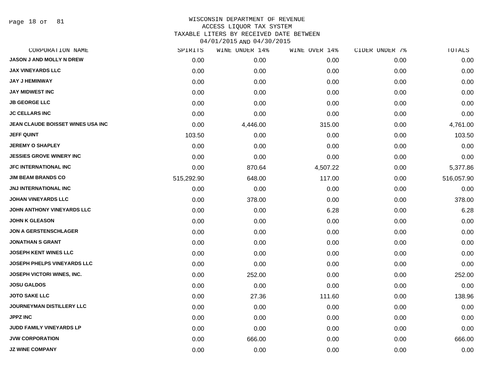Page 18 of 81

### WISCONSIN DEPARTMENT OF REVENUE ACCESS LIQUOR TAX SYSTEM TAXABLE LITERS BY RECEIVED DATE BETWEEN

| CORPORATION NAME                   | SPIRITS    | WINE UNDER 14% | WINE OVER 14% | CIDER UNDER 7% | TOTALS     |
|------------------------------------|------------|----------------|---------------|----------------|------------|
| JASON J AND MOLLY N DREW           | 0.00       | 0.00           | 0.00          | 0.00           | 0.00       |
| <b>JAX VINEYARDS LLC</b>           | 0.00       | 0.00           | 0.00          | 0.00           | 0.00       |
| <b>JAY J HEMINWAY</b>              | 0.00       | 0.00           | 0.00          | 0.00           | 0.00       |
| <b>JAY MIDWEST INC</b>             | 0.00       | 0.00           | 0.00          | 0.00           | 0.00       |
| <b>JB GEORGE LLC</b>               | 0.00       | 0.00           | 0.00          | 0.00           | 0.00       |
| <b>JC CELLARS INC</b>              | 0.00       | 0.00           | 0.00          | 0.00           | 0.00       |
| JEAN CLAUDE BOISSET WINES USA INC  | 0.00       | 4,446.00       | 315.00        | 0.00           | 4,761.00   |
| <b>JEFF QUINT</b>                  | 103.50     | 0.00           | 0.00          | 0.00           | 103.50     |
| <b>JEREMY O SHAPLEY</b>            | 0.00       | 0.00           | 0.00          | 0.00           | 0.00       |
| <b>JESSIES GROVE WINERY INC</b>    | 0.00       | 0.00           | 0.00          | 0.00           | 0.00       |
| <b>JFC INTERNATIONAL INC</b>       | 0.00       | 870.64         | 4,507.22      | 0.00           | 5,377.86   |
| <b>JIM BEAM BRANDS CO</b>          | 515,292.90 | 648.00         | 117.00        | 0.00           | 516,057.90 |
| <b>JNJ INTERNATIONAL INC</b>       | 0.00       | 0.00           | 0.00          | 0.00           | 0.00       |
| <b>JOHAN VINEYARDS LLC</b>         | 0.00       | 378.00         | 0.00          | 0.00           | 378.00     |
| JOHN ANTHONY VINEYARDS LLC         | 0.00       | 0.00           | 6.28          | 0.00           | 6.28       |
| <b>JOHN K GLEASON</b>              | 0.00       | 0.00           | 0.00          | 0.00           | 0.00       |
| JON A GERSTENSCHLAGER              | 0.00       | 0.00           | 0.00          | 0.00           | 0.00       |
| <b>JONATHAN S GRANT</b>            | 0.00       | 0.00           | 0.00          | 0.00           | 0.00       |
| <b>JOSEPH KENT WINES LLC</b>       | 0.00       | 0.00           | 0.00          | 0.00           | 0.00       |
| <b>JOSEPH PHELPS VINEYARDS LLC</b> | 0.00       | 0.00           | 0.00          | 0.00           | 0.00       |
| JOSEPH VICTORI WINES, INC.         | 0.00       | 252.00         | 0.00          | 0.00           | 252.00     |
| <b>JOSU GALDOS</b>                 | 0.00       | 0.00           | 0.00          | 0.00           | 0.00       |
| <b>JOTO SAKE LLC</b>               | 0.00       | 27.36          | 111.60        | 0.00           | 138.96     |
| JOURNEYMAN DISTILLERY LLC          | 0.00       | 0.00           | 0.00          | 0.00           | 0.00       |
| <b>JPPZ INC</b>                    | 0.00       | 0.00           | 0.00          | 0.00           | 0.00       |
| JUDD FAMILY VINEYARDS LP           | 0.00       | 0.00           | 0.00          | 0.00           | 0.00       |
| <b>JVW CORPORATION</b>             | 0.00       | 666.00         | 0.00          | 0.00           | 666.00     |
| <b>JZ WINE COMPANY</b>             | 0.00       | 0.00           | 0.00          | 0.00           | 0.00       |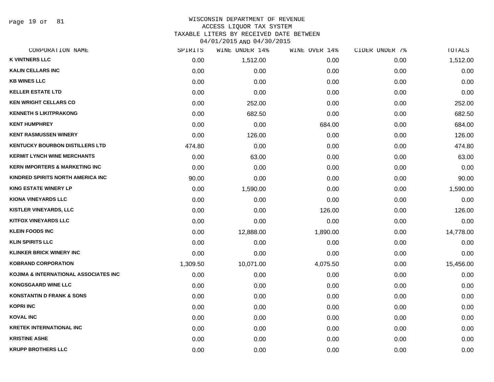Page 19 of 81

| CORPORATION NAME                          | SPIRITS  | WINE UNDER 14% | WINE OVER 14% | CIDER UNDER 7% | TOTALS    |
|-------------------------------------------|----------|----------------|---------------|----------------|-----------|
| <b>K VINTNERS LLC</b>                     | 0.00     | 1,512.00       | 0.00          | 0.00           | 1,512.00  |
| <b>KALIN CELLARS INC</b>                  | 0.00     | 0.00           | 0.00          | 0.00           | 0.00      |
| <b>KB WINES LLC</b>                       | 0.00     | 0.00           | 0.00          | 0.00           | 0.00      |
| <b>KELLER ESTATE LTD</b>                  | 0.00     | 0.00           | 0.00          | 0.00           | 0.00      |
| <b>KEN WRIGHT CELLARS CO</b>              | 0.00     | 252.00         | 0.00          | 0.00           | 252.00    |
| <b>KENNETH S LIKITPRAKONG</b>             | 0.00     | 682.50         | 0.00          | 0.00           | 682.50    |
| <b>KENT HUMPHREY</b>                      | 0.00     | 0.00           | 684.00        | 0.00           | 684.00    |
| <b>KENT RASMUSSEN WINERY</b>              | 0.00     | 126.00         | 0.00          | 0.00           | 126.00    |
| <b>KENTUCKY BOURBON DISTILLERS LTD</b>    | 474.80   | 0.00           | 0.00          | 0.00           | 474.80    |
| <b>KERMIT LYNCH WINE MERCHANTS</b>        | 0.00     | 63.00          | 0.00          | 0.00           | 63.00     |
| <b>KERN IMPORTERS &amp; MARKETING INC</b> | 0.00     | 0.00           | 0.00          | 0.00           | 0.00      |
| KINDRED SPIRITS NORTH AMERICA INC         | 90.00    | 0.00           | 0.00          | 0.00           | 90.00     |
| <b>KING ESTATE WINERY LP</b>              | 0.00     | 1,590.00       | 0.00          | 0.00           | 1,590.00  |
| <b>KIONA VINEYARDS LLC</b>                | 0.00     | 0.00           | 0.00          | 0.00           | 0.00      |
| <b>KISTLER VINEYARDS, LLC</b>             | 0.00     | 0.00           | 126.00        | 0.00           | 126.00    |
| <b>KITFOX VINEYARDS LLC</b>               | 0.00     | 0.00           | 0.00          | 0.00           | 0.00      |
| <b>KLEIN FOODS INC</b>                    | 0.00     | 12,888.00      | 1,890.00      | 0.00           | 14,778.00 |
| <b>KLIN SPIRITS LLC</b>                   | 0.00     | 0.00           | 0.00          | 0.00           | 0.00      |
| <b>KLINKER BRICK WINERY INC</b>           | 0.00     | 0.00           | 0.00          | 0.00           | 0.00      |
| <b>KOBRAND CORPORATION</b>                | 1,309.50 | 10,071.00      | 4,075.50      | 0.00           | 15,456.00 |
| KOJIMA & INTERNATIONAL ASSOCIATES INC     | 0.00     | 0.00           | 0.00          | 0.00           | 0.00      |
| <b>KONGSGAARD WINE LLC</b>                | 0.00     | 0.00           | 0.00          | 0.00           | 0.00      |
| <b>KONSTANTIN D FRANK &amp; SONS</b>      | 0.00     | 0.00           | 0.00          | 0.00           | 0.00      |
| <b>KOPRI INC</b>                          | 0.00     | 0.00           | 0.00          | 0.00           | 0.00      |
| <b>KOVAL INC</b>                          | 0.00     | 0.00           | 0.00          | 0.00           | 0.00      |
| <b>KRETEK INTERNATIONAL INC</b>           | 0.00     | 0.00           | 0.00          | 0.00           | 0.00      |
| <b>KRISTINE ASHE</b>                      | 0.00     | 0.00           | 0.00          | 0.00           | 0.00      |
| <b>KRUPP BROTHERS LLC</b>                 | 0.00     | 0.00           | 0.00          | 0.00           | 0.00      |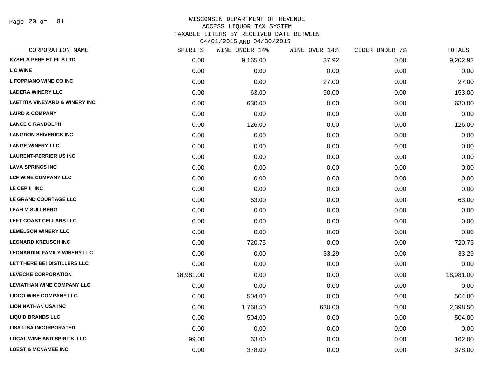# WISCONSIN DEPARTMENT OF REVENUE ACCESS LIQUOR TAX SYSTEM TAXABLE LITERS BY RECEIVED DATE BETWEEN

| CORPORATION NAME                          | SPIRITS   | WINE UNDER 14% | WINE OVER 14% | CIDER UNDER 7% | TOTALS    |
|-------------------------------------------|-----------|----------------|---------------|----------------|-----------|
| <b>KYSELA PERE ET FILS LTD</b>            | 0.00      | 9,165.00       | 37.92         | 0.00           | 9,202.92  |
| <b>LCWINE</b>                             | 0.00      | 0.00           | 0.00          | 0.00           | 0.00      |
| L FOPPIANO WINE CO INC                    | 0.00      | 0.00           | 27.00         | 0.00           | 27.00     |
| <b>LADERA WINERY LLC</b>                  | 0.00      | 63.00          | 90.00         | 0.00           | 153.00    |
| <b>LAETITIA VINEYARD &amp; WINERY INC</b> | 0.00      | 630.00         | 0.00          | 0.00           | 630.00    |
| <b>LAIRD &amp; COMPANY</b>                | 0.00      | 0.00           | 0.00          | 0.00           | 0.00      |
| <b>LANCE C RANDOLPH</b>                   | 0.00      | 126.00         | 0.00          | 0.00           | 126.00    |
| <b>LANGDON SHIVERICK INC</b>              | 0.00      | 0.00           | 0.00          | 0.00           | 0.00      |
| <b>LANGE WINERY LLC</b>                   | 0.00      | 0.00           | 0.00          | 0.00           | 0.00      |
| <b>LAURENT-PERRIER US INC</b>             | 0.00      | 0.00           | 0.00          | 0.00           | 0.00      |
| <b>LAVA SPRINGS INC</b>                   | 0.00      | 0.00           | 0.00          | 0.00           | 0.00      |
| <b>LCF WINE COMPANY LLC</b>               | 0.00      | 0.00           | 0.00          | 0.00           | 0.00      |
| LE CEP II INC                             | 0.00      | 0.00           | 0.00          | 0.00           | 0.00      |
| LE GRAND COURTAGE LLC                     | 0.00      | 63.00          | 0.00          | 0.00           | 63.00     |
| <b>LEAH M SULLBERG</b>                    | 0.00      | 0.00           | 0.00          | 0.00           | 0.00      |
| LEFT COAST CELLARS LLC                    | 0.00      | 0.00           | 0.00          | 0.00           | 0.00      |
| <b>LEMELSON WINERY LLC</b>                | 0.00      | 0.00           | 0.00          | 0.00           | 0.00      |
| <b>LEONARD KREUSCH INC</b>                | 0.00      | 720.75         | 0.00          | 0.00           | 720.75    |
| <b>LEONARDINI FAMILY WINERY LLC</b>       | 0.00      | 0.00           | 33.29         | 0.00           | 33.29     |
| LET THERE BE! DISTILLERS LLC              | 0.00      | 0.00           | 0.00          | 0.00           | 0.00      |
| <b>LEVECKE CORPORATION</b>                | 18,981.00 | 0.00           | 0.00          | 0.00           | 18,981.00 |
| <b>LEVIATHAN WINE COMPANY LLC</b>         | 0.00      | 0.00           | 0.00          | 0.00           | 0.00      |
| <b>LIOCO WINE COMPANY LLC</b>             | 0.00      | 504.00         | 0.00          | 0.00           | 504.00    |
| <b>LION NATHAN USA INC</b>                | 0.00      | 1,768.50       | 630.00        | 0.00           | 2,398.50  |
| <b>LIQUID BRANDS LLC</b>                  | 0.00      | 504.00         | 0.00          | 0.00           | 504.00    |
| <b>LISA LISA INCORPORATED</b>             | 0.00      | 0.00           | 0.00          | 0.00           | 0.00      |
| <b>LOCAL WINE AND SPIRITS LLC</b>         | 99.00     | 63.00          | 0.00          | 0.00           | 162.00    |
| <b>LOEST &amp; MCNAMEE INC</b>            | 0.00      | 378.00         | 0.00          | 0.00           | 378.00    |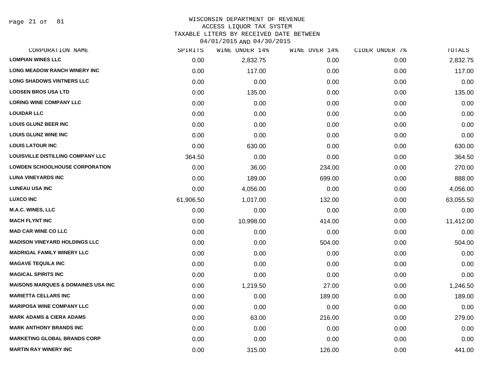Page 21 of 81

### WISCONSIN DEPARTMENT OF REVENUE ACCESS LIQUOR TAX SYSTEM TAXABLE LITERS BY RECEIVED DATE BETWEEN

| CORPORATION NAME                              | SPIRITS   | WINE UNDER 14% | WINE OVER 14% | CIDER UNDER 7% | TOTALS    |
|-----------------------------------------------|-----------|----------------|---------------|----------------|-----------|
| <b>LOMPIAN WINES LLC</b>                      | 0.00      | 2,832.75       | 0.00          | 0.00           | 2,832.75  |
| <b>LONG MEADOW RANCH WINERY INC</b>           | 0.00      | 117.00         | 0.00          | 0.00           | 117.00    |
| <b>LONG SHADOWS VINTNERS LLC</b>              | 0.00      | 0.00           | 0.00          | 0.00           | 0.00      |
| <b>LOOSEN BROS USA LTD</b>                    | 0.00      | 135.00         | 0.00          | 0.00           | 135.00    |
| <b>LORING WINE COMPANY LLC</b>                | 0.00      | 0.00           | 0.00          | 0.00           | 0.00      |
| <b>LOUIDAR LLC</b>                            | 0.00      | 0.00           | 0.00          | 0.00           | 0.00      |
| <b>LOUIS GLUNZ BEER INC</b>                   | 0.00      | 0.00           | 0.00          | 0.00           | 0.00      |
| <b>LOUIS GLUNZ WINE INC</b>                   | 0.00      | 0.00           | 0.00          | 0.00           | 0.00      |
| <b>LOUIS LATOUR INC</b>                       | 0.00      | 630.00         | 0.00          | 0.00           | 630.00    |
| <b>LOUISVILLE DISTILLING COMPANY LLC</b>      | 364.50    | 0.00           | 0.00          | 0.00           | 364.50    |
| <b>LOWDEN SCHOOLHOUSE CORPORATION</b>         | 0.00      | 36.00          | 234.00        | 0.00           | 270.00    |
| <b>LUNA VINEYARDS INC</b>                     | 0.00      | 189.00         | 699.00        | 0.00           | 888.00    |
| <b>LUNEAU USA INC</b>                         | 0.00      | 4,056.00       | 0.00          | 0.00           | 4,056.00  |
| <b>LUXCO INC</b>                              | 61,906.50 | 1,017.00       | 132.00        | 0.00           | 63,055.50 |
| <b>M.A.C. WINES, LLC</b>                      | 0.00      | 0.00           | 0.00          | 0.00           | 0.00      |
| <b>MACH FLYNT INC</b>                         | 0.00      | 10,998.00      | 414.00        | 0.00           | 11,412.00 |
| <b>MAD CAR WINE CO LLC</b>                    | 0.00      | 0.00           | 0.00          | 0.00           | 0.00      |
| <b>MADISON VINEYARD HOLDINGS LLC</b>          | 0.00      | 0.00           | 504.00        | 0.00           | 504.00    |
| <b>MADRIGAL FAMILY WINERY LLC</b>             | 0.00      | 0.00           | 0.00          | 0.00           | 0.00      |
| <b>MAGAVE TEQUILA INC</b>                     | 0.00      | 0.00           | 0.00          | 0.00           | 0.00      |
| <b>MAGICAL SPIRITS INC</b>                    | 0.00      | 0.00           | 0.00          | 0.00           | 0.00      |
| <b>MAISONS MARQUES &amp; DOMAINES USA INC</b> | 0.00      | 1,219.50       | 27.00         | 0.00           | 1,246.50  |
| <b>MARIETTA CELLARS INC</b>                   | 0.00      | 0.00           | 189.00        | 0.00           | 189.00    |
| <b>MARIPOSA WINE COMPANY LLC</b>              | 0.00      | 0.00           | 0.00          | 0.00           | 0.00      |
| <b>MARK ADAMS &amp; CIERA ADAMS</b>           | 0.00      | 63.00          | 216.00        | 0.00           | 279.00    |
| <b>MARK ANTHONY BRANDS INC</b>                | 0.00      | 0.00           | 0.00          | 0.00           | 0.00      |
| <b>MARKETING GLOBAL BRANDS CORP</b>           | 0.00      | 0.00           | 0.00          | 0.00           | 0.00      |
| <b>MARTIN RAY WINERY INC</b>                  | 0.00      | 315.00         | 126.00        | 0.00           | 441.00    |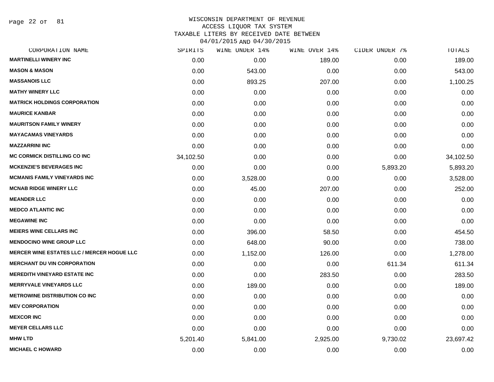Page 22 of 81

| SPIRITS   | WINE UNDER 14% | WINE OVER 14% | CIDER UNDER 7% | TOTALS    |
|-----------|----------------|---------------|----------------|-----------|
| 0.00      | 0.00           | 189.00        | 0.00           | 189.00    |
| 0.00      | 543.00         | 0.00          | 0.00           | 543.00    |
| 0.00      | 893.25         | 207.00        | 0.00           | 1,100.25  |
| 0.00      | 0.00           | 0.00          | 0.00           | 0.00      |
| 0.00      | 0.00           | 0.00          | 0.00           | 0.00      |
| 0.00      | 0.00           | 0.00          | 0.00           | 0.00      |
| 0.00      | 0.00           | 0.00          | 0.00           | 0.00      |
| 0.00      | 0.00           | 0.00          | 0.00           | 0.00      |
| 0.00      | 0.00           | 0.00          | 0.00           | 0.00      |
| 34,102.50 | 0.00           | 0.00          | 0.00           | 34,102.50 |
| 0.00      | 0.00           | 0.00          | 5,893.20       | 5,893.20  |
| 0.00      | 3,528.00       | 0.00          | 0.00           | 3,528.00  |
| 0.00      | 45.00          | 207.00        | 0.00           | 252.00    |
| 0.00      | 0.00           | 0.00          | 0.00           | 0.00      |
| 0.00      | 0.00           | 0.00          | 0.00           | 0.00      |
| 0.00      | 0.00           | 0.00          | 0.00           | 0.00      |
| 0.00      | 396.00         | 58.50         | 0.00           | 454.50    |
| 0.00      | 648.00         | 90.00         | 0.00           | 738.00    |
| 0.00      | 1,152.00       | 126.00        | 0.00           | 1,278.00  |
| 0.00      | 0.00           | 0.00          | 611.34         | 611.34    |
| 0.00      | 0.00           | 283.50        | 0.00           | 283.50    |
| 0.00      | 189.00         | 0.00          | 0.00           | 189.00    |
| 0.00      | 0.00           | 0.00          | 0.00           | 0.00      |
| 0.00      | 0.00           | 0.00          | 0.00           | 0.00      |
| 0.00      | 0.00           | 0.00          | 0.00           | 0.00      |
| 0.00      | 0.00           | 0.00          | 0.00           | 0.00      |
| 5,201.40  | 5,841.00       | 2,925.00      | 9,730.02       | 23,697.42 |
| 0.00      | 0.00           | 0.00          | 0.00           | 0.00      |
|           |                |               |                |           |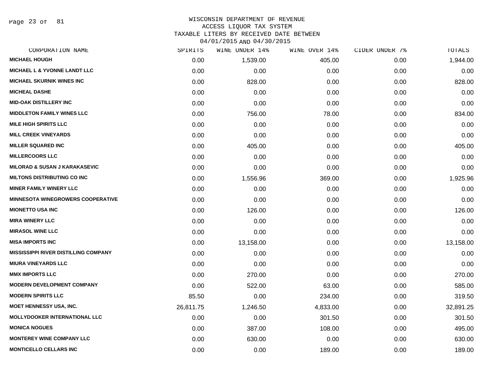Page 23 of 81

### WISCONSIN DEPARTMENT OF REVENUE ACCESS LIQUOR TAX SYSTEM TAXABLE LITERS BY RECEIVED DATE BETWEEN

| CORPORATION NAME                            | SPIRITS   | WINE UNDER 14% | WINE OVER 14% | CIDER UNDER 7% | TOTALS    |
|---------------------------------------------|-----------|----------------|---------------|----------------|-----------|
| <b>MICHAEL HOUGH</b>                        | 0.00      | 1,539.00       | 405.00        | 0.00           | 1,944.00  |
| <b>MICHAEL L &amp; YVONNE LANDT LLC</b>     | 0.00      | 0.00           | 0.00          | 0.00           | 0.00      |
| <b>MICHAEL SKURNIK WINES INC</b>            | 0.00      | 828.00         | 0.00          | 0.00           | 828.00    |
| <b>MICHEAL DASHE</b>                        | 0.00      | 0.00           | 0.00          | 0.00           | 0.00      |
| <b>MID-OAK DISTILLERY INC</b>               | 0.00      | 0.00           | 0.00          | 0.00           | 0.00      |
| <b>MIDDLETON FAMILY WINES LLC</b>           | 0.00      | 756.00         | 78.00         | 0.00           | 834.00    |
| <b>MILE HIGH SPIRITS LLC</b>                | 0.00      | 0.00           | 0.00          | 0.00           | 0.00      |
| <b>MILL CREEK VINEYARDS</b>                 | 0.00      | 0.00           | 0.00          | 0.00           | 0.00      |
| <b>MILLER SQUARED INC</b>                   | 0.00      | 405.00         | 0.00          | 0.00           | 405.00    |
| <b>MILLERCOORS LLC</b>                      | 0.00      | 0.00           | 0.00          | 0.00           | 0.00      |
| <b>MILORAD &amp; SUSAN J KARAKASEVIC</b>    | 0.00      | 0.00           | 0.00          | 0.00           | 0.00      |
| <b>MILTONS DISTRIBUTING CO INC</b>          | 0.00      | 1,556.96       | 369.00        | 0.00           | 1,925.96  |
| <b>MINER FAMILY WINERY LLC</b>              | 0.00      | 0.00           | 0.00          | 0.00           | 0.00      |
| <b>MINNESOTA WINEGROWERS COOPERATIVE</b>    | 0.00      | 0.00           | 0.00          | 0.00           | 0.00      |
| <b>MIONETTO USA INC</b>                     | 0.00      | 126.00         | 0.00          | 0.00           | 126.00    |
| <b>MIRA WINERY LLC</b>                      | 0.00      | 0.00           | 0.00          | 0.00           | 0.00      |
| <b>MIRASOL WINE LLC</b>                     | 0.00      | 0.00           | 0.00          | 0.00           | 0.00      |
| <b>MISA IMPORTS INC</b>                     | 0.00      | 13,158.00      | 0.00          | 0.00           | 13,158.00 |
| <b>MISSISSIPPI RIVER DISTILLING COMPANY</b> | 0.00      | 0.00           | 0.00          | 0.00           | 0.00      |
| <b>MIURA VINEYARDS LLC</b>                  | 0.00      | 0.00           | 0.00          | 0.00           | 0.00      |
| <b>MMX IMPORTS LLC</b>                      | 0.00      | 270.00         | 0.00          | 0.00           | 270.00    |
| <b>MODERN DEVELOPMENT COMPANY</b>           | 0.00      | 522.00         | 63.00         | 0.00           | 585.00    |
| <b>MODERN SPIRITS LLC</b>                   | 85.50     | 0.00           | 234.00        | 0.00           | 319.50    |
| <b>MOET HENNESSY USA, INC.</b>              | 26,811.75 | 1,246.50       | 4,833.00      | 0.00           | 32,891.25 |
| <b>MOLLYDOOKER INTERNATIONAL LLC</b>        | 0.00      | 0.00           | 301.50        | 0.00           | 301.50    |
| <b>MONICA NOGUES</b>                        | 0.00      | 387.00         | 108.00        | 0.00           | 495.00    |
| <b>MONTEREY WINE COMPANY LLC</b>            | 0.00      | 630.00         | 0.00          | 0.00           | 630.00    |
| <b>MONTICELLO CELLARS INC</b>               | 0.00      | 0.00           | 189.00        | 0.00           | 189.00    |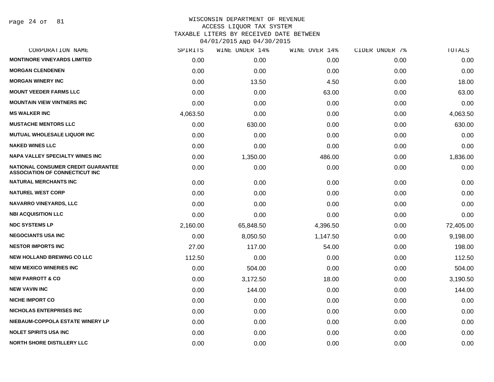Page 24 of 81

| CORPORATION NAME                                                            | SPIRITS  | WINE UNDER 14% | WINE OVER 14% | CIDER UNDER 7% | TOTALS    |
|-----------------------------------------------------------------------------|----------|----------------|---------------|----------------|-----------|
| <b>MONTINORE VINEYARDS LIMITED</b>                                          | 0.00     | 0.00           | 0.00          | 0.00           | 0.00      |
| <b>MORGAN CLENDENEN</b>                                                     | 0.00     | 0.00           | 0.00          | 0.00           | 0.00      |
| <b>MORGAN WINERY INC</b>                                                    | 0.00     | 13.50          | 4.50          | 0.00           | 18.00     |
| <b>MOUNT VEEDER FARMS LLC</b>                                               | 0.00     | 0.00           | 63.00         | 0.00           | 63.00     |
| <b>MOUNTAIN VIEW VINTNERS INC</b>                                           | 0.00     | 0.00           | 0.00          | 0.00           | 0.00      |
| <b>MS WALKER INC</b>                                                        | 4,063.50 | 0.00           | 0.00          | 0.00           | 4,063.50  |
| <b>MUSTACHE MENTORS LLC</b>                                                 | 0.00     | 630.00         | 0.00          | 0.00           | 630.00    |
| <b>MUTUAL WHOLESALE LIQUOR INC</b>                                          | 0.00     | 0.00           | 0.00          | 0.00           | 0.00      |
| <b>NAKED WINES LLC</b>                                                      | 0.00     | 0.00           | 0.00          | 0.00           | 0.00      |
| <b>NAPA VALLEY SPECIALTY WINES INC</b>                                      | 0.00     | 1,350.00       | 486.00        | 0.00           | 1,836.00  |
| NATIONAL CONSUMER CREDIT GUARANTEE<br><b>ASSOCIATION OF CONNECTICUT INC</b> | 0.00     | 0.00           | 0.00          | 0.00           | 0.00      |
| <b>NATURAL MERCHANTS INC</b>                                                | 0.00     | 0.00           | 0.00          | 0.00           | 0.00      |
| <b>NATUREL WEST CORP</b>                                                    | 0.00     | 0.00           | 0.00          | 0.00           | 0.00      |
| <b>NAVARRO VINEYARDS, LLC</b>                                               | 0.00     | 0.00           | 0.00          | 0.00           | 0.00      |
| <b>NBI ACQUISITION LLC</b>                                                  | 0.00     | 0.00           | 0.00          | 0.00           | 0.00      |
| <b>NDC SYSTEMS LP</b>                                                       | 2,160.00 | 65,848.50      | 4,396.50      | 0.00           | 72,405.00 |
| <b>NEGOCIANTS USA INC</b>                                                   | 0.00     | 8,050.50       | 1,147.50      | 0.00           | 9,198.00  |
| <b>NESTOR IMPORTS INC</b>                                                   | 27.00    | 117.00         | 54.00         | 0.00           | 198.00    |
| NEW HOLLAND BREWING CO LLC                                                  | 112.50   | 0.00           | 0.00          | 0.00           | 112.50    |
| <b>NEW MEXICO WINERIES INC.</b>                                             | 0.00     | 504.00         | 0.00          | 0.00           | 504.00    |
| <b>NEW PARROTT &amp; CO</b>                                                 | 0.00     | 3,172.50       | 18.00         | 0.00           | 3,190.50  |
| <b>NEW VAVIN INC</b>                                                        | 0.00     | 144.00         | 0.00          | 0.00           | 144.00    |
| <b>NICHE IMPORT CO</b>                                                      | 0.00     | 0.00           | 0.00          | 0.00           | 0.00      |
| <b>NICHOLAS ENTERPRISES INC</b>                                             | 0.00     | 0.00           | 0.00          | 0.00           | 0.00      |
| NIEBAUM-COPPOLA ESTATE WINERY LP                                            | 0.00     | 0.00           | 0.00          | 0.00           | 0.00      |
| <b>NOLET SPIRITS USA INC</b>                                                | 0.00     | 0.00           | 0.00          | 0.00           | 0.00      |
| <b>NORTH SHORE DISTILLERY LLC</b>                                           | 0.00     | 0.00           | 0.00          | 0.00           | 0.00      |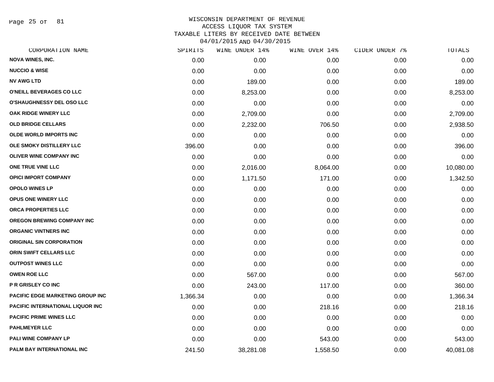Page 25 of 81

| CORPORATION NAME                        | SPIRITS  | WINE UNDER 14% | WINE OVER 14% | CIDER UNDER 7% | TOTALS    |
|-----------------------------------------|----------|----------------|---------------|----------------|-----------|
| <b>NOVA WINES, INC.</b>                 | 0.00     | 0.00           | 0.00          | 0.00           | 0.00      |
| <b>NUCCIO &amp; WISE</b>                | 0.00     | 0.00           | 0.00          | 0.00           | 0.00      |
| <b>NV AWG LTD</b>                       | 0.00     | 189.00         | 0.00          | 0.00           | 189.00    |
| O'NEILL BEVERAGES CO LLC                | 0.00     | 8,253.00       | 0.00          | 0.00           | 8,253.00  |
| <b>O'SHAUGHNESSY DEL OSO LLC</b>        | 0.00     | 0.00           | 0.00          | 0.00           | 0.00      |
| OAK RIDGE WINERY LLC                    | 0.00     | 2,709.00       | 0.00          | 0.00           | 2,709.00  |
| <b>OLD BRIDGE CELLARS</b>               | 0.00     | 2,232.00       | 706.50        | 0.00           | 2,938.50  |
| <b>OLDE WORLD IMPORTS INC</b>           | 0.00     | 0.00           | 0.00          | 0.00           | 0.00      |
| OLE SMOKY DISTILLERY LLC                | 396.00   | 0.00           | 0.00          | 0.00           | 396.00    |
| <b>OLIVER WINE COMPANY INC</b>          | 0.00     | 0.00           | 0.00          | 0.00           | 0.00      |
| ONE TRUE VINE LLC                       | 0.00     | 2,016.00       | 8,064.00      | 0.00           | 10,080.00 |
| <b>OPICI IMPORT COMPANY</b>             | 0.00     | 1,171.50       | 171.00        | 0.00           | 1,342.50  |
| <b>OPOLO WINES LP</b>                   | 0.00     | 0.00           | 0.00          | 0.00           | 0.00      |
| <b>OPUS ONE WINERY LLC</b>              | 0.00     | 0.00           | 0.00          | 0.00           | 0.00      |
| ORCA PROPERTIES LLC                     | 0.00     | 0.00           | 0.00          | 0.00           | 0.00      |
| <b>OREGON BREWING COMPANY INC</b>       | 0.00     | 0.00           | 0.00          | 0.00           | 0.00      |
| <b>ORGANIC VINTNERS INC</b>             | 0.00     | 0.00           | 0.00          | 0.00           | 0.00      |
| <b>ORIGINAL SIN CORPORATION</b>         | 0.00     | 0.00           | 0.00          | 0.00           | 0.00      |
| ORIN SWIFT CELLARS LLC                  | 0.00     | 0.00           | 0.00          | 0.00           | 0.00      |
| <b>OUTPOST WINES LLC</b>                | 0.00     | 0.00           | 0.00          | 0.00           | 0.00      |
| <b>OWEN ROE LLC</b>                     | 0.00     | 567.00         | 0.00          | 0.00           | 567.00    |
| <b>P R GRISLEY CO INC</b>               | 0.00     | 243.00         | 117.00        | 0.00           | 360.00    |
| PACIFIC EDGE MARKETING GROUP INC        | 1,366.34 | 0.00           | 0.00          | 0.00           | 1,366.34  |
| <b>PACIFIC INTERNATIONAL LIQUOR INC</b> | 0.00     | 0.00           | 218.16        | 0.00           | 218.16    |
| <b>PACIFIC PRIME WINES LLC</b>          | 0.00     | 0.00           | 0.00          | 0.00           | 0.00      |
| <b>PAHLMEYER LLC</b>                    | 0.00     | 0.00           | 0.00          | 0.00           | 0.00      |
| <b>PALI WINE COMPANY LP</b>             | 0.00     | 0.00           | 543.00        | 0.00           | 543.00    |
| PALM BAY INTERNATIONAL INC              | 241.50   | 38,281.08      | 1,558.50      | 0.00           | 40,081.08 |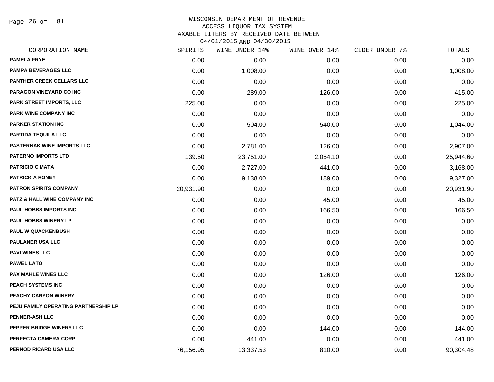Page 26 of 81

| CORPORATION NAME                        | SPIRITS   | WINE UNDER 14% | WINE OVER 14% | CIDER UNDER 7% | TOTALS    |
|-----------------------------------------|-----------|----------------|---------------|----------------|-----------|
| <b>PAMELA FRYE</b>                      | 0.00      | 0.00           | 0.00          | 0.00           | 0.00      |
| <b>PAMPA BEVERAGES LLC</b>              | 0.00      | 1,008.00       | 0.00          | 0.00           | 1,008.00  |
| <b>PANTHER CREEK CELLARS LLC</b>        | 0.00      | 0.00           | 0.00          | 0.00           | 0.00      |
| PARAGON VINEYARD CO INC                 | 0.00      | 289.00         | 126.00        | 0.00           | 415.00    |
| PARK STREET IMPORTS, LLC                | 225.00    | 0.00           | 0.00          | 0.00           | 225.00    |
| PARK WINE COMPANY INC                   | 0.00      | 0.00           | 0.00          | 0.00           | 0.00      |
| <b>PARKER STATION INC</b>               | 0.00      | 504.00         | 540.00        | 0.00           | 1,044.00  |
| <b>PARTIDA TEQUILA LLC</b>              | 0.00      | 0.00           | 0.00          | 0.00           | 0.00      |
| <b>PASTERNAK WINE IMPORTS LLC</b>       | 0.00      | 2,781.00       | 126.00        | 0.00           | 2,907.00  |
| <b>PATERNO IMPORTS LTD</b>              | 139.50    | 23,751.00      | 2,054.10      | 0.00           | 25,944.60 |
| <b>PATRICIO C MATA</b>                  | 0.00      | 2,727.00       | 441.00        | 0.00           | 3,168.00  |
| <b>PATRICK A RONEY</b>                  | 0.00      | 9,138.00       | 189.00        | 0.00           | 9,327.00  |
| <b>PATRON SPIRITS COMPANY</b>           | 20,931.90 | 0.00           | 0.00          | 0.00           | 20,931.90 |
| <b>PATZ &amp; HALL WINE COMPANY INC</b> | 0.00      | 0.00           | 45.00         | 0.00           | 45.00     |
| PAUL HOBBS IMPORTS INC                  | 0.00      | 0.00           | 166.50        | 0.00           | 166.50    |
| PAUL HOBBS WINERY LP                    | 0.00      | 0.00           | 0.00          | 0.00           | 0.00      |
| <b>PAUL W QUACKENBUSH</b>               | 0.00      | 0.00           | 0.00          | 0.00           | 0.00      |
| <b>PAULANER USA LLC</b>                 | 0.00      | 0.00           | 0.00          | 0.00           | 0.00      |
| <b>PAVI WINES LLC</b>                   | 0.00      | 0.00           | 0.00          | 0.00           | 0.00      |
| <b>PAWEL LATO</b>                       | 0.00      | 0.00           | 0.00          | 0.00           | 0.00      |
| <b>PAX MAHLE WINES LLC</b>              | 0.00      | 0.00           | 126.00        | 0.00           | 126.00    |
| <b>PEACH SYSTEMS INC</b>                | 0.00      | 0.00           | 0.00          | 0.00           | 0.00      |
| PEACHY CANYON WINERY                    | 0.00      | 0.00           | 0.00          | 0.00           | 0.00      |
| PEJU FAMILY OPERATING PARTNERSHIP LP    | 0.00      | 0.00           | 0.00          | 0.00           | 0.00      |
| <b>PENNER-ASH LLC</b>                   | 0.00      | 0.00           | 0.00          | 0.00           | 0.00      |
| PEPPER BRIDGE WINERY LLC                | 0.00      | 0.00           | 144.00        | 0.00           | 144.00    |
| PERFECTA CAMERA CORP                    | 0.00      | 441.00         | 0.00          | 0.00           | 441.00    |
| PERNOD RICARD USA LLC                   | 76,156.95 | 13,337.53      | 810.00        | 0.00           | 90,304.48 |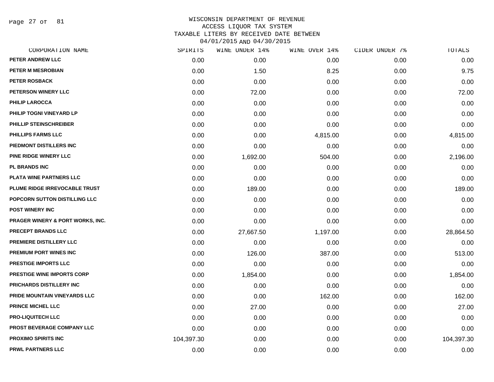Page 27 of 81

| CORPORATION NAME                            | SPIRITS    | WINE UNDER 14% | WINE OVER 14% | CIDER UNDER 7% | TOTALS     |
|---------------------------------------------|------------|----------------|---------------|----------------|------------|
| PETER ANDREW LLC                            | 0.00       | 0.00           | 0.00          | 0.00           | 0.00       |
| <b>PETER M MESROBIAN</b>                    | 0.00       | 1.50           | 8.25          | 0.00           | 9.75       |
| <b>PETER ROSBACK</b>                        | 0.00       | 0.00           | 0.00          | 0.00           | 0.00       |
| PETERSON WINERY LLC                         | 0.00       | 72.00          | 0.00          | 0.00           | 72.00      |
| <b>PHILIP LAROCCA</b>                       | 0.00       | 0.00           | 0.00          | 0.00           | 0.00       |
| PHILIP TOGNI VINEYARD LP                    | 0.00       | 0.00           | 0.00          | 0.00           | 0.00       |
| PHILLIP STEINSCHREIBER                      | 0.00       | 0.00           | 0.00          | 0.00           | 0.00       |
| <b>PHILLIPS FARMS LLC</b>                   | 0.00       | 0.00           | 4,815.00      | 0.00           | 4,815.00   |
| PIEDMONT DISTILLERS INC                     | 0.00       | 0.00           | 0.00          | 0.00           | 0.00       |
| <b>PINE RIDGE WINERY LLC</b>                | 0.00       | 1,692.00       | 504.00        | 0.00           | 2,196.00   |
| <b>PL BRANDS INC</b>                        | 0.00       | 0.00           | 0.00          | 0.00           | 0.00       |
| PLATA WINE PARTNERS LLC                     | 0.00       | 0.00           | 0.00          | 0.00           | 0.00       |
| PLUME RIDGE IRREVOCABLE TRUST               | 0.00       | 189.00         | 0.00          | 0.00           | 189.00     |
| POPCORN SUTTON DISTILLING LLC               | 0.00       | 0.00           | 0.00          | 0.00           | 0.00       |
| <b>POST WINERY INC</b>                      | 0.00       | 0.00           | 0.00          | 0.00           | 0.00       |
| <b>PRAGER WINERY &amp; PORT WORKS, INC.</b> | 0.00       | 0.00           | 0.00          | 0.00           | 0.00       |
| <b>PRECEPT BRANDS LLC</b>                   | 0.00       | 27,667.50      | 1,197.00      | 0.00           | 28,864.50  |
| PREMIERE DISTILLERY LLC                     | 0.00       | 0.00           | 0.00          | 0.00           | 0.00       |
| <b>PREMIUM PORT WINES INC</b>               | 0.00       | 126.00         | 387.00        | 0.00           | 513.00     |
| <b>PRESTIGE IMPORTS LLC</b>                 | 0.00       | 0.00           | 0.00          | 0.00           | 0.00       |
| <b>PRESTIGE WINE IMPORTS CORP</b>           | 0.00       | 1,854.00       | 0.00          | 0.00           | 1,854.00   |
| PRICHARDS DISTILLERY INC                    | 0.00       | 0.00           | 0.00          | 0.00           | 0.00       |
| PRIDE MOUNTAIN VINEYARDS LLC                | 0.00       | 0.00           | 162.00        | 0.00           | 162.00     |
| PRINCE MICHEL LLC                           | 0.00       | 27.00          | 0.00          | 0.00           | 27.00      |
| <b>PRO-LIQUITECH LLC</b>                    | 0.00       | 0.00           | 0.00          | 0.00           | 0.00       |
| PROST BEVERAGE COMPANY LLC                  | 0.00       | 0.00           | 0.00          | 0.00           | 0.00       |
| <b>PROXIMO SPIRITS INC</b>                  | 104,397.30 | 0.00           | 0.00          | 0.00           | 104,397.30 |
| <b>PRWL PARTNERS LLC</b>                    | 0.00       | 0.00           | 0.00          | 0.00           | 0.00       |
|                                             |            |                |               |                |            |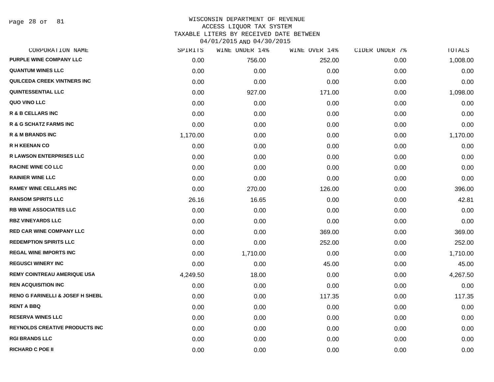Page 28 of 81

| CORPORATION NAME                            | SPIRITS  | WINE UNDER 14% | WINE OVER 14% | CIDER UNDER 7% | TOTALS   |
|---------------------------------------------|----------|----------------|---------------|----------------|----------|
| <b>PURPLE WINE COMPANY LLC</b>              | 0.00     | 756.00         | 252.00        | 0.00           | 1,008.00 |
| <b>QUANTUM WINES LLC</b>                    | 0.00     | 0.00           | 0.00          | 0.00           | 0.00     |
| QUILCEDA CREEK VINTNERS INC                 | 0.00     | 0.00           | 0.00          | 0.00           | 0.00     |
| <b>QUINTESSENTIAL LLC</b>                   | 0.00     | 927.00         | 171.00        | 0.00           | 1,098.00 |
| QUO VINO LLC                                | 0.00     | 0.00           | 0.00          | 0.00           | 0.00     |
| <b>R &amp; B CELLARS INC</b>                | 0.00     | 0.00           | 0.00          | 0.00           | 0.00     |
| <b>R &amp; G SCHATZ FARMS INC</b>           | 0.00     | 0.00           | 0.00          | 0.00           | 0.00     |
| <b>R &amp; M BRANDS INC</b>                 | 1,170.00 | 0.00           | 0.00          | 0.00           | 1,170.00 |
| <b>R H KEENAN CO</b>                        | 0.00     | 0.00           | 0.00          | 0.00           | 0.00     |
| <b>R LAWSON ENTERPRISES LLC</b>             | 0.00     | 0.00           | 0.00          | 0.00           | 0.00     |
| <b>RACINE WINE CO LLC</b>                   | 0.00     | 0.00           | 0.00          | 0.00           | 0.00     |
| <b>RAINIER WINE LLC</b>                     | 0.00     | 0.00           | 0.00          | 0.00           | 0.00     |
| <b>RAMEY WINE CELLARS INC</b>               | 0.00     | 270.00         | 126.00        | 0.00           | 396.00   |
| <b>RANSOM SPIRITS LLC</b>                   | 26.16    | 16.65          | 0.00          | 0.00           | 42.81    |
| <b>RB WINE ASSOCIATES LLC</b>               | 0.00     | 0.00           | 0.00          | 0.00           | 0.00     |
| <b>RBZ VINEYARDS LLC</b>                    | 0.00     | 0.00           | 0.00          | 0.00           | 0.00     |
| <b>RED CAR WINE COMPANY LLC</b>             | 0.00     | 0.00           | 369.00        | 0.00           | 369.00   |
| <b>REDEMPTION SPIRITS LLC</b>               | 0.00     | 0.00           | 252.00        | 0.00           | 252.00   |
| <b>REGAL WINE IMPORTS INC</b>               | 0.00     | 1,710.00       | 0.00          | 0.00           | 1,710.00 |
| <b>REGUSCI WINERY INC</b>                   | 0.00     | 0.00           | 45.00         | 0.00           | 45.00    |
| <b>REMY COINTREAU AMERIQUE USA</b>          | 4,249.50 | 18.00          | 0.00          | 0.00           | 4,267.50 |
| <b>REN ACQUISITION INC</b>                  | 0.00     | 0.00           | 0.00          | 0.00           | 0.00     |
| <b>RENO G FARINELLI &amp; JOSEF H SHEBL</b> | 0.00     | 0.00           | 117.35        | 0.00           | 117.35   |
| <b>RENT A BBQ</b>                           | 0.00     | 0.00           | 0.00          | 0.00           | 0.00     |
| <b>RESERVA WINES LLC</b>                    | 0.00     | 0.00           | 0.00          | 0.00           | 0.00     |
| <b>REYNOLDS CREATIVE PRODUCTS INC</b>       | 0.00     | 0.00           | 0.00          | 0.00           | 0.00     |
| <b>RGI BRANDS LLC</b>                       | 0.00     | 0.00           | 0.00          | 0.00           | 0.00     |
| <b>RICHARD C POE II</b>                     | 0.00     | 0.00           | 0.00          | 0.00           | 0.00     |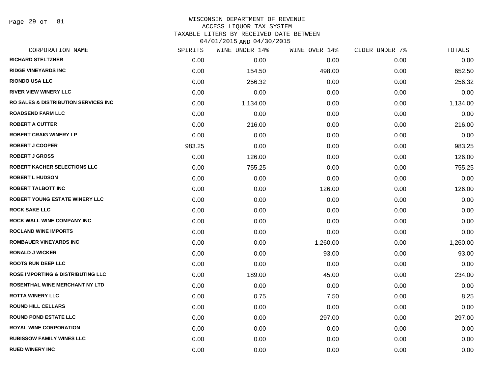Page 29 of 81

#### WISCONSIN DEPARTMENT OF REVENUE ACCESS LIQUOR TAX SYSTEM

TAXABLE LITERS BY RECEIVED DATE BETWEEN

| CORPORATION NAME                                 | SPIRITS | WINE UNDER 14% | WINE OVER 14% | CIDER UNDER 7% | TOTALS   |
|--------------------------------------------------|---------|----------------|---------------|----------------|----------|
| <b>RICHARD STELTZNER</b>                         | 0.00    | 0.00           | 0.00          | 0.00           | 0.00     |
| <b>RIDGE VINEYARDS INC</b>                       | 0.00    | 154.50         | 498.00        | 0.00           | 652.50   |
| <b>RIONDO USA LLC</b>                            | 0.00    | 256.32         | 0.00          | 0.00           | 256.32   |
| <b>RIVER VIEW WINERY LLC</b>                     | 0.00    | 0.00           | 0.00          | 0.00           | 0.00     |
| <b>RO SALES &amp; DISTRIBUTION SERVICES INC.</b> | 0.00    | 1,134.00       | 0.00          | 0.00           | 1,134.00 |
| <b>ROADSEND FARM LLC</b>                         | 0.00    | 0.00           | 0.00          | 0.00           | 0.00     |
| <b>ROBERT A CUTTER</b>                           | 0.00    | 216.00         | 0.00          | 0.00           | 216.00   |
| <b>ROBERT CRAIG WINERY LP</b>                    | 0.00    | 0.00           | 0.00          | 0.00           | 0.00     |
| <b>ROBERT J COOPER</b>                           | 983.25  | 0.00           | 0.00          | 0.00           | 983.25   |
| <b>ROBERT J GROSS</b>                            | 0.00    | 126.00         | 0.00          | 0.00           | 126.00   |
| <b>ROBERT KACHER SELECTIONS LLC</b>              | 0.00    | 755.25         | 0.00          | 0.00           | 755.25   |
| <b>ROBERT L HUDSON</b>                           | 0.00    | 0.00           | 0.00          | 0.00           | 0.00     |
| <b>ROBERT TALBOTT INC</b>                        | 0.00    | 0.00           | 126.00        | 0.00           | 126.00   |
| ROBERT YOUNG ESTATE WINERY LLC                   | 0.00    | 0.00           | 0.00          | 0.00           | 0.00     |
| <b>ROCK SAKE LLC</b>                             | 0.00    | 0.00           | 0.00          | 0.00           | 0.00     |
| <b>ROCK WALL WINE COMPANY INC</b>                | 0.00    | 0.00           | 0.00          | 0.00           | 0.00     |
| <b>ROCLAND WINE IMPORTS</b>                      | 0.00    | 0.00           | 0.00          | 0.00           | 0.00     |
| <b>ROMBAUER VINEYARDS INC</b>                    | 0.00    | 0.00           | 1,260.00      | 0.00           | 1,260.00 |
| <b>RONALD J WICKER</b>                           | 0.00    | 0.00           | 93.00         | 0.00           | 93.00    |
| <b>ROOTS RUN DEEP LLC</b>                        | 0.00    | 0.00           | 0.00          | 0.00           | 0.00     |
| <b>ROSE IMPORTING &amp; DISTRIBUTING LLC</b>     | 0.00    | 189.00         | 45.00         | 0.00           | 234.00   |
| <b>ROSENTHAL WINE MERCHANT NY LTD</b>            | 0.00    | 0.00           | 0.00          | 0.00           | 0.00     |
| <b>ROTTA WINERY LLC</b>                          | 0.00    | 0.75           | 7.50          | 0.00           | 8.25     |
| <b>ROUND HILL CELLARS</b>                        | 0.00    | 0.00           | 0.00          | 0.00           | 0.00     |
| <b>ROUND POND ESTATE LLC</b>                     | 0.00    | 0.00           | 297.00        | 0.00           | 297.00   |
| <b>ROYAL WINE CORPORATION</b>                    | 0.00    | 0.00           | 0.00          | 0.00           | 0.00     |
| <b>RUBISSOW FAMILY WINES LLC</b>                 | 0.00    | 0.00           | 0.00          | 0.00           | 0.00     |
| <b>RUED WINERY INC</b>                           | 0.00    | 0.00           | 0.00          | 0.00           | 0.00     |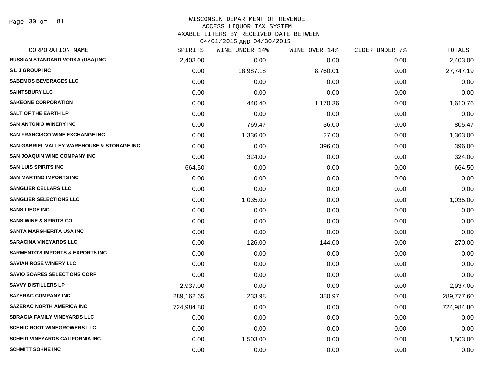Page 30 of 81

## WISCONSIN DEPARTMENT OF REVENUE ACCESS LIQUOR TAX SYSTEM

TAXABLE LITERS BY RECEIVED DATE BETWEEN

| CORPORATION NAME                            | SPIRITS    | WINE UNDER 14% | WINE OVER 14% | CIDER UNDER 7% | TOTALS     |
|---------------------------------------------|------------|----------------|---------------|----------------|------------|
| RUSSIAN STANDARD VODKA (USA) INC            | 2,403.00   | 0.00           | 0.00          | 0.00           | 2,403.00   |
| <b>SLJ GROUP INC</b>                        | 0.00       | 18,987.18      | 8,760.01      | 0.00           | 27,747.19  |
| <b>SABEMOS BEVERAGES LLC</b>                | 0.00       | 0.00           | 0.00          | 0.00           | 0.00       |
| <b>SAINTSBURY LLC</b>                       | 0.00       | 0.00           | 0.00          | 0.00           | 0.00       |
| <b>SAKEONE CORPORATION</b>                  | 0.00       | 440.40         | 1,170.36      | 0.00           | 1,610.76   |
| <b>SALT OF THE EARTH LP</b>                 | 0.00       | 0.00           | 0.00          | 0.00           | 0.00       |
| <b>SAN ANTONIO WINERY INC</b>               | 0.00       | 769.47         | 36.00         | 0.00           | 805.47     |
| <b>SAN FRANCISCO WINE EXCHANGE INC</b>      | 0.00       | 1,336.00       | 27.00         | 0.00           | 1,363.00   |
| SAN GABRIEL VALLEY WAREHOUSE & STORAGE INC  | 0.00       | 0.00           | 396.00        | 0.00           | 396.00     |
| <b>SAN JOAQUIN WINE COMPANY INC</b>         | 0.00       | 324.00         | 0.00          | 0.00           | 324.00     |
| <b>SAN LUIS SPIRITS INC</b>                 | 664.50     | 0.00           | 0.00          | 0.00           | 664.50     |
| <b>SAN MARTINO IMPORTS INC</b>              | 0.00       | 0.00           | 0.00          | 0.00           | 0.00       |
| <b>SANGLIER CELLARS LLC</b>                 | 0.00       | 0.00           | 0.00          | 0.00           | 0.00       |
| <b>SANGLIER SELECTIONS LLC</b>              | 0.00       | 1,035.00       | 0.00          | 0.00           | 1,035.00   |
| <b>SANS LIEGE INC</b>                       | 0.00       | 0.00           | 0.00          | 0.00           | 0.00       |
| <b>SANS WINE &amp; SPIRITS CO</b>           | 0.00       | 0.00           | 0.00          | 0.00           | 0.00       |
| <b>SANTA MARGHERITA USA INC</b>             | 0.00       | 0.00           | 0.00          | 0.00           | 0.00       |
| <b>SARACINA VINEYARDS LLC</b>               | 0.00       | 126.00         | 144.00        | 0.00           | 270.00     |
| <b>SARMENTO'S IMPORTS &amp; EXPORTS INC</b> | 0.00       | 0.00           | 0.00          | 0.00           | 0.00       |
| <b>SAVIAH ROSE WINERY LLC</b>               | 0.00       | 0.00           | 0.00          | 0.00           | 0.00       |
| <b>SAVIO SOARES SELECTIONS CORP</b>         | 0.00       | 0.00           | 0.00          | 0.00           | 0.00       |
| <b>SAVVY DISTILLERS LP</b>                  | 2,937.00   | 0.00           | 0.00          | 0.00           | 2,937.00   |
| <b>SAZERAC COMPANY INC</b>                  | 289,162.65 | 233.98         | 380.97        | 0.00           | 289,777.60 |
| <b>SAZERAC NORTH AMERICA INC</b>            | 724,984.80 | 0.00           | 0.00          | 0.00           | 724,984.80 |
| <b>SBRAGIA FAMILY VINEYARDS LLC</b>         | 0.00       | 0.00           | 0.00          | 0.00           | 0.00       |
| <b>SCENIC ROOT WINEGROWERS LLC</b>          | 0.00       | 0.00           | 0.00          | 0.00           | 0.00       |
| <b>SCHEID VINEYARDS CALIFORNIA INC</b>      | 0.00       | 1,503.00       | 0.00          | 0.00           | 1,503.00   |
| <b>SCHMITT SOHNE INC</b>                    | 0.00       | 0.00           | 0.00          | 0.00           | 0.00       |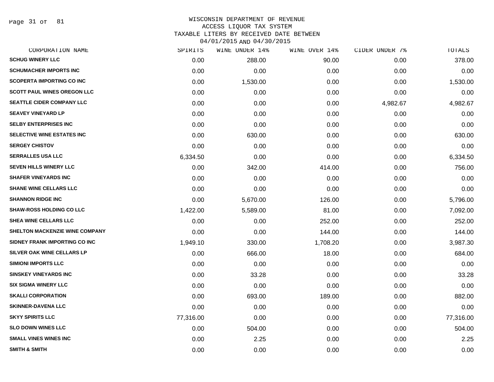Page 31 of 81

| CORPORATION NAME                      | SPIRITS   | WINE UNDER 14% | WINE OVER 14% | CIDER UNDER 7% | TOTALS    |
|---------------------------------------|-----------|----------------|---------------|----------------|-----------|
| <b>SCHUG WINERY LLC</b>               | 0.00      | 288.00         | 90.00         | 0.00           | 378.00    |
| <b>SCHUMACHER IMPORTS INC</b>         | 0.00      | 0.00           | 0.00          | 0.00           | 0.00      |
| <b>SCOPERTA IMPORTING CO INC</b>      | 0.00      | 1,530.00       | 0.00          | 0.00           | 1,530.00  |
| SCOTT PAUL WINES OREGON LLC           | 0.00      | 0.00           | 0.00          | 0.00           | 0.00      |
| SEATTLE CIDER COMPANY LLC             | 0.00      | 0.00           | 0.00          | 4,982.67       | 4,982.67  |
| <b>SEAVEY VINEYARD LP</b>             | 0.00      | 0.00           | 0.00          | 0.00           | 0.00      |
| <b>SELBY ENTERPRISES INC</b>          | 0.00      | 0.00           | 0.00          | 0.00           | 0.00      |
| SELECTIVE WINE ESTATES INC            | 0.00      | 630.00         | 0.00          | 0.00           | 630.00    |
| <b>SERGEY CHISTOV</b>                 | 0.00      | 0.00           | 0.00          | 0.00           | 0.00      |
| <b>SERRALLES USA LLC</b>              | 6,334.50  | 0.00           | 0.00          | 0.00           | 6,334.50  |
| <b>SEVEN HILLS WINERY LLC</b>         | 0.00      | 342.00         | 414.00        | 0.00           | 756.00    |
| <b>SHAFER VINEYARDS INC</b>           | 0.00      | 0.00           | 0.00          | 0.00           | 0.00      |
| <b>SHANE WINE CELLARS LLC</b>         | 0.00      | 0.00           | 0.00          | 0.00           | 0.00      |
| <b>SHANNON RIDGE INC</b>              | 0.00      | 5,670.00       | 126.00        | 0.00           | 5,796.00  |
| <b>SHAW-ROSS HOLDING CO LLC</b>       | 1,422.00  | 5,589.00       | 81.00         | 0.00           | 7,092.00  |
| SHEA WINE CELLARS LLC                 | 0.00      | 0.00           | 252.00        | 0.00           | 252.00    |
| <b>SHELTON MACKENZIE WINE COMPANY</b> | 0.00      | 0.00           | 144.00        | 0.00           | 144.00    |
| SIDNEY FRANK IMPORTING CO INC         | 1,949.10  | 330.00         | 1,708.20      | 0.00           | 3,987.30  |
| <b>SILVER OAK WINE CELLARS LP</b>     | 0.00      | 666.00         | 18.00         | 0.00           | 684.00    |
| <b>SIMIONI IMPORTS LLC</b>            | 0.00      | 0.00           | 0.00          | 0.00           | 0.00      |
| <b>SINSKEY VINEYARDS INC</b>          | 0.00      | 33.28          | 0.00          | 0.00           | 33.28     |
| <b>SIX SIGMA WINERY LLC</b>           | 0.00      | 0.00           | 0.00          | 0.00           | 0.00      |
| <b>SKALLI CORPORATION</b>             | 0.00      | 693.00         | 189.00        | 0.00           | 882.00    |
| <b>SKINNER-DAVENA LLC</b>             | 0.00      | 0.00           | 0.00          | 0.00           | 0.00      |
| <b>SKYY SPIRITS LLC</b>               | 77,316.00 | 0.00           | 0.00          | 0.00           | 77,316.00 |
| <b>SLO DOWN WINES LLC</b>             | 0.00      | 504.00         | 0.00          | 0.00           | 504.00    |
| <b>SMALL VINES WINES INC</b>          | 0.00      | 2.25           | 0.00          | 0.00           | 2.25      |
| <b>SMITH &amp; SMITH</b>              | 0.00      | 0.00           | 0.00          | 0.00           | 0.00      |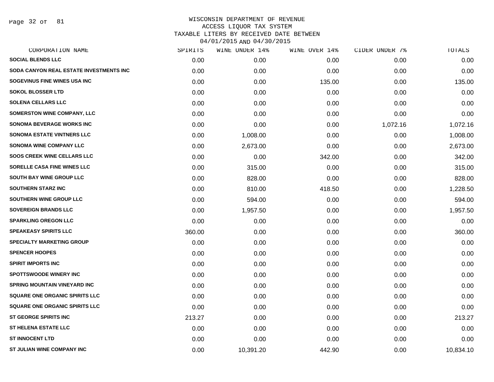Page 32 of 81

| CORPORATION NAME                        | SPIRITS | WINE UNDER 14% | WINE OVER 14% | CIDER UNDER 7% | TOTALS    |
|-----------------------------------------|---------|----------------|---------------|----------------|-----------|
| <b>SOCIAL BLENDS LLC</b>                | 0.00    | 0.00           | 0.00          | 0.00           | 0.00      |
| SODA CANYON REAL ESTATE INVESTMENTS INC | 0.00    | 0.00           | 0.00          | 0.00           | 0.00      |
| SOGEVINUS FINE WINES USA INC            | 0.00    | 0.00           | 135.00        | 0.00           | 135.00    |
| <b>SOKOL BLOSSER LTD</b>                | 0.00    | 0.00           | 0.00          | 0.00           | 0.00      |
| <b>SOLENA CELLARS LLC</b>               | 0.00    | 0.00           | 0.00          | 0.00           | 0.00      |
| <b>SOMERSTON WINE COMPANY, LLC</b>      | 0.00    | 0.00           | 0.00          | 0.00           | 0.00      |
| <b>SONOMA BEVERAGE WORKS INC</b>        | 0.00    | 0.00           | 0.00          | 1,072.16       | 1,072.16  |
| <b>SONOMA ESTATE VINTNERS LLC</b>       | 0.00    | 1,008.00       | 0.00          | 0.00           | 1,008.00  |
| <b>SONOMA WINE COMPANY LLC</b>          | 0.00    | 2,673.00       | 0.00          | 0.00           | 2,673.00  |
| <b>SOOS CREEK WINE CELLARS LLC</b>      | 0.00    | 0.00           | 342.00        | 0.00           | 342.00    |
| <b>SORELLE CASA FINE WINES LLC</b>      | 0.00    | 315.00         | 0.00          | 0.00           | 315.00    |
| <b>SOUTH BAY WINE GROUP LLC</b>         | 0.00    | 828.00         | 0.00          | 0.00           | 828.00    |
| <b>SOUTHERN STARZ INC</b>               | 0.00    | 810.00         | 418.50        | 0.00           | 1,228.50  |
| SOUTHERN WINE GROUP LLC                 | 0.00    | 594.00         | 0.00          | 0.00           | 594.00    |
| <b>SOVEREIGN BRANDS LLC</b>             | 0.00    | 1,957.50       | 0.00          | 0.00           | 1,957.50  |
| <b>SPARKLING OREGON LLC</b>             | 0.00    | 0.00           | 0.00          | 0.00           | 0.00      |
| <b>SPEAKEASY SPIRITS LLC</b>            | 360.00  | 0.00           | 0.00          | 0.00           | 360.00    |
| SPECIALTY MARKETING GROUP               | 0.00    | 0.00           | 0.00          | 0.00           | 0.00      |
| <b>SPENCER HOOPES</b>                   | 0.00    | 0.00           | 0.00          | 0.00           | 0.00      |
| <b>SPIRIT IMPORTS INC</b>               | 0.00    | 0.00           | 0.00          | 0.00           | 0.00      |
| <b>SPOTTSWOODE WINERY INC</b>           | 0.00    | 0.00           | 0.00          | 0.00           | 0.00      |
| <b>SPRING MOUNTAIN VINEYARD INC</b>     | 0.00    | 0.00           | 0.00          | 0.00           | 0.00      |
| <b>SQUARE ONE ORGANIC SPIRITS LLC</b>   | 0.00    | 0.00           | 0.00          | 0.00           | 0.00      |
| <b>SQUARE ONE ORGANIC SPIRITS LLC</b>   | 0.00    | 0.00           | 0.00          | 0.00           | 0.00      |
| <b>ST GEORGE SPIRITS INC</b>            | 213.27  | 0.00           | 0.00          | 0.00           | 213.27    |
| <b>ST HELENA ESTATE LLC</b>             | 0.00    | 0.00           | 0.00          | 0.00           | 0.00      |
| <b>ST INNOCENT LTD</b>                  | 0.00    | 0.00           | 0.00          | 0.00           | 0.00      |
| ST JULIAN WINE COMPANY INC              | 0.00    | 10,391.20      | 442.90        | 0.00           | 10,834.10 |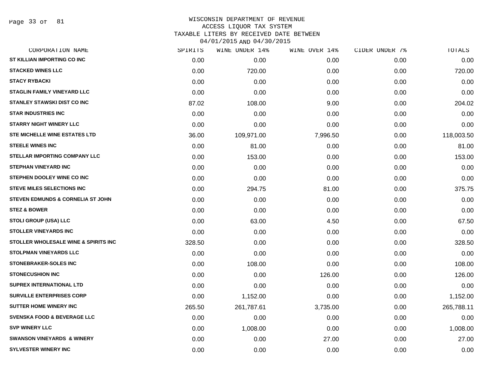| CORPORATION NAME                             | SPIRITS | WINE UNDER 14% | WINE OVER 14% | CIDER UNDER 7% | TOTALS     |
|----------------------------------------------|---------|----------------|---------------|----------------|------------|
| ST KILLIAN IMPORTING CO INC                  | 0.00    | 0.00           | 0.00          | 0.00           | 0.00       |
| <b>STACKED WINES LLC</b>                     | 0.00    | 720.00         | 0.00          | 0.00           | 720.00     |
| <b>STACY RYBACKI</b>                         | 0.00    | 0.00           | 0.00          | 0.00           | 0.00       |
| <b>STAGLIN FAMILY VINEYARD LLC</b>           | 0.00    | 0.00           | 0.00          | 0.00           | 0.00       |
| <b>STANLEY STAWSKI DIST CO INC</b>           | 87.02   | 108.00         | 9.00          | 0.00           | 204.02     |
| <b>STAR INDUSTRIES INC</b>                   | 0.00    | 0.00           | 0.00          | 0.00           | 0.00       |
| <b>STARRY NIGHT WINERY LLC</b>               | 0.00    | 0.00           | 0.00          | 0.00           | 0.00       |
| STE MICHELLE WINE ESTATES LTD                | 36.00   | 109,971.00     | 7,996.50      | 0.00           | 118,003.50 |
| <b>STEELE WINES INC</b>                      | 0.00    | 81.00          | 0.00          | 0.00           | 81.00      |
| <b>STELLAR IMPORTING COMPANY LLC</b>         | 0.00    | 153.00         | 0.00          | 0.00           | 153.00     |
| <b>STEPHAN VINEYARD INC</b>                  | 0.00    | 0.00           | 0.00          | 0.00           | 0.00       |
| STEPHEN DOOLEY WINE CO INC                   | 0.00    | 0.00           | 0.00          | 0.00           | 0.00       |
| <b>STEVE MILES SELECTIONS INC</b>            | 0.00    | 294.75         | 81.00         | 0.00           | 375.75     |
| <b>STEVEN EDMUNDS &amp; CORNELIA ST JOHN</b> | 0.00    | 0.00           | 0.00          | 0.00           | 0.00       |
| <b>STEZ &amp; BOWER</b>                      | 0.00    | 0.00           | 0.00          | 0.00           | 0.00       |
| <b>STOLI GROUP (USA) LLC</b>                 | 0.00    | 63.00          | 4.50          | 0.00           | 67.50      |
| <b>STOLLER VINEYARDS INC</b>                 | 0.00    | 0.00           | 0.00          | 0.00           | 0.00       |
| STOLLER WHOLESALE WINE & SPIRITS INC         | 328.50  | 0.00           | 0.00          | 0.00           | 328.50     |
| <b>STOLPMAN VINEYARDS LLC</b>                | 0.00    | 0.00           | 0.00          | 0.00           | 0.00       |
| <b>STONEBRAKER-SOLES INC</b>                 | 0.00    | 108.00         | 0.00          | 0.00           | 108.00     |
| <b>STONECUSHION INC</b>                      | 0.00    | 0.00           | 126.00        | 0.00           | 126.00     |
| SUPREX INTERNATIONAL LTD                     | 0.00    | 0.00           | 0.00          | 0.00           | 0.00       |
| <b>SURVILLE ENTERPRISES CORP</b>             | 0.00    | 1,152.00       | 0.00          | 0.00           | 1,152.00   |
| <b>SUTTER HOME WINERY INC</b>                | 265.50  | 261,787.61     | 3,735.00      | 0.00           | 265,788.11 |
| <b>SVENSKA FOOD &amp; BEVERAGE LLC</b>       | 0.00    | 0.00           | 0.00          | 0.00           | 0.00       |
| <b>SVP WINERY LLC</b>                        | 0.00    | 1,008.00       | 0.00          | 0.00           | 1,008.00   |
| <b>SWANSON VINEYARDS &amp; WINERY</b>        | 0.00    | 0.00           | 27.00         | 0.00           | 27.00      |
| <b>SYLVESTER WINERY INC</b>                  | 0.00    | 0.00           | 0.00          | 0.00           | 0.00       |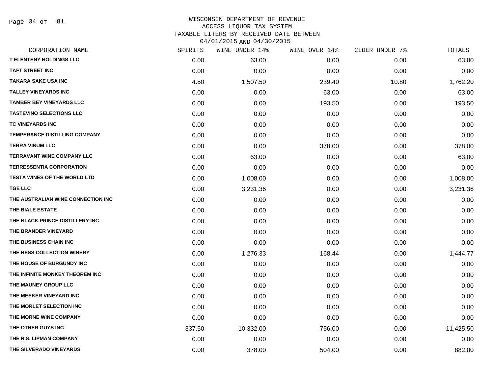Page 34 of 81

| CORPORATION NAME                     | SPIRITS | WINE UNDER 14% | WINE OVER 14% | CIDER UNDER 7% | TOTALS    |
|--------------------------------------|---------|----------------|---------------|----------------|-----------|
| <b>T ELENTENY HOLDINGS LLC</b>       | 0.00    | 63.00          | 0.00          | 0.00           | 63.00     |
| <b>TAFT STREET INC</b>               | 0.00    | 0.00           | 0.00          | 0.00           | 0.00      |
| <b>TAKARA SAKE USA INC</b>           | 4.50    | 1,507.50       | 239.40        | 10.80          | 1,762.20  |
| <b>TALLEY VINEYARDS INC</b>          | 0.00    | 0.00           | 63.00         | 0.00           | 63.00     |
| <b>TAMBER BEY VINEYARDS LLC</b>      | 0.00    | 0.00           | 193.50        | 0.00           | 193.50    |
| <b>TASTEVINO SELECTIONS LLC</b>      | 0.00    | 0.00           | 0.00          | 0.00           | 0.00      |
| <b>TC VINEYARDS INC</b>              | 0.00    | 0.00           | 0.00          | 0.00           | 0.00      |
| <b>TEMPERANCE DISTILLING COMPANY</b> | 0.00    | 0.00           | 0.00          | 0.00           | 0.00      |
| <b>TERRA VINUM LLC</b>               | 0.00    | 0.00           | 378.00        | 0.00           | 378.00    |
| <b>TERRAVANT WINE COMPANY LLC</b>    | 0.00    | 63.00          | 0.00          | 0.00           | 63.00     |
| <b>TERRESSENTIA CORPORATION</b>      | 0.00    | 0.00           | 0.00          | 0.00           | 0.00      |
| <b>TESTA WINES OF THE WORLD LTD</b>  | 0.00    | 1,008.00       | 0.00          | 0.00           | 1,008.00  |
| <b>TGE LLC</b>                       | 0.00    | 3,231.36       | 0.00          | 0.00           | 3,231.36  |
| THE AUSTRALIAN WINE CONNECTION INC   | 0.00    | 0.00           | 0.00          | 0.00           | 0.00      |
| THE BIALE ESTATE                     | 0.00    | 0.00           | 0.00          | 0.00           | 0.00      |
| THE BLACK PRINCE DISTILLERY INC      | 0.00    | 0.00           | 0.00          | 0.00           | 0.00      |
| THE BRANDER VINEYARD                 | 0.00    | 0.00           | 0.00          | 0.00           | 0.00      |
| THE BUSINESS CHAIN INC               | 0.00    | 0.00           | 0.00          | 0.00           | 0.00      |
| THE HESS COLLECTION WINERY           | 0.00    | 1,276.33       | 168.44        | 0.00           | 1,444.77  |
| THE HOUSE OF BURGUNDY INC            | 0.00    | 0.00           | 0.00          | 0.00           | 0.00      |
| THE INFINITE MONKEY THEOREM INC      | 0.00    | 0.00           | 0.00          | 0.00           | 0.00      |
| THE MAUNEY GROUP LLC                 | 0.00    | 0.00           | 0.00          | 0.00           | 0.00      |
| THE MEEKER VINEYARD INC              | 0.00    | 0.00           | 0.00          | 0.00           | 0.00      |
| THE MORLET SELECTION INC             | 0.00    | 0.00           | 0.00          | 0.00           | 0.00      |
| THE MORNE WINE COMPANY               | 0.00    | 0.00           | 0.00          | 0.00           | 0.00      |
| THE OTHER GUYS INC                   | 337.50  | 10,332.00      | 756.00        | 0.00           | 11,425.50 |
| THE R.S. LIPMAN COMPANY              | 0.00    | 0.00           | 0.00          | 0.00           | 0.00      |
| THE SILVERADO VINEYARDS              | 0.00    | 378.00         | 504.00        | 0.00           | 882.00    |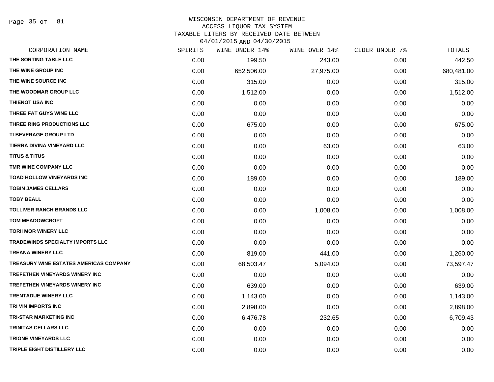Page 35 of 81

#### WISCONSIN DEPARTMENT OF REVENUE ACCESS LIQUOR TAX SYSTEM

TAXABLE LITERS BY RECEIVED DATE BETWEEN

| CORPORATION NAME                              | SPIRITS | WINE UNDER 14% | WINE OVER 14% | CIDER UNDER 7% | TOTALS     |
|-----------------------------------------------|---------|----------------|---------------|----------------|------------|
| THE SORTING TABLE LLC                         | 0.00    | 199.50         | 243.00        | 0.00           | 442.50     |
| THE WINE GROUP INC                            | 0.00    | 652,506.00     | 27,975.00     | 0.00           | 680,481.00 |
| THE WINE SOURCE INC                           | 0.00    | 315.00         | 0.00          | 0.00           | 315.00     |
| THE WOODMAR GROUP LLC                         | 0.00    | 1,512.00       | 0.00          | 0.00           | 1,512.00   |
| <b>THIENOT USA INC</b>                        | 0.00    | 0.00           | 0.00          | 0.00           | 0.00       |
| THREE FAT GUYS WINE LLC                       | 0.00    | 0.00           | 0.00          | 0.00           | 0.00       |
| THREE RING PRODUCTIONS LLC                    | 0.00    | 675.00         | 0.00          | 0.00           | 675.00     |
| TI BEVERAGE GROUP LTD                         | 0.00    | 0.00           | 0.00          | 0.00           | 0.00       |
| TIERRA DIVINA VINEYARD LLC                    | 0.00    | 0.00           | 63.00         | 0.00           | 63.00      |
| <b>TITUS &amp; TITUS</b>                      | 0.00    | 0.00           | 0.00          | 0.00           | 0.00       |
| TMR WINE COMPANY LLC                          | 0.00    | 0.00           | 0.00          | 0.00           | 0.00       |
| TOAD HOLLOW VINEYARDS INC                     | 0.00    | 189.00         | 0.00          | 0.00           | 189.00     |
| <b>TOBIN JAMES CELLARS</b>                    | 0.00    | 0.00           | 0.00          | 0.00           | 0.00       |
| <b>TOBY BEALL</b>                             | 0.00    | 0.00           | 0.00          | 0.00           | 0.00       |
| <b>TOLLIVER RANCH BRANDS LLC</b>              | 0.00    | 0.00           | 1,008.00      | 0.00           | 1,008.00   |
| <b>TOM MEADOWCROFT</b>                        | 0.00    | 0.00           | 0.00          | 0.00           | 0.00       |
| <b>TORII MOR WINERY LLC</b>                   | 0.00    | 0.00           | 0.00          | 0.00           | 0.00       |
| TRADEWINDS SPECIALTY IMPORTS LLC              | 0.00    | 0.00           | 0.00          | 0.00           | 0.00       |
| <b>TREANA WINERY LLC</b>                      | 0.00    | 819.00         | 441.00        | 0.00           | 1,260.00   |
| <b>TREASURY WINE ESTATES AMERICAS COMPANY</b> | 0.00    | 68,503.47      | 5,094.00      | 0.00           | 73,597.47  |
| TREFETHEN VINEYARDS WINERY INC                | 0.00    | 0.00           | 0.00          | 0.00           | 0.00       |
| <b>TREFETHEN VINEYARDS WINERY INC</b>         | 0.00    | 639.00         | 0.00          | 0.00           | 639.00     |
| <b>TRENTADUE WINERY LLC</b>                   | 0.00    | 1,143.00       | 0.00          | 0.00           | 1,143.00   |
| TRI VIN IMPORTS INC                           | 0.00    | 2,898.00       | 0.00          | 0.00           | 2,898.00   |
| <b>TRI-STAR MARKETING INC</b>                 | 0.00    | 6,476.78       | 232.65        | 0.00           | 6,709.43   |
| TRINITAS CELLARS LLC                          | 0.00    | 0.00           | 0.00          | 0.00           | 0.00       |
| <b>TRIONE VINEYARDS LLC</b>                   | 0.00    | 0.00           | 0.00          | 0.00           | 0.00       |
| TRIPLE EIGHT DISTILLERY LLC                   | 0.00    | 0.00           | 0.00          | 0.00           | 0.00       |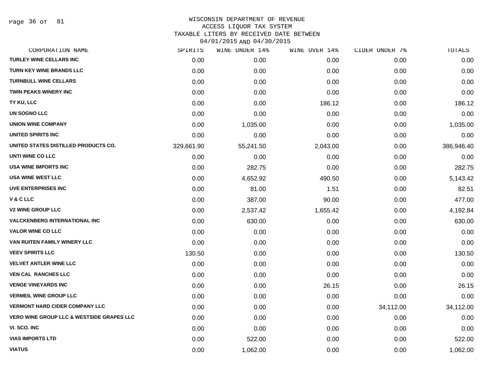Page 36 of 81

| CORPORATION NAME                                     | SPIRITS    | WINE UNDER 14% | WINE OVER 14% | CIDER UNDER 7% | TOTALS     |
|------------------------------------------------------|------------|----------------|---------------|----------------|------------|
| <b>TURLEY WINE CELLARS INC</b>                       | 0.00       | 0.00           | 0.00          | 0.00           | 0.00       |
| <b>TURN KEY WINE BRANDS LLC</b>                      | 0.00       | 0.00           | 0.00          | 0.00           | 0.00       |
| <b>TURNBULL WINE CELLARS</b>                         | 0.00       | 0.00           | 0.00          | 0.00           | 0.00       |
| <b>TWIN PEAKS WINERY INC</b>                         | 0.00       | 0.00           | 0.00          | 0.00           | 0.00       |
| TY KU, LLC                                           | 0.00       | 0.00           | 186.12        | 0.00           | 186.12     |
| UN SOGNO LLC                                         | 0.00       | 0.00           | 0.00          | 0.00           | 0.00       |
| <b>UNION WINE COMPANY</b>                            | 0.00       | 1,035.00       | 0.00          | 0.00           | 1,035.00   |
| UNITED SPIRITS INC                                   | 0.00       | 0.00           | 0.00          | 0.00           | 0.00       |
| UNITED STATES DISTILLED PRODUCTS CO.                 | 329,661.90 | 55,241.50      | 2,043.00      | 0.00           | 386,946.40 |
| UNTI WINE CO LLC                                     | 0.00       | 0.00           | 0.00          | 0.00           | 0.00       |
| <b>USA WINE IMPORTS INC</b>                          | 0.00       | 282.75         | 0.00          | 0.00           | 282.75     |
| <b>USA WINE WEST LLC</b>                             | 0.00       | 4,652.92       | 490.50        | 0.00           | 5,143.42   |
| <b>UVE ENTERPRISES INC</b>                           | 0.00       | 81.00          | 1.51          | 0.00           | 82.51      |
| <b>V&amp;CLLC</b>                                    | 0.00       | 387.00         | 90.00         | 0.00           | 477.00     |
| <b>V2 WINE GROUP LLC</b>                             | 0.00       | 2,537.42       | 1,655.42      | 0.00           | 4,192.84   |
| <b>VALCKENBERG INTERNATIONAL INC</b>                 | 0.00       | 630.00         | 0.00          | 0.00           | 630.00     |
| <b>VALOR WINE CO LLC</b>                             | 0.00       | 0.00           | 0.00          | 0.00           | 0.00       |
| VAN RUITEN FAMILY WINERY LLC                         | 0.00       | 0.00           | 0.00          | 0.00           | 0.00       |
| <b>VEEV SPIRITS LLC</b>                              | 130.50     | 0.00           | 0.00          | 0.00           | 130.50     |
| <b>VELVET ANTLER WINE LLC</b>                        | 0.00       | 0.00           | 0.00          | 0.00           | 0.00       |
| <b>VEN CAL RANCHES LLC</b>                           | 0.00       | 0.00           | 0.00          | 0.00           | 0.00       |
| <b>VENGE VINEYARDS INC</b>                           | 0.00       | 0.00           | 26.15         | 0.00           | 26.15      |
| <b>VERMEIL WINE GROUP LLC</b>                        | 0.00       | 0.00           | 0.00          | 0.00           | 0.00       |
| <b>VERMONT HARD CIDER COMPANY LLC</b>                | 0.00       | 0.00           | 0.00          | 34,112.00      | 34,112.00  |
| <b>VERO WINE GROUP LLC &amp; WESTSIDE GRAPES LLC</b> | 0.00       | 0.00           | 0.00          | 0.00           | 0.00       |
| VI. SCO. INC                                         | 0.00       | 0.00           | 0.00          | 0.00           | 0.00       |
| <b>VIAS IMPORTS LTD</b>                              | 0.00       | 522.00         | 0.00          | 0.00           | 522.00     |
| <b>VIATUS</b>                                        | 0.00       | 1,062.00       | 0.00          | 0.00           | 1,062.00   |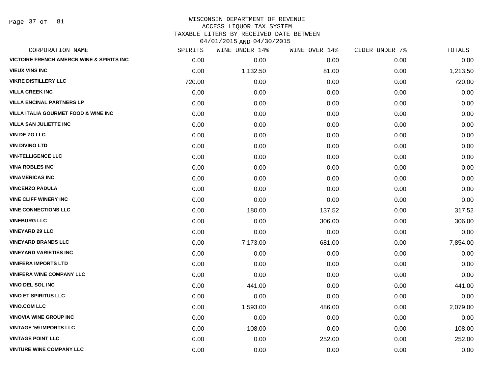Page 37 of 81

| CORPORATION NAME                                     | SPIRITS | WINE UNDER 14% | WINE OVER 14% | CIDER UNDER 7% | TOTALS   |
|------------------------------------------------------|---------|----------------|---------------|----------------|----------|
| <b>VICTOIRE FRENCH AMERCN WINE &amp; SPIRITS INC</b> | 0.00    | 0.00           | 0.00          | 0.00           | 0.00     |
| <b>VIEUX VINS INC</b>                                | 0.00    | 1,132.50       | 81.00         | 0.00           | 1,213.50 |
| <b>VIKRE DISTILLERY LLC</b>                          | 720.00  | 0.00           | 0.00          | 0.00           | 720.00   |
| <b>VILLA CREEK INC</b>                               | 0.00    | 0.00           | 0.00          | 0.00           | 0.00     |
| <b>VILLA ENCINAL PARTNERS LP</b>                     | 0.00    | 0.00           | 0.00          | 0.00           | 0.00     |
| <b>VILLA ITALIA GOURMET FOOD &amp; WINE INC</b>      | 0.00    | 0.00           | 0.00          | 0.00           | 0.00     |
| <b>VILLA SAN JULIETTE INC</b>                        | 0.00    | 0.00           | 0.00          | 0.00           | 0.00     |
| VIN DE ZO LLC                                        | 0.00    | 0.00           | 0.00          | 0.00           | 0.00     |
| <b>VIN DIVINO LTD</b>                                | 0.00    | 0.00           | 0.00          | 0.00           | 0.00     |
| <b>VIN-TELLIGENCE LLC</b>                            | 0.00    | 0.00           | 0.00          | 0.00           | 0.00     |
| <b>VINA ROBLES INC</b>                               | 0.00    | 0.00           | 0.00          | 0.00           | 0.00     |
| <b>VINAMERICAS INC</b>                               | 0.00    | 0.00           | 0.00          | 0.00           | 0.00     |
| <b>VINCENZO PADULA</b>                               | 0.00    | 0.00           | 0.00          | 0.00           | 0.00     |
| <b>VINE CLIFF WINERY INC</b>                         | 0.00    | 0.00           | 0.00          | 0.00           | 0.00     |
| <b>VINE CONNECTIONS LLC</b>                          | 0.00    | 180.00         | 137.52        | 0.00           | 317.52   |
| <b>VINEBURG LLC</b>                                  | 0.00    | 0.00           | 306.00        | 0.00           | 306.00   |
| <b>VINEYARD 29 LLC</b>                               | 0.00    | 0.00           | 0.00          | 0.00           | 0.00     |
| <b>VINEYARD BRANDS LLC</b>                           | 0.00    | 7,173.00       | 681.00        | 0.00           | 7,854.00 |
| <b>VINEYARD VARIETIES INC</b>                        | 0.00    | 0.00           | 0.00          | 0.00           | 0.00     |
| <b>VINIFERA IMPORTS LTD</b>                          | 0.00    | 0.00           | 0.00          | 0.00           | 0.00     |
| <b>VINIFERA WINE COMPANY LLC</b>                     | 0.00    | 0.00           | 0.00          | 0.00           | 0.00     |
| <b>VINO DEL SOL INC</b>                              | 0.00    | 441.00         | 0.00          | 0.00           | 441.00   |
| <b>VINO ET SPIRITUS LLC</b>                          | 0.00    | 0.00           | 0.00          | 0.00           | 0.00     |
| <b>VINO.COM LLC</b>                                  | 0.00    | 1,593.00       | 486.00        | 0.00           | 2,079.00 |
| <b>VINOVIA WINE GROUP INC</b>                        | 0.00    | 0.00           | 0.00          | 0.00           | 0.00     |
| <b>VINTAGE '59 IMPORTS LLC</b>                       | 0.00    | 108.00         | 0.00          | 0.00           | 108.00   |
| <b>VINTAGE POINT LLC</b>                             | 0.00    | 0.00           | 252.00        | 0.00           | 252.00   |
| <b>VINTURE WINE COMPANY LLC</b>                      | 0.00    | 0.00           | 0.00          | 0.00           | 0.00     |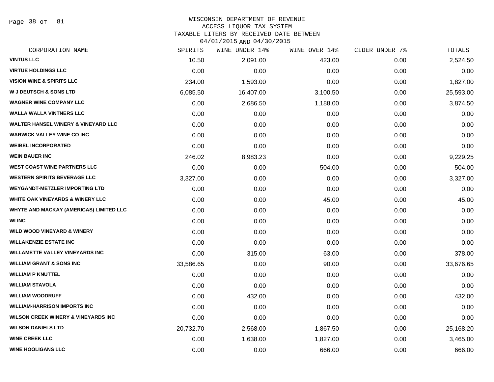Page 38 of 81

#### WISCONSIN DEPARTMENT OF REVENUE ACCESS LIQUOR TAX SYSTEM TAXABLE LITERS BY RECEIVED DATE BETWEEN

04/01/2015 AND 04/30/2015

| CORPORATION NAME                               | SPIRITS   | WINE UNDER 14% | WINE OVER 14% | CIDER UNDER 7% | TOTALS    |
|------------------------------------------------|-----------|----------------|---------------|----------------|-----------|
| <b>VINTUS LLC</b>                              | 10.50     | 2,091.00       | 423.00        | 0.00           | 2,524.50  |
| <b>VIRTUE HOLDINGS LLC</b>                     | 0.00      | 0.00           | 0.00          | 0.00           | 0.00      |
| <b>VISION WINE &amp; SPIRITS LLC</b>           | 234.00    | 1,593.00       | 0.00          | 0.00           | 1,827.00  |
| <b>W J DEUTSCH &amp; SONS LTD</b>              | 6,085.50  | 16,407.00      | 3,100.50      | 0.00           | 25,593.00 |
| <b>WAGNER WINE COMPANY LLC</b>                 | 0.00      | 2,686.50       | 1,188.00      | 0.00           | 3,874.50  |
| <b>WALLA WALLA VINTNERS LLC</b>                | 0.00      | 0.00           | 0.00          | 0.00           | 0.00      |
| <b>WALTER HANSEL WINERY &amp; VINEYARD LLC</b> | 0.00      | 0.00           | 0.00          | 0.00           | 0.00      |
| <b>WARWICK VALLEY WINE CO INC</b>              | 0.00      | 0.00           | 0.00          | 0.00           | 0.00      |
| <b>WEIBEL INCORPORATED</b>                     | 0.00      | 0.00           | 0.00          | 0.00           | 0.00      |
| <b>WEIN BAUER INC</b>                          | 246.02    | 8,983.23       | 0.00          | 0.00           | 9,229.25  |
| <b>WEST COAST WINE PARTNERS LLC</b>            | 0.00      | 0.00           | 504.00        | 0.00           | 504.00    |
| <b>WESTERN SPIRITS BEVERAGE LLC</b>            | 3,327.00  | 0.00           | 0.00          | 0.00           | 3,327.00  |
| <b>WEYGANDT-METZLER IMPORTING LTD</b>          | 0.00      | 0.00           | 0.00          | 0.00           | 0.00      |
| <b>WHITE OAK VINEYARDS &amp; WINERY LLC</b>    | 0.00      | 0.00           | 45.00         | 0.00           | 45.00     |
| WHYTE AND MACKAY (AMERICAS) LIMITED LLC        | 0.00      | 0.00           | 0.00          | 0.00           | 0.00      |
| <b>WI INC</b>                                  | 0.00      | 0.00           | 0.00          | 0.00           | 0.00      |
| <b>WILD WOOD VINEYARD &amp; WINERY</b>         | 0.00      | 0.00           | 0.00          | 0.00           | 0.00      |
| <b>WILLAKENZIE ESTATE INC</b>                  | 0.00      | 0.00           | 0.00          | 0.00           | 0.00      |
| <b>WILLAMETTE VALLEY VINEYARDS INC</b>         | 0.00      | 315.00         | 63.00         | 0.00           | 378.00    |
| <b>WILLIAM GRANT &amp; SONS INC</b>            | 33,586.65 | 0.00           | 90.00         | 0.00           | 33,676.65 |
| <b>WILLIAM P KNUTTEL</b>                       | 0.00      | 0.00           | 0.00          | 0.00           | 0.00      |
| <b>WILLIAM STAVOLA</b>                         | 0.00      | 0.00           | 0.00          | 0.00           | 0.00      |
| <b>WILLIAM WOODRUFF</b>                        | 0.00      | 432.00         | 0.00          | 0.00           | 432.00    |
| <b>WILLIAM-HARRISON IMPORTS INC</b>            | 0.00      | 0.00           | 0.00          | 0.00           | 0.00      |
| <b>WILSON CREEK WINERY &amp; VINEYARDS INC</b> | 0.00      | 0.00           | 0.00          | 0.00           | 0.00      |
| <b>WILSON DANIELS LTD</b>                      | 20,732.70 | 2,568.00       | 1,867.50      | 0.00           | 25,168.20 |
| <b>WINE CREEK LLC</b>                          | 0.00      | 1,638.00       | 1,827.00      | 0.00           | 3,465.00  |
| <b>WINE HOOLIGANS LLC</b>                      | 0.00      | 0.00           | 666.00        | 0.00           | 666.00    |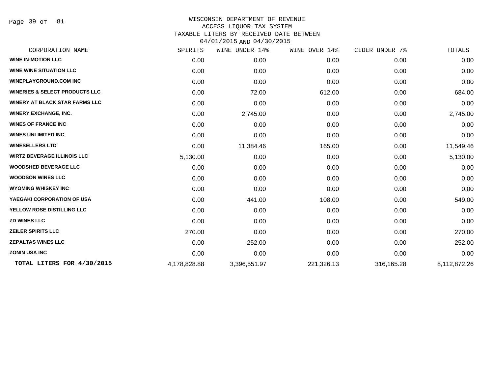Page 39 of 81

| CORPORATION NAME                          | SPIRITS      | WINE UNDER 14% | WINE OVER 14% | CIDER UNDER 7% | TOTALS       |
|-------------------------------------------|--------------|----------------|---------------|----------------|--------------|
| <b>WINE IN-MOTION LLC</b>                 | 0.00         | 0.00           | 0.00          | 0.00           | 0.00         |
| <b>WINE WINE SITUATION LLC</b>            | 0.00         | 0.00           | 0.00          | 0.00           | 0.00         |
| <b>WINEPLAYGROUND.COM INC</b>             | 0.00         | 0.00           | 0.00          | 0.00           | 0.00         |
| <b>WINERIES &amp; SELECT PRODUCTS LLC</b> | 0.00         | 72.00          | 612.00        | 0.00           | 684.00       |
| <b>WINERY AT BLACK STAR FARMS LLC</b>     | 0.00         | 0.00           | 0.00          | 0.00           | 0.00         |
| <b>WINERY EXCHANGE, INC.</b>              | 0.00         | 2,745.00       | 0.00          | 0.00           | 2,745.00     |
| <b>WINES OF FRANCE INC</b>                | 0.00         | 0.00           | 0.00          | 0.00           | 0.00         |
| <b>WINES UNLIMITED INC</b>                | 0.00         | 0.00           | 0.00          | 0.00           | 0.00         |
| <b>WINESELLERS LTD</b>                    | 0.00         | 11,384.46      | 165.00        | 0.00           | 11,549.46    |
| <b>WIRTZ BEVERAGE ILLINOIS LLC</b>        | 5,130.00     | 0.00           | 0.00          | 0.00           | 5,130.00     |
| <b>WOODSHED BEVERAGE LLC</b>              | 0.00         | 0.00           | 0.00          | 0.00           | 0.00         |
| <b>WOODSON WINES LLC</b>                  | 0.00         | 0.00           | 0.00          | 0.00           | 0.00         |
| <b>WYOMING WHISKEY INC</b>                | 0.00         | 0.00           | 0.00          | 0.00           | 0.00         |
| YAEGAKI CORPORATION OF USA                | 0.00         | 441.00         | 108.00        | 0.00           | 549.00       |
| YELLOW ROSE DISTILLING LLC                | 0.00         | 0.00           | 0.00          | 0.00           | 0.00         |
| <b>ZD WINES LLC</b>                       | 0.00         | 0.00           | 0.00          | 0.00           | 0.00         |
| <b>ZEILER SPIRITS LLC</b>                 | 270.00       | 0.00           | 0.00          | 0.00           | 270.00       |
| <b>ZEPALTAS WINES LLC</b>                 | 0.00         | 252.00         | 0.00          | 0.00           | 252.00       |
| <b>ZONIN USA INC</b>                      | 0.00         | 0.00           | 0.00          | 0.00           | 0.00         |
| TOTAL LITERS FOR 4/30/2015                | 4,178,828.88 | 3,396,551.97   | 221,326.13    | 316,165.28     | 8,112,872.26 |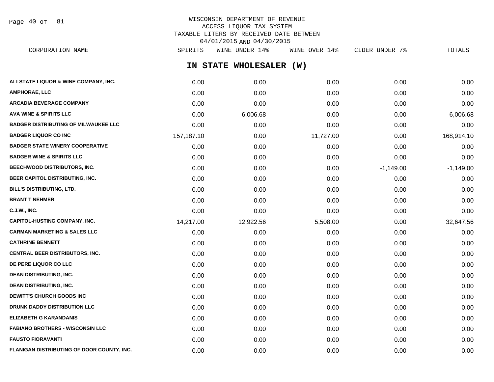Page 40 of 81

## WISCONSIN DEPARTMENT OF REVENUE ACCESS LIQUOR TAX SYSTEM TAXABLE LITERS BY RECEIVED DATE BETWEEN 04/01/2015 AND 04/30/2015

**IN STATE WHOLESALER (W) ALLSTATE LIQUOR & WINE COMPANY, INC.**  $0.00$   $0.00$   $0.00$   $0.00$   $0.00$   $0.00$   $0.00$   $0.00$   $0.00$   $0.00$   $0.00$   $0.00$ **AMPHORAE, LLC** 0.00 0.00 0.00 0.00 0.00 **ARCADIA BEVERAGE COMPANY** 0.00 0.00 0.00 0.00 0.00 **AVA WINE & SPIRITS LLC** 0.00 6,006.68 0.00 0.00 6,006.68 **BADGER DISTRIBUTING OF MILWAUKEE LLC** 0.00 0.00 0.00 0.00 0.00 **BADGER LIQUOR CO INC** 157,187.10 0.00 11,727.00 0.00 168,914.10 **BADGER STATE WINERY COOPERATIVE** 0.00 0.00 0.00 0.00 0.00 **BADGER WINE & SPIRITS LLC**  $\begin{array}{ccc} 0.00 & 0.00 & 0.00 \\ 0.00 & 0.00 & 0.00 \end{array}$ **BEECHWOOD DISTRIBUTORS, INC.** 0.00 0.00 0.00 -1,149.00 -1,149.00 **BEER CAPITOL DISTRIBUTING, INC.** 0.00 0.00 0.00 0.00 0.00 **BILL'S DISTRIBUTING, LTD.** 0.00 0.00 0.00 0.00 0.00 **BRANT T NEHMER** 0.00 0.00 0.00 0.00 0.00 **C.J.W., INC.** 6.00 **0.00 0.00 0.00 0.00 0.00 0.00 0.00 0.00 0.00 0.00 0.00 0.00 0.00 0.00 CAPITOL-HUSTING COMPANY, INC.** 14,217.00 12,922.56 5,508.00 0.00 32,647.56 **CARMAN MARKETING & SALES LLC** 0.00 0.00 0.00 0.00 0.00 **CATHRINE BENNETT** 0.00 0.00 0.00 0.00 0.00 **CENTRAL BEER DISTRIBUTORS, INC.** 0.00 0.00 0.00 0.00 0.00 **DE PERE LIQUOR CO LLC** 0.00 0.00 0.00 0.00 0.00 **DEAN DISTRIBUTING, INC.** 0.00 0.00 0.00 0.00 0.00 **DEAN DISTRIBUTING, INC.** 0.00 0.00 0.00 0.00 0.00 **DEWITT'S CHURCH GOODS INC**  $0.00$   $0.00$   $0.00$   $0.00$   $0.00$   $0.00$   $0.00$   $0.00$   $0.00$   $0.00$   $0.00$   $0.00$   $0.00$   $0.00$   $0.00$   $0.00$   $0.00$   $0.00$   $0.00$   $0.00$   $0.00$   $0.00$   $0.00$   $0.00$   $0.00$   $0.00$   $0.00$   $0.00$ **DRUNK DADDY DISTRIBUTION LLC** 0.00 0.00 0.00 0.00 0.00 **ELIZABETH G KARANDANIS** 0.00 0.00 0.00 0.00 0.00 **FABIANO BROTHERS - WISCONSIN LLC** 0.00 0.00 0.00 0.00 0.00 **FAUSTO FIORAVANTI** 0.00 0.00 0.00 0.00 0.00 CORPORATION NAME SPIRITS WINE UNDER 14% WINE OVER 14% CIDER UNDER 7% TOTALS

**FLANIGAN DISTRIBUTING OF DOOR COUNTY, INC.**  $0.00$   $0.00$   $0.00$   $0.00$   $0.00$   $0.00$   $0.00$   $0.00$   $0.00$   $0.00$   $0.00$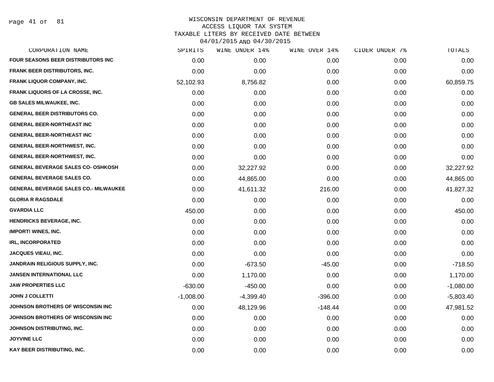Page 41 of 81

| <b>FOUR SEASONS BEER DISTRIBUTORS INC</b><br><b>FRANK BEER DISTRIBUTORS, INC.</b><br><b>FRANK LIQUOR COMPANY, INC.</b><br><b>FRANK LIQUORS OF LA CROSSE, INC.</b><br><b>GB SALES MILWAUKEE, INC.</b><br><b>GENERAL BEER DISTRIBUTORS CO.</b><br><b>GENERAL BEER-NORTHEAST INC</b> | 0.00<br>0.00<br>52,102.93<br>0.00<br>0.00<br>0.00<br>0.00 | 0.00<br>0.00<br>8,756.82<br>0.00<br>0.00<br>0.00<br>0.00 | 0.00<br>0.00<br>0.00<br>0.00<br>0.00<br>0.00 | 0.00<br>0.00<br>0.00<br>0.00<br>0.00 | 0.00<br>0.00<br>60,859.75<br>0.00<br>0.00 |
|-----------------------------------------------------------------------------------------------------------------------------------------------------------------------------------------------------------------------------------------------------------------------------------|-----------------------------------------------------------|----------------------------------------------------------|----------------------------------------------|--------------------------------------|-------------------------------------------|
|                                                                                                                                                                                                                                                                                   |                                                           |                                                          |                                              |                                      |                                           |
|                                                                                                                                                                                                                                                                                   |                                                           |                                                          |                                              |                                      |                                           |
|                                                                                                                                                                                                                                                                                   |                                                           |                                                          |                                              |                                      |                                           |
|                                                                                                                                                                                                                                                                                   |                                                           |                                                          |                                              |                                      |                                           |
|                                                                                                                                                                                                                                                                                   |                                                           |                                                          |                                              |                                      |                                           |
|                                                                                                                                                                                                                                                                                   |                                                           |                                                          |                                              | 0.00                                 | 0.00                                      |
|                                                                                                                                                                                                                                                                                   |                                                           |                                                          | 0.00                                         | 0.00                                 | 0.00                                      |
| <b>GENERAL BEER-NORTHEAST INC</b>                                                                                                                                                                                                                                                 | 0.00                                                      | 0.00                                                     | 0.00                                         | 0.00                                 | 0.00                                      |
| <b>GENERAL BEER-NORTHWEST, INC.</b>                                                                                                                                                                                                                                               | 0.00                                                      | 0.00                                                     | 0.00                                         | 0.00                                 | 0.00                                      |
| <b>GENERAL BEER-NORTHWEST, INC.</b>                                                                                                                                                                                                                                               | 0.00                                                      | 0.00                                                     | 0.00                                         | 0.00                                 | 0.00                                      |
| <b>GENERAL BEVERAGE SALES CO- OSHKOSH</b>                                                                                                                                                                                                                                         | 0.00                                                      | 32,227.92                                                | 0.00                                         | 0.00                                 | 32,227.92                                 |
| <b>GENERAL BEVERAGE SALES CO.</b>                                                                                                                                                                                                                                                 | 0.00                                                      | 44,865.00                                                | 0.00                                         | 0.00                                 | 44,865.00                                 |
| <b>GENERAL BEVERAGE SALES CO.- MILWAUKEE</b>                                                                                                                                                                                                                                      | 0.00                                                      | 41,611.32                                                | 216.00                                       | 0.00                                 | 41,827.32                                 |
| <b>GLORIA R RAGSDALE</b>                                                                                                                                                                                                                                                          | 0.00                                                      | 0.00                                                     | 0.00                                         | 0.00                                 | 0.00                                      |
| <b>GVARDIA LLC</b>                                                                                                                                                                                                                                                                | 450.00                                                    | 0.00                                                     | 0.00                                         | 0.00                                 | 450.00                                    |
| <b>HENDRICKS BEVERAGE, INC.</b>                                                                                                                                                                                                                                                   | 0.00                                                      | 0.00                                                     | 0.00                                         | 0.00                                 | 0.00                                      |
| <b>IMPORT! WINES, INC.</b>                                                                                                                                                                                                                                                        | 0.00                                                      | 0.00                                                     | 0.00                                         | 0.00                                 | 0.00                                      |
| <b>IRL, INCORPORATED</b>                                                                                                                                                                                                                                                          | 0.00                                                      | 0.00                                                     | 0.00                                         | 0.00                                 | 0.00                                      |
| <b>JACQUES VIEAU, INC.</b>                                                                                                                                                                                                                                                        | 0.00                                                      | 0.00                                                     | 0.00                                         | 0.00                                 | 0.00                                      |
| <b>JANDRAIN RELIGIOUS SUPPLY, INC.</b>                                                                                                                                                                                                                                            | 0.00                                                      | $-673.50$                                                | $-45.00$                                     | 0.00                                 | $-718.50$                                 |
| <b>JANSEN INTERNATIONAL LLC</b>                                                                                                                                                                                                                                                   | 0.00                                                      | 1,170.00                                                 | 0.00                                         | 0.00                                 | 1,170.00                                  |
| <b>JAW PROPERTIES LLC</b>                                                                                                                                                                                                                                                         | $-630.00$                                                 | $-450.00$                                                | 0.00                                         | 0.00                                 | $-1,080.00$                               |
| <b>JOHN J COLLETTI</b>                                                                                                                                                                                                                                                            | $-1,008.00$                                               | $-4,399.40$                                              | $-396.00$                                    | 0.00                                 | $-5,803.40$                               |
| JOHNSON BROTHERS OF WISCONSIN INC                                                                                                                                                                                                                                                 | 0.00                                                      | 48,129.96                                                | $-148.44$                                    | 0.00                                 | 47,981.52                                 |
| JOHNSON BROTHERS OF WISCONSIN INC                                                                                                                                                                                                                                                 | 0.00                                                      | 0.00                                                     | 0.00                                         | 0.00                                 | 0.00                                      |
| JOHNSON DISTRIBUTING, INC.                                                                                                                                                                                                                                                        | 0.00                                                      | 0.00                                                     | 0.00                                         | 0.00                                 | 0.00                                      |
| <b>JOYVINE LLC</b>                                                                                                                                                                                                                                                                | 0.00                                                      | 0.00                                                     | 0.00                                         | 0.00                                 | 0.00                                      |
| KAY BEER DISTRIBUTING, INC.                                                                                                                                                                                                                                                       | 0.00                                                      | 0.00                                                     | 0.00                                         | 0.00                                 | 0.00                                      |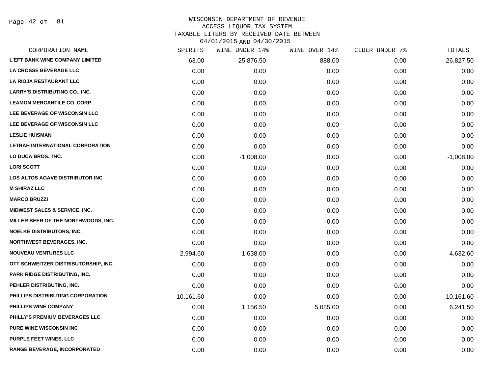Page 42 of 81

#### WISCONSIN DEPARTMENT OF REVENUE ACCESS LIQUOR TAX SYSTEM

TAXABLE LITERS BY RECEIVED DATE BETWEEN

04/01/2015 AND 04/30/2015

| CORPORATION NAME                         | SPIRITS   | WINE UNDER 14% | WINE OVER 14% | CIDER UNDER 7% | TOTALS      |
|------------------------------------------|-----------|----------------|---------------|----------------|-------------|
| <b>L'EFT BANK WINE COMPANY LIMITED</b>   | 63.00     | 25,876.50      | 888.00        | 0.00           | 26,827.50   |
| <b>LA CROSSE BEVERAGE LLC</b>            | 0.00      | 0.00           | 0.00          | 0.00           | 0.00        |
| <b>LA RIOJA RESTAURANT LLC</b>           | 0.00      | 0.00           | 0.00          | 0.00           | 0.00        |
| <b>LARRY'S DISTRIBUTING CO., INC.</b>    | 0.00      | 0.00           | 0.00          | 0.00           | 0.00        |
| <b>LEAMON MERCANTILE CO. CORP</b>        | 0.00      | 0.00           | 0.00          | 0.00           | 0.00        |
| LEE BEVERAGE OF WISCONSIN LLC            | 0.00      | 0.00           | 0.00          | 0.00           | 0.00        |
| LEE BEVERAGE OF WISCONSIN LLC            | 0.00      | 0.00           | 0.00          | 0.00           | 0.00        |
| <b>LESLIE HUISMAN</b>                    | 0.00      | 0.00           | 0.00          | 0.00           | 0.00        |
| LETRAH INTERNATIONAL CORPORATION         | 0.00      | 0.00           | 0.00          | 0.00           | 0.00        |
| LO DUCA BROS., INC.                      | 0.00      | $-1,008.00$    | 0.00          | 0.00           | $-1,008.00$ |
| <b>LORI SCOTT</b>                        | 0.00      | 0.00           | 0.00          | 0.00           | 0.00        |
| LOS ALTOS AGAVE DISTRIBUTOR INC          | 0.00      | 0.00           | 0.00          | 0.00           | 0.00        |
| <b>M SHIRAZ LLC</b>                      | 0.00      | 0.00           | 0.00          | 0.00           | 0.00        |
| <b>MARCO BRUZZI</b>                      | 0.00      | 0.00           | 0.00          | 0.00           | 0.00        |
| <b>MIDWEST SALES &amp; SERVICE, INC.</b> | 0.00      | 0.00           | 0.00          | 0.00           | 0.00        |
| MILLER BEER OF THE NORTHWOODS, INC.      | 0.00      | 0.00           | 0.00          | 0.00           | 0.00        |
| <b>NOELKE DISTRIBUTORS, INC.</b>         | 0.00      | 0.00           | 0.00          | 0.00           | 0.00        |
| <b>NORTHWEST BEVERAGES, INC.</b>         | 0.00      | 0.00           | 0.00          | 0.00           | 0.00        |
| <b>NOUVEAU VENTURES LLC</b>              | 2,994.60  | 1,638.00       | 0.00          | 0.00           | 4,632.60    |
| OTT SCHWEITZER DISTRIBUTORSHIP, INC.     | 0.00      | 0.00           | 0.00          | 0.00           | 0.00        |
| <b>PARK RIDGE DISTRIBUTING, INC.</b>     | 0.00      | 0.00           | 0.00          | 0.00           | 0.00        |
| PEHLER DISTRIBUTING, INC.                | 0.00      | 0.00           | 0.00          | 0.00           | 0.00        |
| PHILLIPS DISTRIBUTING CORPORATION        | 10,161.60 | 0.00           | 0.00          | 0.00           | 10,161.60   |
| PHILLIPS WINE COMPANY                    | 0.00      | 1,156.50       | 5,085.00      | 0.00           | 6,241.50    |
| PHILLY'S PREMIUM BEVERAGES LLC           | 0.00      | 0.00           | 0.00          | 0.00           | 0.00        |
| <b>PURE WINE WISCONSIN INC.</b>          | 0.00      | 0.00           | 0.00          | 0.00           | 0.00        |
| <b>PURPLE FEET WINES, LLC</b>            | 0.00      | 0.00           | 0.00          | 0.00           | 0.00        |
| <b>RANGE BEVERAGE, INCORPORATED</b>      | 0.00      | 0.00           | 0.00          | 0.00           | 0.00        |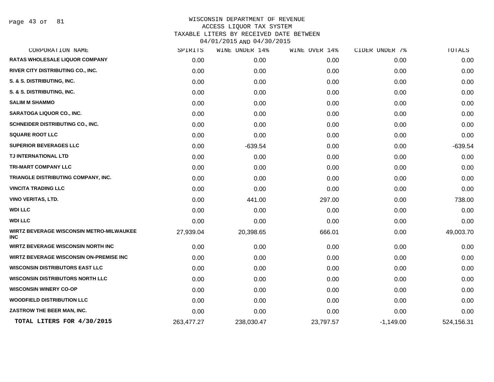Page 43 of 81

| CORPORATION NAME                                              | SPIRITS    | WINE UNDER 14% | WINE OVER 14% | CIDER UNDER 7% | TOTALS     |
|---------------------------------------------------------------|------------|----------------|---------------|----------------|------------|
| <b>RATAS WHOLESALE LIQUOR COMPANY</b>                         | 0.00       | 0.00           | 0.00          | 0.00           | 0.00       |
| RIVER CITY DISTRIBUTING CO., INC.                             | 0.00       | 0.00           | 0.00          | 0.00           | 0.00       |
| S. & S. DISTRIBUTING, INC.                                    | 0.00       | 0.00           | 0.00          | 0.00           | 0.00       |
| S. & S. DISTRIBUTING, INC.                                    | 0.00       | 0.00           | 0.00          | 0.00           | 0.00       |
| <b>SALIM M SHAMMO</b>                                         | 0.00       | 0.00           | 0.00          | 0.00           | 0.00       |
| <b>SARATOGA LIQUOR CO., INC.</b>                              | 0.00       | 0.00           | 0.00          | 0.00           | 0.00       |
| SCHNEIDER DISTRIBUTING CO., INC.                              | 0.00       | 0.00           | 0.00          | 0.00           | 0.00       |
| <b>SQUARE ROOT LLC</b>                                        | 0.00       | 0.00           | 0.00          | 0.00           | 0.00       |
| <b>SUPERIOR BEVERAGES LLC</b>                                 | 0.00       | $-639.54$      | 0.00          | 0.00           | $-639.54$  |
| TJ INTERNATIONAL LTD                                          | 0.00       | 0.00           | 0.00          | 0.00           | 0.00       |
| <b>TRI-MART COMPANY LLC</b>                                   | 0.00       | 0.00           | 0.00          | 0.00           | 0.00       |
| TRIANGLE DISTRIBUTING COMPANY, INC.                           | 0.00       | 0.00           | 0.00          | 0.00           | 0.00       |
| <b>VINCITA TRADING LLC</b>                                    | 0.00       | 0.00           | 0.00          | 0.00           | 0.00       |
| <b>VINO VERITAS, LTD.</b>                                     | 0.00       | 441.00         | 297.00        | 0.00           | 738.00     |
| <b>WDI LLC</b>                                                | 0.00       | 0.00           | 0.00          | 0.00           | 0.00       |
| <b>WDI LLC</b>                                                | 0.00       | 0.00           | 0.00          | 0.00           | 0.00       |
| <b>WIRTZ BEVERAGE WISCONSIN METRO-MILWAUKEE</b><br><b>INC</b> | 27,939.04  | 20,398.65      | 666.01        | 0.00           | 49,003.70  |
| <b>WIRTZ BEVERAGE WISCONSIN NORTH INC</b>                     | 0.00       | 0.00           | 0.00          | 0.00           | 0.00       |
| <b>WIRTZ BEVERAGE WISCONSIN ON-PREMISE INC</b>                | 0.00       | 0.00           | 0.00          | 0.00           | 0.00       |
| <b>WISCONSIN DISTRIBUTORS EAST LLC</b>                        | 0.00       | 0.00           | 0.00          | 0.00           | 0.00       |
| <b>WISCONSIN DISTRIBUTORS NORTH LLC</b>                       | 0.00       | 0.00           | 0.00          | 0.00           | 0.00       |
| <b>WISCONSIN WINERY CO-OP</b>                                 | 0.00       | 0.00           | 0.00          | 0.00           | 0.00       |
| <b>WOODFIELD DISTRIBUTION LLC</b>                             | 0.00       | 0.00           | 0.00          | 0.00           | 0.00       |
| ZASTROW THE BEER MAN, INC.                                    | 0.00       | 0.00           | 0.00          | 0.00           | 0.00       |
| TOTAL LITERS FOR 4/30/2015                                    | 263,477.27 | 238,030.47     | 23,797.57     | $-1,149.00$    | 524,156.31 |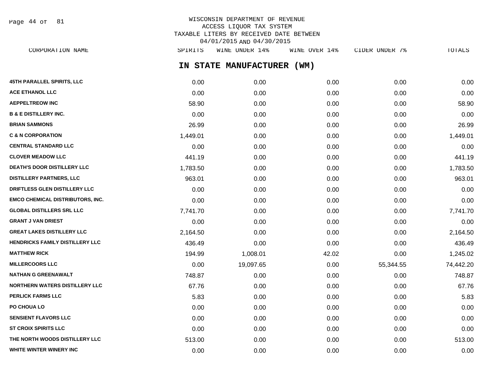WISCONSIN DEPARTMENT OF REVENUE ACCESS LIQUOR TAX SYSTEM TAXABLE LITERS BY RECEIVED DATE BETWEEN 04/01/2015 AND 04/30/2015 CORPORATION NAME SPIRITS WINE UNDER 14% WINE OVER 14% CIDER UNDER 7% TOTALS Page 44 of 81

**IN STATE MANUFACTURER (WM)**

| 45TH PARALLEL SPIRITS, LLC              | 0.00     | 0.00      | 0.00  | 0.00      | 0.00      |
|-----------------------------------------|----------|-----------|-------|-----------|-----------|
| <b>ACE ETHANOL LLC</b>                  | 0.00     | 0.00      | 0.00  | 0.00      | 0.00      |
| <b>AEPPELTREOW INC</b>                  | 58.90    | 0.00      | 0.00  | 0.00      | 58.90     |
| <b>B &amp; E DISTILLERY INC.</b>        | 0.00     | 0.00      | 0.00  | 0.00      | 0.00      |
| <b>BRIAN SAMMONS</b>                    | 26.99    | 0.00      | 0.00  | 0.00      | 26.99     |
| <b>C &amp; N CORPORATION</b>            | 1,449.01 | 0.00      | 0.00  | 0.00      | 1,449.01  |
| <b>CENTRAL STANDARD LLC</b>             | 0.00     | 0.00      | 0.00  | 0.00      | 0.00      |
| <b>CLOVER MEADOW LLC</b>                | 441.19   | 0.00      | 0.00  | 0.00      | 441.19    |
| <b>DEATH'S DOOR DISTILLERY LLC</b>      | 1,783.50 | 0.00      | 0.00  | 0.00      | 1,783.50  |
| <b>DISTILLERY PARTNERS, LLC</b>         | 963.01   | 0.00      | 0.00  | 0.00      | 963.01    |
| DRIFTLESS GLEN DISTILLERY LLC           | 0.00     | 0.00      | 0.00  | 0.00      | 0.00      |
| <b>EMCO CHEMICAL DISTRIBUTORS, INC.</b> | 0.00     | 0.00      | 0.00  | 0.00      | 0.00      |
| <b>GLOBAL DISTILLERS SRL LLC</b>        | 7,741.70 | 0.00      | 0.00  | 0.00      | 7,741.70  |
| <b>GRANT J VAN DRIEST</b>               | 0.00     | 0.00      | 0.00  | 0.00      | 0.00      |
| <b>GREAT LAKES DISTILLERY LLC</b>       | 2,164.50 | 0.00      | 0.00  | 0.00      | 2,164.50  |
| HENDRICKS FAMILY DISTILLERY LLC         | 436.49   | 0.00      | 0.00  | 0.00      | 436.49    |
| <b>MATTHEW RICK</b>                     | 194.99   | 1,008.01  | 42.02 | 0.00      | 1,245.02  |
| <b>MILLERCOORS LLC</b>                  | 0.00     | 19,097.65 | 0.00  | 55,344.55 | 74,442.20 |
| <b>NATHAN G GREENAWALT</b>              | 748.87   | 0.00      | 0.00  | 0.00      | 748.87    |
| <b>NORTHERN WATERS DISTILLERY LLC</b>   | 67.76    | 0.00      | 0.00  | 0.00      | 67.76     |
| <b>PERLICK FARMS LLC</b>                | 5.83     | 0.00      | 0.00  | 0.00      | 5.83      |
| PO CHOUA LO                             | 0.00     | 0.00      | 0.00  | 0.00      | 0.00      |
| <b>SENSIENT FLAVORS LLC</b>             | 0.00     | 0.00      | 0.00  | 0.00      | 0.00      |
| <b>ST CROIX SPIRITS LLC</b>             | 0.00     | 0.00      | 0.00  | 0.00      | 0.00      |
| THE NORTH WOODS DISTILLERY LLC          | 513.00   | 0.00      | 0.00  | 0.00      | 513.00    |
| WHITE WINTER WINERY INC                 | 0.00     | 0.00      | 0.00  | 0.00      | 0.00      |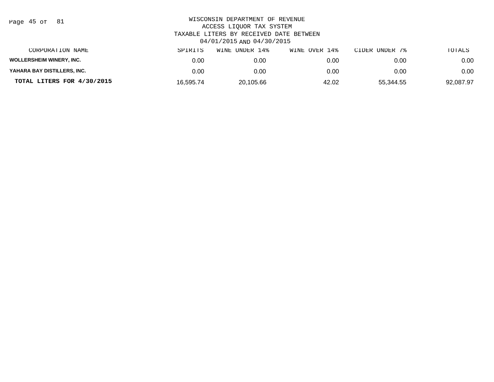| Page | : 45 of |  | 81 |
|------|---------|--|----|
|------|---------|--|----|

| CORPORATION NAME                | SPIRITS   | UNDER 14%<br>WINE | WINE OVER 14% | CIDER UNDER 7% | TOTALS    |
|---------------------------------|-----------|-------------------|---------------|----------------|-----------|
| <b>WOLLERSHEIM WINERY, INC.</b> | 0.00      | 0.00              | 0.00          | 0.00           | 0.00      |
| YAHARA BAY DISTILLERS, INC.     | 0.00      | 0.00              | 0.00          | 0.00           | 0.00      |
| TOTAL LITERS FOR 4/30/2015      | 16.595.74 | 20.105.66         | 42.02         | 55.344.55      | 92,087.97 |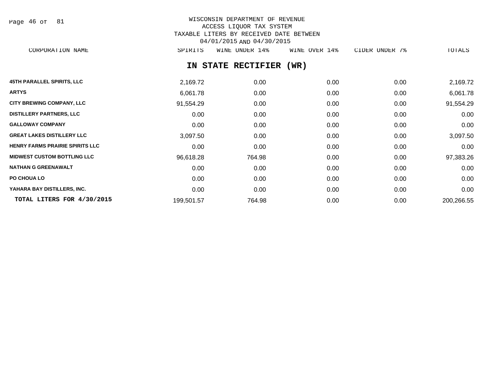| Page 46 of |  |  | 81 |
|------------|--|--|----|
|------------|--|--|----|

# WISCONSIN DEPARTMENT OF REVENUE ACCESS LIQUOR TAX SYSTEM TAXABLE LITERS BY RECEIVED DATE BETWEEN 04/01/2015 AND 04/30/2015

CORPORATION NAME SPIRITS WINE UNDER 14% WINE OVER 14% CIDER UNDER 7% TOTALS

# **IN STATE RECTIFIER (WR)**

| <b>45TH PARALLEL SPIRITS, LLC</b>      | 2,169.72   | 0.00   | 0.00 | 0.00 | 2,169.72   |
|----------------------------------------|------------|--------|------|------|------------|
| <b>ARTYS</b>                           | 6,061.78   | 0.00   | 0.00 | 0.00 | 6,061.78   |
| <b>CITY BREWING COMPANY, LLC</b>       | 91,554.29  | 0.00   | 0.00 | 0.00 | 91,554.29  |
| <b>DISTILLERY PARTNERS, LLC</b>        | 0.00       | 0.00   | 0.00 | 0.00 | 0.00       |
| <b>GALLOWAY COMPANY</b>                | 0.00       | 0.00   | 0.00 | 0.00 | 0.00       |
| <b>GREAT LAKES DISTILLERY LLC</b>      | 3,097.50   | 0.00   | 0.00 | 0.00 | 3,097.50   |
| <b>HENRY FARMS PRAIRIE SPIRITS LLC</b> | 0.00       | 0.00   | 0.00 | 0.00 | 0.00       |
| <b>MIDWEST CUSTOM BOTTLING LLC</b>     | 96,618.28  | 764.98 | 0.00 | 0.00 | 97,383.26  |
| <b>NATHAN G GREENAWALT</b>             | 0.00       | 0.00   | 0.00 | 0.00 | 0.00       |
| <b>PO CHOUA LO</b>                     | 0.00       | 0.00   | 0.00 | 0.00 | 0.00       |
| YAHARA BAY DISTILLERS, INC.            | 0.00       | 0.00   | 0.00 | 0.00 | 0.00       |
| TOTAL LITERS FOR 4/30/2015             | 199,501.57 | 764.98 | 0.00 | 0.00 | 200,266.55 |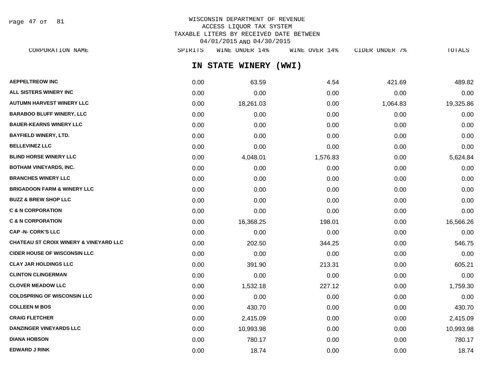Page 47 of 81

## WISCONSIN DEPARTMENT OF REVENUE ACCESS LIQUOR TAX SYSTEM TAXABLE LITERS BY RECEIVED DATE BETWEEN 04/01/2015 AND 04/30/2015

|                                                   |         | A TO THE LAND AND A TO LAND |               |                |           |
|---------------------------------------------------|---------|-----------------------------|---------------|----------------|-----------|
| CORPORATION NAME                                  | SPIRITS | WINE UNDER 14%              | WINE OVER 14% | CIDER UNDER 7% | TOTALS    |
|                                                   |         | IN STATE WINERY             | (WWI)         |                |           |
| <b>AEPPELTREOW INC</b>                            | 0.00    | 63.59                       | 4.54          | 421.69         | 489.82    |
| ALL SISTERS WINERY INC                            | 0.00    | 0.00                        | 0.00          | 0.00           | 0.00      |
| <b>AUTUMN HARVEST WINERY LLC</b>                  | 0.00    | 18,261.03                   | 0.00          | 1,064.83       | 19,325.86 |
| <b>BARABOO BLUFF WINERY, LLC</b>                  | 0.00    | 0.00                        | 0.00          | 0.00           | 0.00      |
| <b>BAUER-KEARNS WINERY LLC</b>                    | 0.00    | 0.00                        | 0.00          | 0.00           | 0.00      |
| BAYFIELD WINERY, LTD.                             | 0.00    | 0.00                        | 0.00          | 0.00           | 0.00      |
| <b>BELLEVINEZ LLC</b>                             | 0.00    | 0.00                        | 0.00          | 0.00           | 0.00      |
| <b>BLIND HORSE WINERY LLC</b>                     | 0.00    | 4,048.01                    | 1,576.83      | 0.00           | 5,624.84  |
| BOTHAM VINEYARDS, INC.                            | 0.00    | 0.00                        | 0.00          | 0.00           | 0.00      |
| <b>BRANCHES WINERY LLC</b>                        | 0.00    | 0.00                        | 0.00          | 0.00           | 0.00      |
| <b>BRIGADOON FARM &amp; WINERY LLC</b>            | 0.00    | 0.00                        | 0.00          | 0.00           | 0.00      |
| <b>BUZZ &amp; BREW SHOP LLC</b>                   | 0.00    | 0.00                        | 0.00          | 0.00           | 0.00      |
| <b>C &amp; N CORPORATION</b>                      | 0.00    | 0.00                        | 0.00          | 0.00           | 0.00      |
| <b>C &amp; N CORPORATION</b>                      | 0.00    | 16,368.25                   | 198.01        | 0.00           | 16,566.26 |
| CAP -N- CORK'S LLC                                | 0.00    | 0.00                        | 0.00          | 0.00           | 0.00      |
| <b>CHATEAU ST CROIX WINERY &amp; VINEYARD LLC</b> | 0.00    | 202.50                      | 344.25        | 0.00           | 546.75    |
| <b>CIDER HOUSE OF WISCONSIN LLC</b>               | 0.00    | 0.00                        | 0.00          | 0.00           | 0.00      |
| <b>CLAY JAR HOLDINGS LLC</b>                      | 0.00    | 391.90                      | 213.31        | 0.00           | 605.21    |
| <b>CLINTON CLINGERMAN</b>                         | 0.00    | 0.00                        | 0.00          | 0.00           | 0.00      |
| <b>CLOVER MEADOW LLC</b>                          | 0.00    | 1,532.18                    | 227.12        | 0.00           | 1,759.30  |
| <b>COLDSPRING OF WISCONSIN LLC</b>                | 0.00    | 0.00                        | 0.00          | 0.00           | 0.00      |
| COLLEEN M BOS                                     | 0.00    | 430.70                      | 0.00          | 0.00           | 430.70    |
| <b>CRAIG FLETCHER</b>                             | 0.00    | 2,415.09                    | 0.00          | 0.00           | 2,415.09  |

**DANZINGER VINEYARDS LLC** 0.00 0.00 0.00 10,993.98 0.00 0.00 0.00 0.00 0.00 0.00 10,993.98 **DIANA HOBSON** 0.00 780.17 0.00 0.00 780.17 **EDWARD J RINK** 0.00 18.74 0.00 0.00 18.74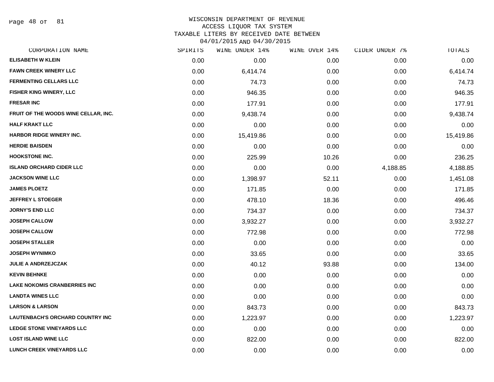Page 48 of 81

#### WISCONSIN DEPARTMENT OF REVENUE ACCESS LIQUOR TAX SYSTEM

TAXABLE LITERS BY RECEIVED DATE BETWEEN

04/01/2015 AND 04/30/2015

| CORPORATION NAME                        | SPIRITS | WINE UNDER 14% | WINE OVER 14% | CIDER UNDER 7% | TOTALS    |
|-----------------------------------------|---------|----------------|---------------|----------------|-----------|
| <b>ELISABETH W KLEIN</b>                | 0.00    | 0.00           | 0.00          | 0.00           | 0.00      |
| <b>FAWN CREEK WINERY LLC</b>            | 0.00    | 6,414.74       | 0.00          | 0.00           | 6,414.74  |
| <b>FERMENTING CELLARS LLC</b>           | 0.00    | 74.73          | 0.00          | 0.00           | 74.73     |
| FISHER KING WINERY, LLC                 | 0.00    | 946.35         | 0.00          | 0.00           | 946.35    |
| <b>FRESAR INC</b>                       | 0.00    | 177.91         | 0.00          | 0.00           | 177.91    |
| FRUIT OF THE WOODS WINE CELLAR, INC.    | 0.00    | 9,438.74       | 0.00          | 0.00           | 9,438.74  |
| <b>HALF KRAKT LLC</b>                   | 0.00    | 0.00           | 0.00          | 0.00           | 0.00      |
| HARBOR RIDGE WINERY INC.                | 0.00    | 15,419.86      | 0.00          | 0.00           | 15,419.86 |
| <b>HERDIE BAISDEN</b>                   | 0.00    | 0.00           | 0.00          | 0.00           | 0.00      |
| <b>HOOKSTONE INC.</b>                   | 0.00    | 225.99         | 10.26         | 0.00           | 236.25    |
| <b>ISLAND ORCHARD CIDER LLC</b>         | 0.00    | 0.00           | 0.00          | 4,188.85       | 4,188.85  |
| <b>JACKSON WINE LLC</b>                 | 0.00    | 1,398.97       | 52.11         | 0.00           | 1,451.08  |
| <b>JAMES PLOETZ</b>                     | 0.00    | 171.85         | 0.00          | 0.00           | 171.85    |
| <b>JEFFREY L STOEGER</b>                | 0.00    | 478.10         | 18.36         | 0.00           | 496.46    |
| <b>JORNY'S END LLC</b>                  | 0.00    | 734.37         | 0.00          | 0.00           | 734.37    |
| <b>JOSEPH CALLOW</b>                    | 0.00    | 3,932.27       | 0.00          | 0.00           | 3,932.27  |
| <b>JOSEPH CALLOW</b>                    | 0.00    | 772.98         | 0.00          | 0.00           | 772.98    |
| <b>JOSEPH STALLER</b>                   | 0.00    | 0.00           | 0.00          | 0.00           | 0.00      |
| <b>JOSEPH WYNIMKO</b>                   | 0.00    | 33.65          | 0.00          | 0.00           | 33.65     |
| <b>JULIE A ANDRZEJCZAK</b>              | 0.00    | 40.12          | 93.88         | 0.00           | 134.00    |
| <b>KEVIN BEHNKE</b>                     | 0.00    | 0.00           | 0.00          | 0.00           | 0.00      |
| <b>LAKE NOKOMIS CRANBERRIES INC</b>     | 0.00    | 0.00           | 0.00          | 0.00           | 0.00      |
| <b>LANDTA WINES LLC</b>                 | 0.00    | 0.00           | 0.00          | 0.00           | 0.00      |
| <b>LARSON &amp; LARSON</b>              | 0.00    | 843.73         | 0.00          | 0.00           | 843.73    |
| <b>LAUTENBACH'S ORCHARD COUNTRY INC</b> | 0.00    | 1,223.97       | 0.00          | 0.00           | 1,223.97  |
| LEDGE STONE VINEYARDS LLC               | 0.00    | 0.00           | 0.00          | 0.00           | 0.00      |
| <b>LOST ISLAND WINE LLC</b>             | 0.00    | 822.00         | 0.00          | 0.00           | 822.00    |
| <b>LUNCH CREEK VINEYARDS LLC</b>        | 0.00    | 0.00           | 0.00          | 0.00           | 0.00      |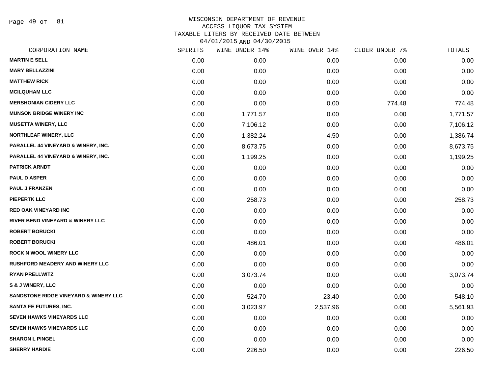Page 49 of 81

|      | WINE UNDER 14% |          | CIDER UNDER 7% | TOTALS   |
|------|----------------|----------|----------------|----------|
| 0.00 | 0.00           | 0.00     | 0.00           | 0.00     |
| 0.00 | 0.00           | 0.00     | 0.00           | 0.00     |
| 0.00 | 0.00           | 0.00     | 0.00           | 0.00     |
| 0.00 | 0.00           | 0.00     | 0.00           | 0.00     |
| 0.00 | 0.00           | 0.00     | 774.48         | 774.48   |
| 0.00 | 1,771.57       | 0.00     | 0.00           | 1,771.57 |
| 0.00 | 7,106.12       | 0.00     | 0.00           | 7,106.12 |
| 0.00 | 1,382.24       | 4.50     | 0.00           | 1,386.74 |
| 0.00 | 8,673.75       | 0.00     | 0.00           | 8,673.75 |
| 0.00 | 1,199.25       | 0.00     | 0.00           | 1,199.25 |
| 0.00 | 0.00           | 0.00     | 0.00           | 0.00     |
| 0.00 | 0.00           | 0.00     | 0.00           | 0.00     |
| 0.00 | 0.00           | 0.00     | 0.00           | 0.00     |
| 0.00 | 258.73         | 0.00     | 0.00           | 258.73   |
| 0.00 | 0.00           | 0.00     | 0.00           | 0.00     |
| 0.00 | 0.00           | 0.00     | 0.00           | 0.00     |
| 0.00 | 0.00           | 0.00     | 0.00           | 0.00     |
| 0.00 | 486.01         | 0.00     | 0.00           | 486.01   |
| 0.00 | 0.00           | 0.00     | 0.00           | 0.00     |
| 0.00 | 0.00           | 0.00     | 0.00           | 0.00     |
| 0.00 | 3,073.74       | 0.00     | 0.00           | 3,073.74 |
| 0.00 | 0.00           | 0.00     | 0.00           | 0.00     |
| 0.00 | 524.70         | 23.40    | 0.00           | 548.10   |
| 0.00 | 3,023.97       | 2,537.96 | 0.00           | 5,561.93 |
| 0.00 | 0.00           | 0.00     | 0.00           | 0.00     |
| 0.00 | 0.00           | 0.00     | 0.00           | 0.00     |
| 0.00 | 0.00           | 0.00     | 0.00           | 0.00     |
| 0.00 | 226.50         | 0.00     | 0.00           | 226.50   |
|      | SPIRITS        |          | WINE OVER 14%  |          |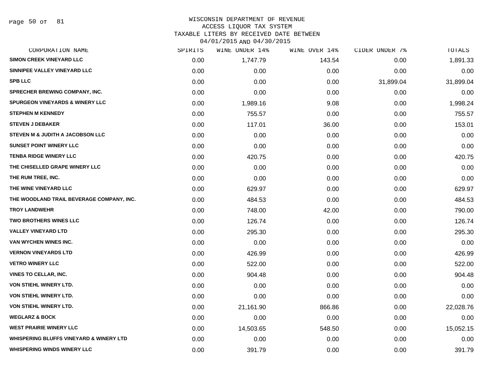Page 50 of 81

# WISCONSIN DEPARTMENT OF REVENUE ACCESS LIQUOR TAX SYSTEM

TAXABLE LITERS BY RECEIVED DATE BETWEEN

| 04/01/2015 AND 04/30/2015 |  |  |
|---------------------------|--|--|

| CORPORATION NAME                                   | SPIRITS | WINE UNDER 14% | WINE OVER 14% | CIDER UNDER 7% | <b>TOTALS</b> |
|----------------------------------------------------|---------|----------------|---------------|----------------|---------------|
| <b>SIMON CREEK VINEYARD LLC</b>                    | 0.00    | 1,747.79       | 143.54        | 0.00           | 1,891.33      |
| SINNIPEE VALLEY VINEYARD LLC                       | 0.00    | 0.00           | 0.00          | 0.00           | 0.00          |
| <b>SPB LLC</b>                                     | 0.00    | 0.00           | 0.00          | 31,899.04      | 31,899.04     |
| <b>SPRECHER BREWING COMPANY, INC.</b>              | 0.00    | 0.00           | 0.00          | 0.00           | 0.00          |
| <b>SPURGEON VINEYARDS &amp; WINERY LLC</b>         | 0.00    | 1,989.16       | 9.08          | 0.00           | 1,998.24      |
| <b>STEPHEN M KENNEDY</b>                           | 0.00    | 755.57         | 0.00          | 0.00           | 755.57        |
| <b>STEVEN J DEBAKER</b>                            | 0.00    | 117.01         | 36.00         | 0.00           | 153.01        |
| <b>STEVEN M &amp; JUDITH A JACOBSON LLC</b>        | 0.00    | 0.00           | 0.00          | 0.00           | 0.00          |
| <b>SUNSET POINT WINERY LLC</b>                     | 0.00    | 0.00           | 0.00          | 0.00           | 0.00          |
| <b>TENBA RIDGE WINERY LLC</b>                      | 0.00    | 420.75         | 0.00          | 0.00           | 420.75        |
| THE CHISELLED GRAPE WINERY LLC                     | 0.00    | 0.00           | 0.00          | 0.00           | 0.00          |
| THE RUM TREE, INC.                                 | 0.00    | 0.00           | 0.00          | 0.00           | 0.00          |
| THE WINE VINEYARD LLC                              | 0.00    | 629.97         | 0.00          | 0.00           | 629.97        |
| THE WOODLAND TRAIL BEVERAGE COMPANY, INC.          | 0.00    | 484.53         | 0.00          | 0.00           | 484.53        |
| <b>TROY LANDWEHR</b>                               | 0.00    | 748.00         | 42.00         | 0.00           | 790.00        |
| <b>TWO BROTHERS WINES LLC</b>                      | 0.00    | 126.74         | 0.00          | 0.00           | 126.74        |
| <b>VALLEY VINEYARD LTD</b>                         | 0.00    | 295.30         | 0.00          | 0.00           | 295.30        |
| VAN WYCHEN WINES INC.                              | 0.00    | 0.00           | 0.00          | 0.00           | 0.00          |
| <b>VERNON VINEYARDS LTD</b>                        | 0.00    | 426.99         | 0.00          | 0.00           | 426.99        |
| <b>VETRO WINERY LLC</b>                            | 0.00    | 522.00         | 0.00          | 0.00           | 522.00        |
| <b>VINES TO CELLAR, INC.</b>                       | 0.00    | 904.48         | 0.00          | 0.00           | 904.48        |
| VON STIEHL WINERY LTD.                             | 0.00    | 0.00           | 0.00          | 0.00           | 0.00          |
| <b>VON STIEHL WINERY LTD.</b>                      | 0.00    | 0.00           | 0.00          | 0.00           | 0.00          |
| VON STIEHL WINERY LTD.                             | 0.00    | 21,161.90      | 866.86        | 0.00           | 22,028.76     |
| <b>WEGLARZ &amp; BOCK</b>                          | 0.00    | 0.00           | 0.00          | 0.00           | 0.00          |
| <b>WEST PRAIRIE WINERY LLC</b>                     | 0.00    | 14,503.65      | 548.50        | 0.00           | 15,052.15     |
| <b>WHISPERING BLUFFS VINEYARD &amp; WINERY LTD</b> | 0.00    | 0.00           | 0.00          | 0.00           | 0.00          |
| <b>WHISPERING WINDS WINERY LLC</b>                 | 0.00    | 391.79         | 0.00          | 0.00           | 391.79        |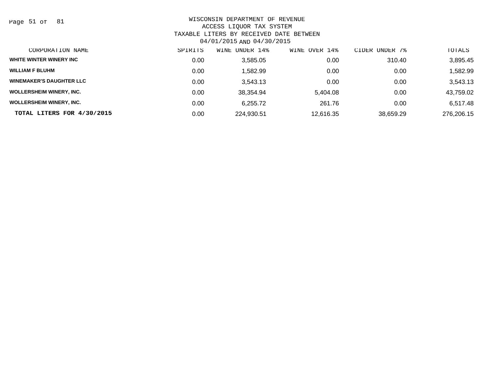Page 51 of 81

| CORPORATION NAME                | SPIRITS | UNDER 14%<br>WINE | OVER 14%<br>WINE | UNDER 7%<br>CIDER | TOTALS     |
|---------------------------------|---------|-------------------|------------------|-------------------|------------|
| WHITE WINTER WINERY INC         | 0.00    | 3,585.05          | 0.00             | 310.40            | 3,895.45   |
| <b>WILLIAM F BLUHM</b>          | 0.00    | ,582.99           | 0.00             | 0.00              | 1,582.99   |
| <b>WINEMAKER'S DAUGHTER LLC</b> | 0.00    | 3.543.13          | 0.00             | 0.00              | 3,543.13   |
| <b>WOLLERSHEIM WINERY, INC.</b> | 0.00    | 38.354.94         | 5.404.08         | 0.00              | 43,759.02  |
| <b>WOLLERSHEIM WINERY, INC.</b> | 0.00    | 6.255.72          | 261.76           | 0.00              | 6,517.48   |
| TOTAL LITERS FOR 4/30/2015      | 0.00    | 224,930.51        | 12,616.35        | 38,659.29         | 276,206.15 |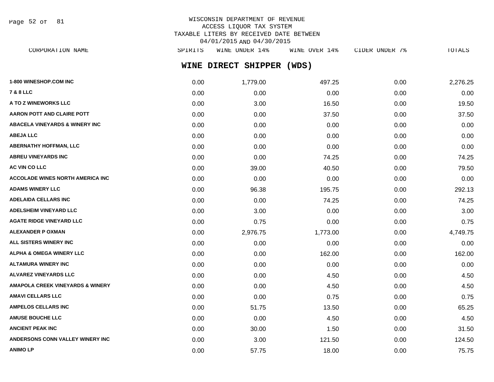Page 52 of 81

| CORPORATION NAME | SPIRITS |                |                           |               |  | TOTALS         |
|------------------|---------|----------------|---------------------------|---------------|--|----------------|
|                  |         | WINE UNDER 14% | WINE DIRECT SHIPPER (WDS) | WINE OVER 14% |  | CIDER UNDER 7% |

| 1-800 WINESHOP.COM INC                      | 0.00 | 1,779.00 | 497.25   | 0.00 | 2,276.25 |
|---------------------------------------------|------|----------|----------|------|----------|
| <b>7 &amp; 8 LLC</b>                        | 0.00 | 0.00     | 0.00     | 0.00 | 0.00     |
| <b>A TO Z WINEWORKS LLC</b>                 | 0.00 | 3.00     | 16.50    | 0.00 | 19.50    |
| AARON POTT AND CLAIRE POTT                  | 0.00 | 0.00     | 37.50    | 0.00 | 37.50    |
| <b>ABACELA VINEYARDS &amp; WINERY INC</b>   | 0.00 | 0.00     | 0.00     | 0.00 | 0.00     |
| <b>ABEJA LLC</b>                            | 0.00 | 0.00     | 0.00     | 0.00 | 0.00     |
| <b>ABERNATHY HOFFMAN, LLC</b>               | 0.00 | 0.00     | 0.00     | 0.00 | 0.00     |
| <b>ABREU VINEYARDS INC</b>                  | 0.00 | 0.00     | 74.25    | 0.00 | 74.25    |
| <b>AC VIN CO LLC</b>                        | 0.00 | 39.00    | 40.50    | 0.00 | 79.50    |
| <b>ACCOLADE WINES NORTH AMERICA INC</b>     | 0.00 | 0.00     | 0.00     | 0.00 | 0.00     |
| ADAMS WINERY LLC                            | 0.00 | 96.38    | 195.75   | 0.00 | 292.13   |
| ADELAIDA CELLARS INC                        | 0.00 | 0.00     | 74.25    | 0.00 | 74.25    |
| <b>ADELSHEIM VINEYARD LLC</b>               | 0.00 | 3.00     | 0.00     | 0.00 | 3.00     |
| <b>AGATE RIDGE VINEYARD LLC</b>             | 0.00 | 0.75     | 0.00     | 0.00 | 0.75     |
| <b>ALEXANDER P OXMAN</b>                    | 0.00 | 2,976.75 | 1,773.00 | 0.00 | 4,749.75 |
| ALL SISTERS WINERY INC                      | 0.00 | 0.00     | 0.00     | 0.00 | 0.00     |
| ALPHA & OMEGA WINERY LLC                    | 0.00 | 0.00     | 162.00   | 0.00 | 162.00   |
| ALTAMURA WINERY INC                         | 0.00 | 0.00     | 0.00     | 0.00 | 0.00     |
| <b>ALVAREZ VINEYARDS LLC</b>                | 0.00 | 0.00     | 4.50     | 0.00 | 4.50     |
| <b>AMAPOLA CREEK VINEYARDS &amp; WINERY</b> | 0.00 | 0.00     | 4.50     | 0.00 | 4.50     |
| <b>AMAVI CELLARS LLC</b>                    | 0.00 | 0.00     | 0.75     | 0.00 | 0.75     |
| <b>AMPELOS CELLARS INC</b>                  | 0.00 | 51.75    | 13.50    | 0.00 | 65.25    |
| <b>AMUSE BOUCHE LLC</b>                     | 0.00 | 0.00     | 4.50     | 0.00 | 4.50     |
| <b>ANCIENT PEAK INC</b>                     | 0.00 | 30.00    | 1.50     | 0.00 | 31.50    |
| ANDERSONS CONN VALLEY WINERY INC            | 0.00 | 3.00     | 121.50   | 0.00 | 124.50   |
| <b>ANIMO LP</b>                             | 0.00 | 57.75    | 18.00    | 0.00 | 75.75    |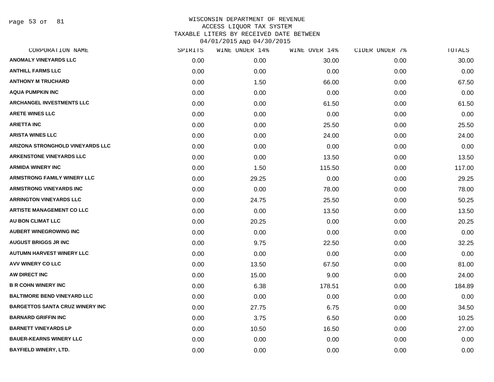Page 53 of 81

| CORPORATION NAME                       | SPIRITS | WINE UNDER 14% | WINE OVER 14% | CIDER UNDER 7% | TOTALS |
|----------------------------------------|---------|----------------|---------------|----------------|--------|
| <b>ANOMALY VINEYARDS LLC</b>           | 0.00    | 0.00           | 30.00         | 0.00           | 30.00  |
| <b>ANTHILL FARMS LLC</b>               | 0.00    | 0.00           | 0.00          | 0.00           | 0.00   |
| <b>ANTHONY M TRUCHARD</b>              | 0.00    | 1.50           | 66.00         | 0.00           | 67.50  |
| <b>AQUA PUMPKIN INC</b>                | 0.00    | 0.00           | 0.00          | 0.00           | 0.00   |
| <b>ARCHANGEL INVESTMENTS LLC</b>       | 0.00    | 0.00           | 61.50         | 0.00           | 61.50  |
| <b>ARETE WINES LLC</b>                 | 0.00    | 0.00           | 0.00          | 0.00           | 0.00   |
| <b>ARIETTA INC</b>                     | 0.00    | 0.00           | 25.50         | 0.00           | 25.50  |
| <b>ARISTA WINES LLC</b>                | 0.00    | 0.00           | 24.00         | 0.00           | 24.00  |
| ARIZONA STRONGHOLD VINEYARDS LLC       | 0.00    | 0.00           | 0.00          | 0.00           | 0.00   |
| <b>ARKENSTONE VINEYARDS LLC</b>        | 0.00    | 0.00           | 13.50         | 0.00           | 13.50  |
| <b>ARMIDA WINERY INC</b>               | 0.00    | 1.50           | 115.50        | 0.00           | 117.00 |
| <b>ARMSTRONG FAMILY WINERY LLC</b>     | 0.00    | 29.25          | 0.00          | 0.00           | 29.25  |
| <b>ARMSTRONG VINEYARDS INC</b>         | 0.00    | 0.00           | 78.00         | 0.00           | 78.00  |
| <b>ARRINGTON VINEYARDS LLC</b>         | 0.00    | 24.75          | 25.50         | 0.00           | 50.25  |
| <b>ARTISTE MANAGEMENT CO LLC</b>       | 0.00    | 0.00           | 13.50         | 0.00           | 13.50  |
| AU BON CLIMAT LLC                      | 0.00    | 20.25          | 0.00          | 0.00           | 20.25  |
| <b>AUBERT WINEGROWING INC</b>          | 0.00    | 0.00           | 0.00          | 0.00           | 0.00   |
| <b>AUGUST BRIGGS JR INC</b>            | 0.00    | 9.75           | 22.50         | 0.00           | 32.25  |
| <b>AUTUMN HARVEST WINERY LLC</b>       | 0.00    | 0.00           | 0.00          | 0.00           | 0.00   |
| AVV WINERY CO LLC                      | 0.00    | 13.50          | 67.50         | 0.00           | 81.00  |
| AW DIRECT INC                          | 0.00    | 15.00          | 9.00          | 0.00           | 24.00  |
| <b>B R COHN WINERY INC</b>             | 0.00    | 6.38           | 178.51        | 0.00           | 184.89 |
| <b>BALTIMORE BEND VINEYARD LLC</b>     | 0.00    | 0.00           | 0.00          | 0.00           | 0.00   |
| <b>BARGETTOS SANTA CRUZ WINERY INC</b> | 0.00    | 27.75          | 6.75          | 0.00           | 34.50  |
| <b>BARNARD GRIFFIN INC</b>             | 0.00    | 3.75           | 6.50          | 0.00           | 10.25  |
| <b>BARNETT VINEYARDS LP</b>            | 0.00    | 10.50          | 16.50         | 0.00           | 27.00  |
| <b>BAUER-KEARNS WINERY LLC</b>         | 0.00    | 0.00           | 0.00          | 0.00           | 0.00   |
| <b>BAYFIELD WINERY, LTD.</b>           | 0.00    | 0.00           | 0.00          | 0.00           | 0.00   |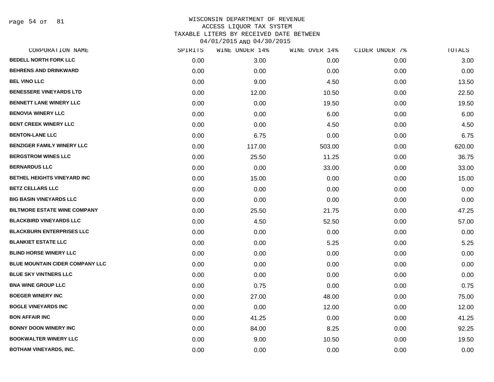Page 54 of 81

| CORPORATION NAME                       | SPIRITS | WINE UNDER 14% | WINE OVER 14% | CIDER UNDER 7% | TOTALS |
|----------------------------------------|---------|----------------|---------------|----------------|--------|
| <b>BEDELL NORTH FORK LLC</b>           | 0.00    | 3.00           | 0.00          | 0.00           | 3.00   |
| <b>BEHRENS AND DRINKWARD</b>           | 0.00    | 0.00           | 0.00          | 0.00           | 0.00   |
| <b>BEL VINO LLC</b>                    | 0.00    | 9.00           | 4.50          | 0.00           | 13.50  |
| <b>BENESSERE VINEYARDS LTD</b>         | 0.00    | 12.00          | 10.50         | 0.00           | 22.50  |
| <b>BENNETT LANE WINERY LLC</b>         | 0.00    | 0.00           | 19.50         | 0.00           | 19.50  |
| <b>BENOVIA WINERY LLC</b>              | 0.00    | 0.00           | 6.00          | 0.00           | 6.00   |
| <b>BENT CREEK WINERY LLC</b>           | 0.00    | 0.00           | 4.50          | 0.00           | 4.50   |
| <b>BENTON-LANE LLC</b>                 | 0.00    | 6.75           | 0.00          | 0.00           | 6.75   |
| <b>BENZIGER FAMILY WINERY LLC</b>      | 0.00    | 117.00         | 503.00        | 0.00           | 620.00 |
| <b>BERGSTROM WINES LLC</b>             | 0.00    | 25.50          | 11.25         | 0.00           | 36.75  |
| <b>BERNARDUS LLC</b>                   | 0.00    | 0.00           | 33.00         | 0.00           | 33.00  |
| BETHEL HEIGHTS VINEYARD INC            | 0.00    | 15.00          | 0.00          | 0.00           | 15.00  |
| <b>BETZ CELLARS LLC</b>                | 0.00    | 0.00           | 0.00          | 0.00           | 0.00   |
| <b>BIG BASIN VINEYARDS LLC</b>         | 0.00    | 0.00           | 0.00          | 0.00           | 0.00   |
| <b>BILTMORE ESTATE WINE COMPANY</b>    | 0.00    | 25.50          | 21.75         | 0.00           | 47.25  |
| <b>BLACKBIRD VINEYARDS LLC</b>         | 0.00    | 4.50           | 52.50         | 0.00           | 57.00  |
| <b>BLACKBURN ENTERPRISES LLC</b>       | 0.00    | 0.00           | 0.00          | 0.00           | 0.00   |
| <b>BLANKIET ESTATE LLC</b>             | 0.00    | 0.00           | 5.25          | 0.00           | 5.25   |
| <b>BLIND HORSE WINERY LLC</b>          | 0.00    | 0.00           | 0.00          | 0.00           | 0.00   |
| <b>BLUE MOUNTAIN CIDER COMPANY LLC</b> | 0.00    | 0.00           | 0.00          | 0.00           | 0.00   |
| <b>BLUE SKY VINTNERS LLC</b>           | 0.00    | 0.00           | 0.00          | 0.00           | 0.00   |
| <b>BNA WINE GROUP LLC</b>              | 0.00    | 0.75           | 0.00          | 0.00           | 0.75   |
| <b>BOEGER WINERY INC</b>               | 0.00    | 27.00          | 48.00         | 0.00           | 75.00  |
| <b>BOGLE VINEYARDS INC</b>             | 0.00    | 0.00           | 12.00         | 0.00           | 12.00  |
| <b>BON AFFAIR INC</b>                  | 0.00    | 41.25          | 0.00          | 0.00           | 41.25  |
| <b>BONNY DOON WINERY INC</b>           | 0.00    | 84.00          | 8.25          | 0.00           | 92.25  |
| <b>BOOKWALTER WINERY LLC</b>           | 0.00    | 9.00           | 10.50         | 0.00           | 19.50  |
| <b>BOTHAM VINEYARDS, INC.</b>          | 0.00    | 0.00           | 0.00          | 0.00           | 0.00   |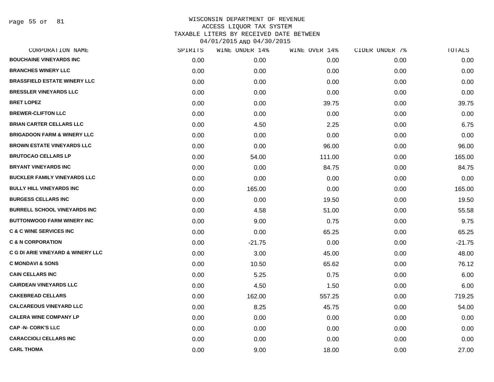Page 55 of 81

|                   | WINE UNDER 14% | WINE OVER 14% | CIDER UNDER 7% | TOTALS   |
|-------------------|----------------|---------------|----------------|----------|
| 0.00 <sub>1</sub> | 0.00           | 0.00          | 0.00           | 0.00     |
| 0.00              | 0.00           | 0.00          | 0.00           | 0.00     |
| 0.00              | 0.00           | 0.00          | 0.00           | 0.00     |
| 0.00              | 0.00           | 0.00          | 0.00           | 0.00     |
| 0.00              | 0.00           | 39.75         | 0.00           | 39.75    |
| 0.00              | 0.00           | 0.00          | 0.00           | 0.00     |
| 0.00              | 4.50           | 2.25          | 0.00           | 6.75     |
| 0.00              | 0.00           | 0.00          | 0.00           | 0.00     |
| 0.00              | 0.00           | 96.00         | 0.00           | 96.00    |
| 0.00              | 54.00          | 111.00        | 0.00           | 165.00   |
| 0.00              | 0.00           | 84.75         | 0.00           | 84.75    |
| 0.00              | 0.00           | 0.00          | 0.00           | 0.00     |
| 0.00              | 165.00         | 0.00          | 0.00           | 165.00   |
| 0.00              | 0.00           | 19.50         | 0.00           | 19.50    |
| 0.00              | 4.58           | 51.00         | 0.00           | 55.58    |
| 0.00              | 9.00           | 0.75          | 0.00           | 9.75     |
| 0.00              | 0.00           | 65.25         | 0.00           | 65.25    |
| 0.00              | $-21.75$       | 0.00          | 0.00           | $-21.75$ |
| 0.00              | 3.00           | 45.00         | 0.00           | 48.00    |
| 0.00              | 10.50          | 65.62         | 0.00           | 76.12    |
| 0.00              | 5.25           | 0.75          | 0.00           | 6.00     |
| 0.00              | 4.50           | 1.50          | 0.00           | 6.00     |
| 0.00              | 162.00         | 557.25        | 0.00           | 719.25   |
| 0.00              | 8.25           | 45.75         | 0.00           | 54.00    |
| 0.00              | 0.00           | 0.00          | 0.00           | 0.00     |
| 0.00              | 0.00           | 0.00          | 0.00           | 0.00     |
| 0.00              | 0.00           | 0.00          | 0.00           | 0.00     |
| 0.00              | 9.00           | 18.00         | 0.00           | 27.00    |
|                   | SPIRITS        |               |                |          |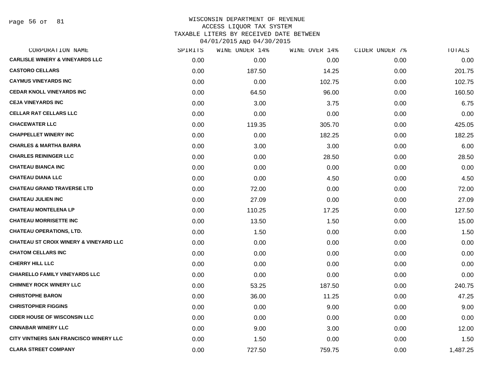Page 56 of 81

|      | WINE UNDER 14% | WINE OVER 14% |      | TOTALS         |
|------|----------------|---------------|------|----------------|
| 0.00 | 0.00           | 0.00          | 0.00 | 0.00           |
| 0.00 | 187.50         | 14.25         | 0.00 | 201.75         |
| 0.00 | 0.00           | 102.75        | 0.00 | 102.75         |
| 0.00 | 64.50          | 96.00         | 0.00 | 160.50         |
| 0.00 | 3.00           | 3.75          | 0.00 | 6.75           |
| 0.00 | 0.00           | 0.00          | 0.00 | 0.00           |
| 0.00 | 119.35         | 305.70        | 0.00 | 425.05         |
| 0.00 | 0.00           | 182.25        | 0.00 | 182.25         |
| 0.00 | 3.00           | 3.00          | 0.00 | 6.00           |
| 0.00 | 0.00           | 28.50         | 0.00 | 28.50          |
| 0.00 | 0.00           | 0.00          | 0.00 | 0.00           |
| 0.00 | 0.00           | 4.50          | 0.00 | 4.50           |
| 0.00 | 72.00          | 0.00          | 0.00 | 72.00          |
| 0.00 | 27.09          | 0.00          | 0.00 | 27.09          |
| 0.00 | 110.25         | 17.25         | 0.00 | 127.50         |
| 0.00 | 13.50          | 1.50          | 0.00 | 15.00          |
| 0.00 | 1.50           | 0.00          | 0.00 | 1.50           |
| 0.00 | 0.00           | 0.00          | 0.00 | 0.00           |
| 0.00 | 0.00           | 0.00          | 0.00 | 0.00           |
| 0.00 | 0.00           | 0.00          | 0.00 | 0.00           |
| 0.00 | 0.00           | 0.00          | 0.00 | 0.00           |
| 0.00 | 53.25          | 187.50        | 0.00 | 240.75         |
| 0.00 | 36.00          | 11.25         | 0.00 | 47.25          |
| 0.00 | 0.00           | 9.00          | 0.00 | 9.00           |
| 0.00 | 0.00           | 0.00          | 0.00 | 0.00           |
| 0.00 | 9.00           | 3.00          | 0.00 | 12.00          |
| 0.00 | 1.50           | 0.00          | 0.00 | 1.50           |
| 0.00 | 727.50         | 759.75        | 0.00 | 1,487.25       |
|      | SPIRITS        |               |      | CIDER UNDER 7% |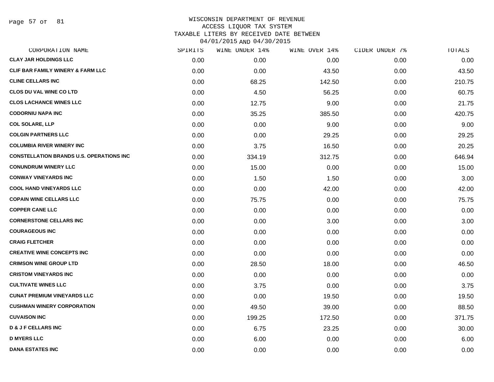Page 57 of 81

|      | WINE UNDER 14% |        |               | TOTALS         |
|------|----------------|--------|---------------|----------------|
| 0.00 | 0.00           | 0.00   | 0.00          | 0.00           |
| 0.00 | 0.00           | 43.50  | 0.00          | 43.50          |
| 0.00 | 68.25          | 142.50 | 0.00          | 210.75         |
| 0.00 | 4.50           | 56.25  | 0.00          | 60.75          |
| 0.00 | 12.75          | 9.00   | 0.00          | 21.75          |
| 0.00 | 35.25          | 385.50 | 0.00          | 420.75         |
| 0.00 | 0.00           | 9.00   | 0.00          | 9.00           |
| 0.00 | 0.00           | 29.25  | 0.00          | 29.25          |
| 0.00 | 3.75           | 16.50  | 0.00          | 20.25          |
| 0.00 | 334.19         | 312.75 | 0.00          | 646.94         |
| 0.00 | 15.00          | 0.00   | 0.00          | 15.00          |
| 0.00 | 1.50           | 1.50   | 0.00          | 3.00           |
| 0.00 | 0.00           | 42.00  | 0.00          | 42.00          |
| 0.00 | 75.75          | 0.00   | 0.00          | 75.75          |
| 0.00 | 0.00           | 0.00   | 0.00          | 0.00           |
| 0.00 | 0.00           | 3.00   | 0.00          | 3.00           |
| 0.00 | 0.00           | 0.00   | 0.00          | 0.00           |
| 0.00 | 0.00           | 0.00   | 0.00          | 0.00           |
| 0.00 | 0.00           | 0.00   | 0.00          | 0.00           |
| 0.00 | 28.50          | 18.00  | 0.00          | 46.50          |
| 0.00 | 0.00           | 0.00   | 0.00          | 0.00           |
| 0.00 | 3.75           | 0.00   | 0.00          | 3.75           |
| 0.00 | 0.00           | 19.50  | 0.00          | 19.50          |
| 0.00 | 49.50          | 39.00  | 0.00          | 88.50          |
| 0.00 | 199.25         | 172.50 | 0.00          | 371.75         |
| 0.00 | 6.75           | 23.25  | 0.00          | 30.00          |
| 0.00 | 6.00           | 0.00   | 0.00          | 6.00           |
| 0.00 | 0.00           | 0.00   | 0.00          | 0.00           |
|      | SPIRITS        |        | WINE OVER 14% | CIDER UNDER 7% |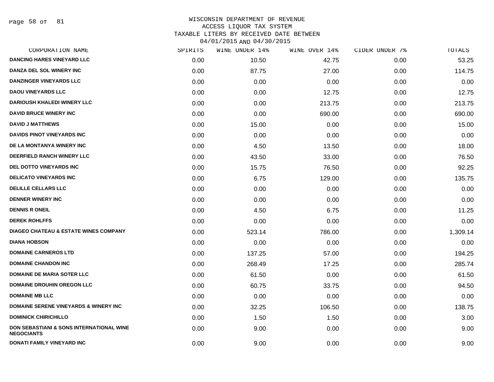Page 58 of 81

| CORPORATION NAME                                                         | SPIRITS | WINE UNDER 14% | WINE OVER 14% | CIDER UNDER 7% | TOTALS   |
|--------------------------------------------------------------------------|---------|----------------|---------------|----------------|----------|
| <b>DANCING HARES VINEYARD LLC</b>                                        | 0.00    | 10.50          | 42.75         | 0.00           | 53.25    |
| DANZA DEL SOL WINERY INC                                                 | 0.00    | 87.75          | 27.00         | 0.00           | 114.75   |
| <b>DANZINGER VINEYARDS LLC</b>                                           | 0.00    | 0.00           | 0.00          | 0.00           | 0.00     |
| <b>DAOU VINEYARDS LLC</b>                                                | 0.00    | 0.00           | 12.75         | 0.00           | 12.75    |
| <b>DARIOUSH KHALEDI WINERY LLC</b>                                       | 0.00    | 0.00           | 213.75        | 0.00           | 213.75   |
| <b>DAVID BRUCE WINERY INC</b>                                            | 0.00    | 0.00           | 690.00        | 0.00           | 690.00   |
| <b>DAVID J MATTHEWS</b>                                                  | 0.00    | 15.00          | 0.00          | 0.00           | 15.00    |
| <b>DAVIDS PINOT VINEYARDS INC</b>                                        | 0.00    | 0.00           | 0.00          | 0.00           | 0.00     |
| DE LA MONTANYA WINERY INC                                                | 0.00    | 4.50           | 13.50         | 0.00           | 18.00    |
| <b>DEERFIELD RANCH WINERY LLC</b>                                        | 0.00    | 43.50          | 33.00         | 0.00           | 76.50    |
| DEL DOTTO VINEYARDS INC                                                  | 0.00    | 15.75          | 76.50         | 0.00           | 92.25    |
| <b>DELICATO VINEYARDS INC</b>                                            | 0.00    | 6.75           | 129.00        | 0.00           | 135.75   |
| <b>DELILLE CELLARS LLC</b>                                               | 0.00    | 0.00           | 0.00          | 0.00           | 0.00     |
| <b>DENNER WINERY INC</b>                                                 | 0.00    | 0.00           | 0.00          | 0.00           | 0.00     |
| <b>DENNIS R ONEIL</b>                                                    | 0.00    | 4.50           | 6.75          | 0.00           | 11.25    |
| <b>DEREK ROHLFFS</b>                                                     | 0.00    | 0.00           | 0.00          | 0.00           | 0.00     |
| <b>DIAGEO CHATEAU &amp; ESTATE WINES COMPANY</b>                         | 0.00    | 523.14         | 786.00        | 0.00           | 1,309.14 |
| <b>DIANA HOBSON</b>                                                      | 0.00    | 0.00           | 0.00          | 0.00           | 0.00     |
| <b>DOMAINE CARNEROS LTD</b>                                              | 0.00    | 137.25         | 57.00         | 0.00           | 194.25   |
| <b>DOMAINE CHANDON INC</b>                                               | 0.00    | 268.49         | 17.25         | 0.00           | 285.74   |
| <b>DOMAINE DE MARIA SOTER LLC</b>                                        | 0.00    | 61.50          | 0.00          | 0.00           | 61.50    |
| <b>DOMAINE DROUHIN OREGON LLC</b>                                        | 0.00    | 60.75          | 33.75         | 0.00           | 94.50    |
| <b>DOMAINE MB LLC</b>                                                    | 0.00    | 0.00           | 0.00          | 0.00           | 0.00     |
| <b>DOMAINE SERENE VINEYARDS &amp; WINERY INC.</b>                        | 0.00    | 32.25          | 106.50        | 0.00           | 138.75   |
| <b>DOMINICK CHIRICHILLO</b>                                              | 0.00    | 1.50           | 1.50          | 0.00           | 3.00     |
| <b>DON SEBASTIANI &amp; SONS INTERNATIONAL WINE</b><br><b>NEGOCIANTS</b> | 0.00    | 9.00           | 0.00          | 0.00           | 9.00     |
| DONATI FAMILY VINEYARD INC                                               | 0.00    | 9.00           | 0.00          | 0.00           | 9.00     |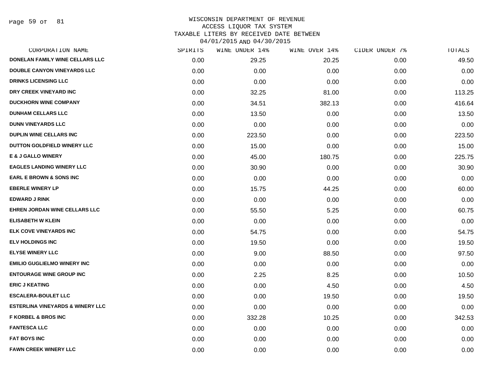Page 59 of 81

| CORPORATION NAME                            | SPIRITS | WINE UNDER 14% | WINE OVER 14% | CIDER UNDER 7% | TOTALS |
|---------------------------------------------|---------|----------------|---------------|----------------|--------|
| DONELAN FAMILY WINE CELLARS LLC             | 0.00    | 29.25          | 20.25         | 0.00           | 49.50  |
| DOUBLE CANYON VINEYARDS LLC                 | 0.00    | 0.00           | 0.00          | 0.00           | 0.00   |
| <b>DRINKS LICENSING LLC</b>                 | 0.00    | 0.00           | 0.00          | 0.00           | 0.00   |
| DRY CREEK VINEYARD INC                      | 0.00    | 32.25          | 81.00         | 0.00           | 113.25 |
| <b>DUCKHORN WINE COMPANY</b>                | 0.00    | 34.51          | 382.13        | 0.00           | 416.64 |
| <b>DUNHAM CELLARS LLC</b>                   | 0.00    | 13.50          | 0.00          | 0.00           | 13.50  |
| <b>DUNN VINEYARDS LLC</b>                   | 0.00    | 0.00           | 0.00          | 0.00           | 0.00   |
| <b>DUPLIN WINE CELLARS INC</b>              | 0.00    | 223.50         | 0.00          | 0.00           | 223.50 |
| DUTTON GOLDFIELD WINERY LLC                 | 0.00    | 15.00          | 0.00          | 0.00           | 15.00  |
| <b>E &amp; J GALLO WINERY</b>               | 0.00    | 45.00          | 180.75        | 0.00           | 225.75 |
| <b>EAGLES LANDING WINERY LLC</b>            | 0.00    | 30.90          | 0.00          | 0.00           | 30.90  |
| <b>EARL E BROWN &amp; SONS INC</b>          | 0.00    | 0.00           | 0.00          | 0.00           | 0.00   |
| <b>EBERLE WINERY LP</b>                     | 0.00    | 15.75          | 44.25         | 0.00           | 60.00  |
| <b>EDWARD J RINK</b>                        | 0.00    | 0.00           | 0.00          | 0.00           | 0.00   |
| EHREN JORDAN WINE CELLARS LLC               | 0.00    | 55.50          | 5.25          | 0.00           | 60.75  |
| <b>ELISABETH W KLEIN</b>                    | 0.00    | 0.00           | 0.00          | 0.00           | 0.00   |
| <b>ELK COVE VINEYARDS INC</b>               | 0.00    | 54.75          | 0.00          | 0.00           | 54.75  |
| <b>ELV HOLDINGS INC</b>                     | 0.00    | 19.50          | 0.00          | 0.00           | 19.50  |
| <b>ELYSE WINERY LLC</b>                     | 0.00    | 9.00           | 88.50         | 0.00           | 97.50  |
| <b>EMILIO GUGLIELMO WINERY INC</b>          | 0.00    | 0.00           | 0.00          | 0.00           | 0.00   |
| <b>ENTOURAGE WINE GROUP INC</b>             | 0.00    | 2.25           | 8.25          | 0.00           | 10.50  |
| <b>ERIC J KEATING</b>                       | 0.00    | 0.00           | 4.50          | 0.00           | 4.50   |
| <b>ESCALERA-BOULET LLC</b>                  | 0.00    | 0.00           | 19.50         | 0.00           | 19.50  |
| <b>ESTERLINA VINEYARDS &amp; WINERY LLC</b> | 0.00    | 0.00           | 0.00          | 0.00           | 0.00   |
| <b>F KORBEL &amp; BROS INC</b>              | 0.00    | 332.28         | 10.25         | 0.00           | 342.53 |
| <b>FANTESCA LLC</b>                         | 0.00    | 0.00           | 0.00          | 0.00           | 0.00   |
| <b>FAT BOYS INC</b>                         | 0.00    | 0.00           | 0.00          | 0.00           | 0.00   |
| <b>FAWN CREEK WINERY LLC</b>                | 0.00    | 0.00           | 0.00          | 0.00           | 0.00   |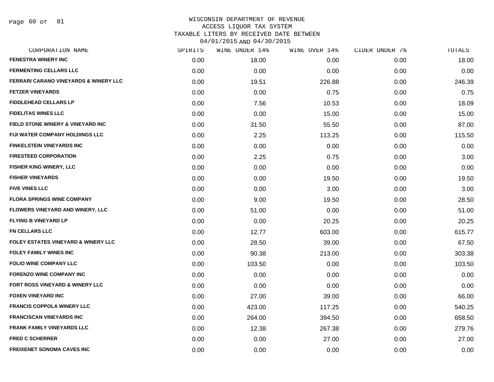Page 60 of 81

| CORPORATION NAME                                 | SPIRITS | WINE UNDER 14% | WINE OVER 14% | CIDER UNDER 7% | TOTALS |
|--------------------------------------------------|---------|----------------|---------------|----------------|--------|
| <b>FENESTRA WINERY INC</b>                       | 0.00    | 18.00          | 0.00          | 0.00           | 18.00  |
| <b>FERMENTING CELLARS LLC</b>                    | 0.00    | 0.00           | 0.00          | 0.00           | 0.00   |
| <b>FERRARI CARANO VINEYARDS &amp; WINERY LLC</b> | 0.00    | 19.51          | 226.88        | 0.00           | 246.39 |
| <b>FETZER VINEYARDS</b>                          | 0.00    | 0.00           | 0.75          | 0.00           | 0.75   |
| <b>FIDDLEHEAD CELLARS LP</b>                     | 0.00    | 7.56           | 10.53         | 0.00           | 18.09  |
| <b>FIDELITAS WINES LLC</b>                       | 0.00    | 0.00           | 15.00         | 0.00           | 15.00  |
| FIELD STONE WINERY & VINEYARD INC                | 0.00    | 31.50          | 55.50         | 0.00           | 87.00  |
| FIJI WATER COMPANY HOLDINGS LLC                  | 0.00    | 2.25           | 113.25        | 0.00           | 115.50 |
| <b>FINKELSTEIN VINEYARDS INC</b>                 | 0.00    | 0.00           | 0.00          | 0.00           | 0.00   |
| <b>FIRESTEED CORPORATION</b>                     | 0.00    | 2.25           | 0.75          | 0.00           | 3.00   |
| FISHER KING WINERY, LLC                          | 0.00    | 0.00           | 0.00          | 0.00           | 0.00   |
| <b>FISHER VINEYARDS</b>                          | 0.00    | 0.00           | 19.50         | 0.00           | 19.50  |
| <b>FIVE VINES LLC</b>                            | 0.00    | 0.00           | 3.00          | 0.00           | 3.00   |
| <b>FLORA SPRINGS WINE COMPANY</b>                | 0.00    | 9.00           | 19.50         | 0.00           | 28.50  |
| FLOWERS VINEYARD AND WINERY, LLC                 | 0.00    | 51.00          | 0.00          | 0.00           | 51.00  |
| <b>FLYING B VINEYARD LP</b>                      | 0.00    | 0.00           | 20.25         | 0.00           | 20.25  |
| <b>FN CELLARS LLC</b>                            | 0.00    | 12.77          | 603.00        | 0.00           | 615.77 |
| <b>FOLEY ESTATES VINEYARD &amp; WINERY LLC</b>   | 0.00    | 28.50          | 39.00         | 0.00           | 67.50  |
| <b>FOLEY FAMILY WINES INC</b>                    | 0.00    | 90.38          | 213.00        | 0.00           | 303.38 |
| <b>FOLIO WINE COMPANY LLC</b>                    | 0.00    | 103.50         | 0.00          | 0.00           | 103.50 |
| <b>FORENZO WINE COMPANY INC</b>                  | 0.00    | 0.00           | 0.00          | 0.00           | 0.00   |
| FORT ROSS VINEYARD & WINERY LLC                  | 0.00    | 0.00           | 0.00          | 0.00           | 0.00   |
| <b>FOXEN VINEYARD INC</b>                        | 0.00    | 27.00          | 39.00         | 0.00           | 66.00  |
| <b>FRANCIS COPPOLA WINERY LLC</b>                | 0.00    | 423.00         | 117.25        | 0.00           | 540.25 |
| <b>FRANCISCAN VINEYARDS INC</b>                  | 0.00    | 264.00         | 394.50        | 0.00           | 658.50 |
| <b>FRANK FAMILY VINEYARDS LLC</b>                | 0.00    | 12.38          | 267.38        | 0.00           | 279.76 |
| <b>FRED C SCHERRER</b>                           | 0.00    | 0.00           | 27.00         | 0.00           | 27.00  |
| <b>FREIXENET SONOMA CAVES INC</b>                | 0.00    | 0.00           | 0.00          | 0.00           | 0.00   |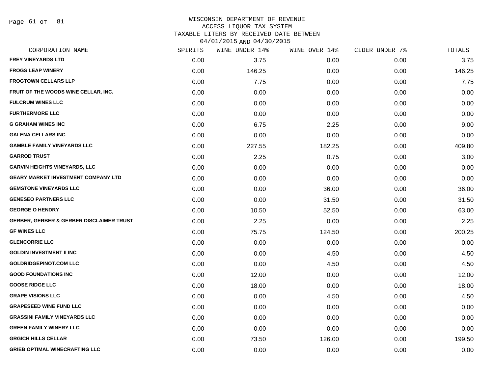Page 61 of 81

#### WISCONSIN DEPARTMENT OF REVENUE ACCESS LIQUOR TAX SYSTEM TAXABLE LITERS BY RECEIVED DATE BETWEEN

04/01/2015 AND 04/30/2015

| CORPORATION NAME                                    | SPIRITS | WINE UNDER 14% | WINE OVER 14% | CIDER UNDER 7% | TOTALS |
|-----------------------------------------------------|---------|----------------|---------------|----------------|--------|
| <b>FREY VINEYARDS LTD</b>                           | 0.00    | 3.75           | 0.00          | 0.00           | 3.75   |
| <b>FROGS LEAP WINERY</b>                            | 0.00    | 146.25         | 0.00          | 0.00           | 146.25 |
| <b>FROGTOWN CELLARS LLP</b>                         | 0.00    | 7.75           | 0.00          | 0.00           | 7.75   |
| FRUIT OF THE WOODS WINE CELLAR, INC.                | 0.00    | 0.00           | 0.00          | 0.00           | 0.00   |
| <b>FULCRUM WINES LLC</b>                            | 0.00    | 0.00           | 0.00          | 0.00           | 0.00   |
| <b>FURTHERMORE LLC</b>                              | 0.00    | 0.00           | 0.00          | 0.00           | 0.00   |
| <b>G GRAHAM WINES INC</b>                           | 0.00    | 6.75           | 2.25          | 0.00           | 9.00   |
| <b>GALENA CELLARS INC</b>                           | 0.00    | 0.00           | 0.00          | 0.00           | 0.00   |
| <b>GAMBLE FAMILY VINEYARDS LLC</b>                  | 0.00    | 227.55         | 182.25        | 0.00           | 409.80 |
| <b>GARROD TRUST</b>                                 | 0.00    | 2.25           | 0.75          | 0.00           | 3.00   |
| <b>GARVIN HEIGHTS VINEYARDS, LLC</b>                | 0.00    | 0.00           | 0.00          | 0.00           | 0.00   |
| <b>GEARY MARKET INVESTMENT COMPANY LTD</b>          | 0.00    | 0.00           | 0.00          | 0.00           | 0.00   |
| <b>GEMSTONE VINEYARDS LLC</b>                       | 0.00    | 0.00           | 36.00         | 0.00           | 36.00  |
| <b>GENESEO PARTNERS LLC</b>                         | 0.00    | 0.00           | 31.50         | 0.00           | 31.50  |
| <b>GEORGE O HENDRY</b>                              | 0.00    | 10.50          | 52.50         | 0.00           | 63.00  |
| <b>GERBER, GERBER &amp; GERBER DISCLAIMER TRUST</b> | 0.00    | 2.25           | 0.00          | 0.00           | 2.25   |
| <b>GF WINES LLC</b>                                 | 0.00    | 75.75          | 124.50        | 0.00           | 200.25 |
| <b>GLENCORRIE LLC</b>                               | 0.00    | 0.00           | 0.00          | 0.00           | 0.00   |
| <b>GOLDIN INVESTMENT II INC</b>                     | 0.00    | 0.00           | 4.50          | 0.00           | 4.50   |
| <b>GOLDRIDGEPINOT.COM LLC</b>                       | 0.00    | 0.00           | 4.50          | 0.00           | 4.50   |
| <b>GOOD FOUNDATIONS INC</b>                         | 0.00    | 12.00          | 0.00          | 0.00           | 12.00  |
| <b>GOOSE RIDGE LLC</b>                              | 0.00    | 18.00          | 0.00          | 0.00           | 18.00  |
| <b>GRAPE VISIONS LLC</b>                            | 0.00    | 0.00           | 4.50          | 0.00           | 4.50   |
| <b>GRAPESEED WINE FUND LLC</b>                      | 0.00    | 0.00           | 0.00          | 0.00           | 0.00   |
| <b>GRASSINI FAMILY VINEYARDS LLC</b>                | 0.00    | 0.00           | 0.00          | 0.00           | 0.00   |
| <b>GREEN FAMILY WINERY LLC</b>                      | 0.00    | 0.00           | 0.00          | 0.00           | 0.00   |
| <b>GRGICH HILLS CELLAR</b>                          | 0.00    | 73.50          | 126.00        | 0.00           | 199.50 |
| <b>GRIEB OPTIMAL WINECRAFTING LLC</b>               | 0.00    | 0.00           | 0.00          | 0.00           | 0.00   |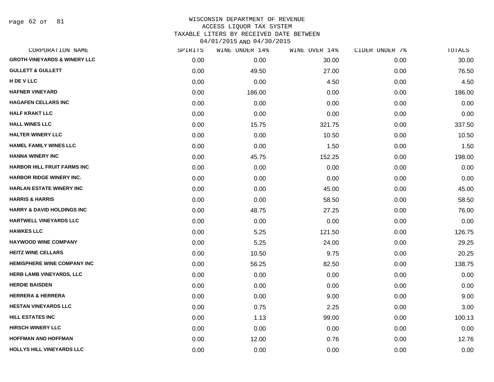Page 62 of 81

| CORPORATION NAME                        | SPIRITS | WINE UNDER 14% | WINE OVER 14% | CIDER UNDER 7% | TOTALS |
|-----------------------------------------|---------|----------------|---------------|----------------|--------|
| <b>GROTH VINEYARDS &amp; WINERY LLC</b> | 0.00    | 0.00           | 30.00         | 0.00           | 30.00  |
| <b>GULLETT &amp; GULLETT</b>            | 0.00    | 49.50          | 27.00         | 0.00           | 76.50  |
| H DE V LLC                              | 0.00    | 0.00           | 4.50          | 0.00           | 4.50   |
| <b>HAFNER VINEYARD</b>                  | 0.00    | 186.00         | 0.00          | 0.00           | 186.00 |
| <b>HAGAFEN CELLARS INC</b>              | 0.00    | 0.00           | 0.00          | 0.00           | 0.00   |
| <b>HALF KRAKT LLC</b>                   | 0.00    | 0.00           | 0.00          | 0.00           | 0.00   |
| <b>HALL WINES LLC</b>                   | 0.00    | 15.75          | 321.75        | 0.00           | 337.50 |
| <b>HALTER WINERY LLC</b>                | 0.00    | 0.00           | 10.50         | 0.00           | 10.50  |
| <b>HAMEL FAMILY WINES LLC</b>           | 0.00    | 0.00           | 1.50          | 0.00           | 1.50   |
| <b>HANNA WINERY INC</b>                 | 0.00    | 45.75          | 152.25        | 0.00           | 198.00 |
| <b>HARBOR HILL FRUIT FARMS INC</b>      | 0.00    | 0.00           | 0.00          | 0.00           | 0.00   |
| <b>HARBOR RIDGE WINERY INC.</b>         | 0.00    | 0.00           | 0.00          | 0.00           | 0.00   |
| <b>HARLAN ESTATE WINERY INC</b>         | 0.00    | 0.00           | 45.00         | 0.00           | 45.00  |
| <b>HARRIS &amp; HARRIS</b>              | 0.00    | 0.00           | 58.50         | 0.00           | 58.50  |
| <b>HARRY &amp; DAVID HOLDINGS INC</b>   | 0.00    | 48.75          | 27.25         | 0.00           | 76.00  |
| HARTWELL VINEYARDS LLC                  | 0.00    | 0.00           | 0.00          | 0.00           | 0.00   |
| <b>HAWKES LLC</b>                       | 0.00    | 5.25           | 121.50        | 0.00           | 126.75 |
| <b>HAYWOOD WINE COMPANY</b>             | 0.00    | 5.25           | 24.00         | 0.00           | 29.25  |
| <b>HEITZ WINE CELLARS</b>               | 0.00    | 10.50          | 9.75          | 0.00           | 20.25  |
| <b>HEMISPHERE WINE COMPANY INC</b>      | 0.00    | 56.25          | 82.50         | 0.00           | 138.75 |
| HERB LAMB VINEYARDS, LLC                | 0.00    | 0.00           | 0.00          | 0.00           | 0.00   |
| <b>HERDIE BAISDEN</b>                   | 0.00    | 0.00           | 0.00          | 0.00           | 0.00   |
| <b>HERRERA &amp; HERRERA</b>            | 0.00    | 0.00           | 9.00          | 0.00           | 9.00   |
| <b>HESTAN VINEYARDS LLC</b>             | 0.00    | 0.75           | 2.25          | 0.00           | 3.00   |
| <b>HILL ESTATES INC</b>                 | 0.00    | 1.13           | 99.00         | 0.00           | 100.13 |
| <b>HIRSCH WINERY LLC</b>                | 0.00    | 0.00           | 0.00          | 0.00           | 0.00   |
| <b>HOFFMAN AND HOFFMAN</b>              | 0.00    | 12.00          | 0.76          | 0.00           | 12.76  |
| HOLLYS HILL VINEYARDS LLC               | 0.00    | 0.00           | 0.00          | 0.00           | 0.00   |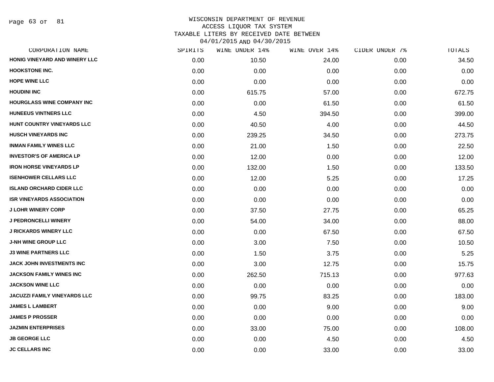| CORPORATION NAME                    | SPIRITS | WINE UNDER 14% | WINE OVER 14% | CIDER UNDER 7% | <b>TOTALS</b> |
|-------------------------------------|---------|----------------|---------------|----------------|---------------|
| HONIG VINEYARD AND WINERY LLC       | 0.00    | 10.50          | 24.00         | 0.00           | 34.50         |
| <b>HOOKSTONE INC.</b>               | 0.00    | 0.00           | 0.00          | 0.00           | 0.00          |
| <b>HOPE WINE LLC</b>                | 0.00    | 0.00           | 0.00          | 0.00           | 0.00          |
| <b>HOUDINI INC</b>                  | 0.00    | 615.75         | 57.00         | 0.00           | 672.75        |
| <b>HOURGLASS WINE COMPANY INC</b>   | 0.00    | 0.00           | 61.50         | 0.00           | 61.50         |
| <b>HUNEEUS VINTNERS LLC</b>         | 0.00    | 4.50           | 394.50        | 0.00           | 399.00        |
| HUNT COUNTRY VINEYARDS LLC          | 0.00    | 40.50          | 4.00          | 0.00           | 44.50         |
| <b>HUSCH VINEYARDS INC</b>          | 0.00    | 239.25         | 34.50         | 0.00           | 273.75        |
| <b>INMAN FAMILY WINES LLC</b>       | 0.00    | 21.00          | 1.50          | 0.00           | 22.50         |
| <b>INVESTOR'S OF AMERICA LP</b>     | 0.00    | 12.00          | 0.00          | 0.00           | 12.00         |
| <b>IRON HORSE VINEYARDS LP</b>      | 0.00    | 132.00         | 1.50          | 0.00           | 133.50        |
| <b>ISENHOWER CELLARS LLC</b>        | 0.00    | 12.00          | 5.25          | 0.00           | 17.25         |
| <b>ISLAND ORCHARD CIDER LLC</b>     | 0.00    | 0.00           | 0.00          | 0.00           | 0.00          |
| <b>ISR VINEYARDS ASSOCIATION</b>    | 0.00    | 0.00           | 0.00          | 0.00           | 0.00          |
| <b>J LOHR WINERY CORP</b>           | 0.00    | 37.50          | 27.75         | 0.00           | 65.25         |
| <b>J PEDRONCELLI WINERY</b>         | 0.00    | 54.00          | 34.00         | 0.00           | 88.00         |
| <b>J RICKARDS WINERY LLC</b>        | 0.00    | 0.00           | 67.50         | 0.00           | 67.50         |
| <b>J-NH WINE GROUP LLC</b>          | 0.00    | 3.00           | 7.50          | 0.00           | 10.50         |
| <b>J3 WINE PARTNERS LLC</b>         | 0.00    | 1.50           | 3.75          | 0.00           | 5.25          |
| <b>JACK JOHN INVESTMENTS INC</b>    | 0.00    | 3.00           | 12.75         | 0.00           | 15.75         |
| JACKSON FAMILY WINES INC            | 0.00    | 262.50         | 715.13        | 0.00           | 977.63        |
| <b>JACKSON WINE LLC</b>             | 0.00    | 0.00           | 0.00          | 0.00           | 0.00          |
| <b>JACUZZI FAMILY VINEYARDS LLC</b> | 0.00    | 99.75          | 83.25         | 0.00           | 183.00        |
| <b>JAMES L LAMBERT</b>              | 0.00    | 0.00           | 9.00          | 0.00           | 9.00          |
| <b>JAMES P PROSSER</b>              | 0.00    | 0.00           | 0.00          | 0.00           | 0.00          |
| <b>JAZMIN ENTERPRISES</b>           | 0.00    | 33.00          | 75.00         | 0.00           | 108.00        |
| <b>JB GEORGE LLC</b>                | 0.00    | 0.00           | 4.50          | 0.00           | 4.50          |
| <b>JC CELLARS INC</b>               | 0.00    | 0.00           | 33.00         | 0.00           | 33.00         |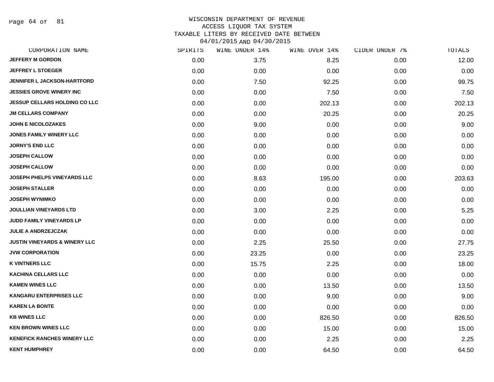Page 64 of 81

| CORPORATION NAME                         | SPIRITS | WINE UNDER 14% | WINE OVER 14% | CIDER UNDER 7% | TOTALS |
|------------------------------------------|---------|----------------|---------------|----------------|--------|
| <b>JEFFERY M GORDON</b>                  | 0.00    | 3.75           | 8.25          | 0.00           | 12.00  |
| <b>JEFFREY L STOEGER</b>                 | 0.00    | 0.00           | 0.00          | 0.00           | 0.00   |
| <b>JENNIFER L JACKSON-HARTFORD</b>       | 0.00    | 7.50           | 92.25         | 0.00           | 99.75  |
| <b>JESSIES GROVE WINERY INC</b>          | 0.00    | 0.00           | 7.50          | 0.00           | 7.50   |
| <b>JESSUP CELLARS HOLDING CO LLC</b>     | 0.00    | 0.00           | 202.13        | 0.00           | 202.13 |
| <b>JM CELLARS COMPANY</b>                | 0.00    | 0.00           | 20.25         | 0.00           | 20.25  |
| <b>JOHN E NICOLOZAKES</b>                | 0.00    | 9.00           | 0.00          | 0.00           | 9.00   |
| <b>JONES FAMILY WINERY LLC</b>           | 0.00    | 0.00           | 0.00          | 0.00           | 0.00   |
| <b>JORNY'S END LLC</b>                   | 0.00    | 0.00           | 0.00          | 0.00           | 0.00   |
| <b>JOSEPH CALLOW</b>                     | 0.00    | 0.00           | 0.00          | 0.00           | 0.00   |
| <b>JOSEPH CALLOW</b>                     | 0.00    | 0.00           | 0.00          | 0.00           | 0.00   |
| <b>JOSEPH PHELPS VINEYARDS LLC</b>       | 0.00    | 8.63           | 195.00        | 0.00           | 203.63 |
| <b>JOSEPH STALLER</b>                    | 0.00    | 0.00           | 0.00          | 0.00           | 0.00   |
| <b>JOSEPH WYNIMKO</b>                    | 0.00    | 0.00           | 0.00          | 0.00           | 0.00   |
| <b>JOULLIAN VINEYARDS LTD</b>            | 0.00    | 3.00           | 2.25          | 0.00           | 5.25   |
| JUDD FAMILY VINEYARDS LP                 | 0.00    | 0.00           | 0.00          | 0.00           | 0.00   |
| <b>JULIE A ANDRZEJCZAK</b>               | 0.00    | 0.00           | 0.00          | 0.00           | 0.00   |
| <b>JUSTIN VINEYARDS &amp; WINERY LLC</b> | 0.00    | 2.25           | 25.50         | 0.00           | 27.75  |
| <b>JVW CORPORATION</b>                   | 0.00    | 23.25          | 0.00          | 0.00           | 23.25  |
| <b>K VINTNERS LLC</b>                    | 0.00    | 15.75          | 2.25          | 0.00           | 18.00  |
| KACHINA CELLARS LLC                      | 0.00    | 0.00           | 0.00          | 0.00           | 0.00   |
| <b>KAMEN WINES LLC</b>                   | 0.00    | 0.00           | 13.50         | 0.00           | 13.50  |
| <b>KANGARU ENTERPRISES LLC</b>           | 0.00    | 0.00           | 9.00          | 0.00           | 9.00   |
| <b>KAREN LA BONTE</b>                    | 0.00    | 0.00           | 0.00          | 0.00           | 0.00   |
| <b>KB WINES LLC</b>                      | 0.00    | 0.00           | 826.50        | 0.00           | 826.50 |
| <b>KEN BROWN WINES LLC</b>               | 0.00    | 0.00           | 15.00         | 0.00           | 15.00  |
| <b>KENEFICK RANCHES WINERY LLC</b>       | 0.00    | 0.00           | 2.25          | 0.00           | 2.25   |
| <b>KENT HUMPHREY</b>                     | 0.00    | 0.00           | 64.50         | 0.00           | 64.50  |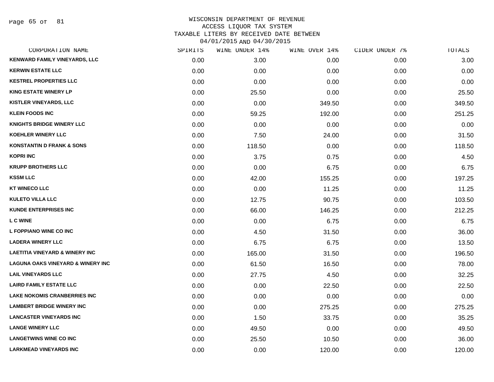Page 65 of 81

| CORPORATION NAME                             | SPIRITS | WINE UNDER 14% | WINE OVER 14% | CIDER UNDER 7% | TOTALS |
|----------------------------------------------|---------|----------------|---------------|----------------|--------|
| <b>KENWARD FAMILY VINEYARDS, LLC</b>         | 0.00    | 3.00           | 0.00          | 0.00           | 3.00   |
| <b>KERWIN ESTATE LLC</b>                     | 0.00    | 0.00           | 0.00          | 0.00           | 0.00   |
| <b>KESTREL PROPERTIES LLC</b>                | 0.00    | 0.00           | 0.00          | 0.00           | 0.00   |
| <b>KING ESTATE WINERY LP</b>                 | 0.00    | 25.50          | 0.00          | 0.00           | 25.50  |
| <b>KISTLER VINEYARDS, LLC</b>                | 0.00    | 0.00           | 349.50        | 0.00           | 349.50 |
| <b>KLEIN FOODS INC</b>                       | 0.00    | 59.25          | 192.00        | 0.00           | 251.25 |
| <b>KNIGHTS BRIDGE WINERY LLC</b>             | 0.00    | 0.00           | 0.00          | 0.00           | 0.00   |
| <b>KOEHLER WINERY LLC</b>                    | 0.00    | 7.50           | 24.00         | 0.00           | 31.50  |
| <b>KONSTANTIN D FRANK &amp; SONS</b>         | 0.00    | 118.50         | 0.00          | 0.00           | 118.50 |
| <b>KOPRI INC</b>                             | 0.00    | 3.75           | 0.75          | 0.00           | 4.50   |
| <b>KRUPP BROTHERS LLC</b>                    | 0.00    | 0.00           | 6.75          | 0.00           | 6.75   |
| <b>KSSM LLC</b>                              | 0.00    | 42.00          | 155.25        | 0.00           | 197.25 |
| <b>KT WINECO LLC</b>                         | 0.00    | 0.00           | 11.25         | 0.00           | 11.25  |
| <b>KULETO VILLA LLC</b>                      | 0.00    | 12.75          | 90.75         | 0.00           | 103.50 |
| <b>KUNDE ENTERPRISES INC</b>                 | 0.00    | 66.00          | 146.25        | 0.00           | 212.25 |
| <b>LC WINE</b>                               | 0.00    | 0.00           | 6.75          | 0.00           | 6.75   |
| L FOPPIANO WINE CO INC                       | 0.00    | 4.50           | 31.50         | 0.00           | 36.00  |
| <b>LADERA WINERY LLC</b>                     | 0.00    | 6.75           | 6.75          | 0.00           | 13.50  |
| <b>LAETITIA VINEYARD &amp; WINERY INC</b>    | 0.00    | 165.00         | 31.50         | 0.00           | 196.50 |
| <b>LAGUNA OAKS VINEYARD &amp; WINERY INC</b> | 0.00    | 61.50          | 16.50         | 0.00           | 78.00  |
| <b>LAIL VINEYARDS LLC</b>                    | 0.00    | 27.75          | 4.50          | 0.00           | 32.25  |
| <b>LAIRD FAMILY ESTATE LLC</b>               | 0.00    | 0.00           | 22.50         | 0.00           | 22.50  |
| <b>LAKE NOKOMIS CRANBERRIES INC</b>          | 0.00    | 0.00           | 0.00          | 0.00           | 0.00   |
| <b>LAMBERT BRIDGE WINERY INC</b>             | 0.00    | 0.00           | 275.25        | 0.00           | 275.25 |
| <b>LANCASTER VINEYARDS INC</b>               | 0.00    | 1.50           | 33.75         | 0.00           | 35.25  |
| <b>LANGE WINERY LLC</b>                      | 0.00    | 49.50          | 0.00          | 0.00           | 49.50  |
| <b>LANGETWINS WINE CO INC</b>                | 0.00    | 25.50          | 10.50         | 0.00           | 36.00  |
| <b>LARKMEAD VINEYARDS INC</b>                | 0.00    | 0.00           | 120.00        | 0.00           | 120.00 |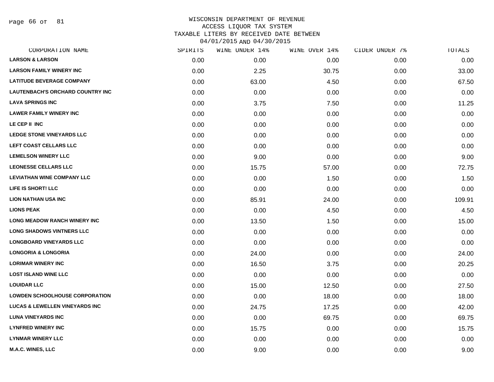Page 66 of 81

| CORPORATION NAME                          | SPIRITS | WINE UNDER 14% | WINE OVER 14% | CIDER UNDER 7% | TOTALS |
|-------------------------------------------|---------|----------------|---------------|----------------|--------|
| <b>LARSON &amp; LARSON</b>                | 0.00    | 0.00           | 0.00          | 0.00           | 0.00   |
| <b>LARSON FAMILY WINERY INC</b>           | 0.00    | 2.25           | 30.75         | 0.00           | 33.00  |
| <b>LATITUDE BEVERAGE COMPANY</b>          | 0.00    | 63.00          | 4.50          | 0.00           | 67.50  |
| <b>LAUTENBACH'S ORCHARD COUNTRY INC</b>   | 0.00    | 0.00           | 0.00          | 0.00           | 0.00   |
| <b>LAVA SPRINGS INC</b>                   | 0.00    | 3.75           | 7.50          | 0.00           | 11.25  |
| <b>LAWER FAMILY WINERY INC</b>            | 0.00    | 0.00           | 0.00          | 0.00           | 0.00   |
| LE CEP II INC                             | 0.00    | 0.00           | 0.00          | 0.00           | 0.00   |
| <b>LEDGE STONE VINEYARDS LLC</b>          | 0.00    | 0.00           | 0.00          | 0.00           | 0.00   |
| LEFT COAST CELLARS LLC                    | 0.00    | 0.00           | 0.00          | 0.00           | 0.00   |
| <b>LEMELSON WINERY LLC</b>                | 0.00    | 9.00           | 0.00          | 0.00           | 9.00   |
| <b>LEONESSE CELLARS LLC</b>               | 0.00    | 15.75          | 57.00         | 0.00           | 72.75  |
| <b>LEVIATHAN WINE COMPANY LLC</b>         | 0.00    | 0.00           | 1.50          | 0.00           | 1.50   |
| LIFE IS SHORT! LLC                        | 0.00    | 0.00           | 0.00          | 0.00           | 0.00   |
| <b>LION NATHAN USA INC</b>                | 0.00    | 85.91          | 24.00         | 0.00           | 109.91 |
| <b>LIONS PEAK</b>                         | 0.00    | 0.00           | 4.50          | 0.00           | 4.50   |
| <b>LONG MEADOW RANCH WINERY INC</b>       | 0.00    | 13.50          | 1.50          | 0.00           | 15.00  |
| <b>LONG SHADOWS VINTNERS LLC</b>          | 0.00    | 0.00           | 0.00          | 0.00           | 0.00   |
| <b>LONGBOARD VINEYARDS LLC</b>            | 0.00    | 0.00           | 0.00          | 0.00           | 0.00   |
| <b>LONGORIA &amp; LONGORIA</b>            | 0.00    | 24.00          | 0.00          | 0.00           | 24.00  |
| <b>LORIMAR WINERY INC</b>                 | 0.00    | 16.50          | 3.75          | 0.00           | 20.25  |
| <b>LOST ISLAND WINE LLC</b>               | 0.00    | 0.00           | 0.00          | 0.00           | 0.00   |
| <b>LOUIDAR LLC</b>                        | 0.00    | 15.00          | 12.50         | 0.00           | 27.50  |
| <b>LOWDEN SCHOOLHOUSE CORPORATION</b>     | 0.00    | 0.00           | 18.00         | 0.00           | 18.00  |
| <b>LUCAS &amp; LEWELLEN VINEYARDS INC</b> | 0.00    | 24.75          | 17.25         | 0.00           | 42.00  |
| <b>LUNA VINEYARDS INC</b>                 | 0.00    | 0.00           | 69.75         | 0.00           | 69.75  |
| <b>LYNFRED WINERY INC</b>                 | 0.00    | 15.75          | 0.00          | 0.00           | 15.75  |
| <b>LYNMAR WINERY LLC</b>                  | 0.00    | 0.00           | 0.00          | 0.00           | 0.00   |
| <b>M.A.C. WINES, LLC</b>                  | 0.00    | 9.00           | 0.00          | 0.00           | 9.00   |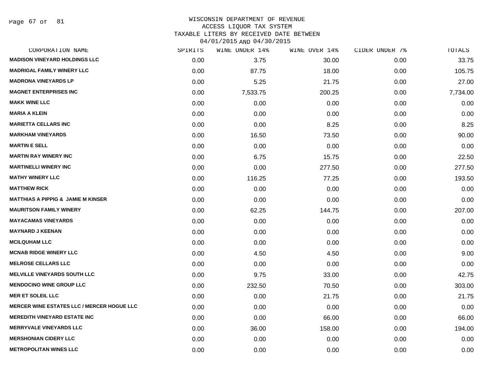Page 67 of 81

# WISCONSIN DEPARTMENT OF REVENUE ACCESS LIQUOR TAX SYSTEM TAXABLE LITERS BY RECEIVED DATE BETWEEN

04/01/2015 AND 04/30/2015

| CORPORATION NAME                                  | SPIRITS | WINE UNDER 14% | WINE OVER 14% | CIDER UNDER 7% | TOTALS   |
|---------------------------------------------------|---------|----------------|---------------|----------------|----------|
| <b>MADISON VINEYARD HOLDINGS LLC</b>              | 0.00    | 3.75           | 30.00         | 0.00           | 33.75    |
| <b>MADRIGAL FAMILY WINERY LLC</b>                 | 0.00    | 87.75          | 18.00         | 0.00           | 105.75   |
| <b>MADRONA VINEYARDS LP</b>                       | 0.00    | 5.25           | 21.75         | 0.00           | 27.00    |
| <b>MAGNET ENTERPRISES INC</b>                     | 0.00    | 7,533.75       | 200.25        | 0.00           | 7,734.00 |
| <b>MAKK WINE LLC</b>                              | 0.00    | 0.00           | 0.00          | 0.00           | 0.00     |
| <b>MARIA A KLEIN</b>                              | 0.00    | 0.00           | 0.00          | 0.00           | 0.00     |
| <b>MARIETTA CELLARS INC</b>                       | 0.00    | 0.00           | 8.25          | 0.00           | 8.25     |
| <b>MARKHAM VINEYARDS</b>                          | 0.00    | 16.50          | 73.50         | 0.00           | 90.00    |
| <b>MARTIN E SELL</b>                              | 0.00    | 0.00           | 0.00          | 0.00           | 0.00     |
| <b>MARTIN RAY WINERY INC</b>                      | 0.00    | 6.75           | 15.75         | 0.00           | 22.50    |
| <b>MARTINELLI WINERY INC</b>                      | 0.00    | 0.00           | 277.50        | 0.00           | 277.50   |
| <b>MATHY WINERY LLC</b>                           | 0.00    | 116.25         | 77.25         | 0.00           | 193.50   |
| <b>MATTHEW RICK</b>                               | 0.00    | 0.00           | 0.00          | 0.00           | 0.00     |
| <b>MATTHIAS A PIPPIG &amp; JAMIE M KINSER</b>     | 0.00    | 0.00           | 0.00          | 0.00           | 0.00     |
| <b>MAURITSON FAMILY WINERY</b>                    | 0.00    | 62.25          | 144.75        | 0.00           | 207.00   |
| <b>MAYACAMAS VINEYARDS</b>                        | 0.00    | 0.00           | 0.00          | 0.00           | 0.00     |
| <b>MAYNARD J KEENAN</b>                           | 0.00    | 0.00           | 0.00          | 0.00           | 0.00     |
| <b>MCILQUHAM LLC</b>                              | 0.00    | 0.00           | 0.00          | 0.00           | 0.00     |
| <b>MCNAB RIDGE WINERY LLC</b>                     | 0.00    | 4.50           | 4.50          | 0.00           | 9.00     |
| <b>MELROSE CELLARS LLC</b>                        | 0.00    | 0.00           | 0.00          | 0.00           | 0.00     |
| <b>MELVILLE VINEYARDS SOUTH LLC</b>               | 0.00    | 9.75           | 33.00         | 0.00           | 42.75    |
| <b>MENDOCINO WINE GROUP LLC</b>                   | 0.00    | 232.50         | 70.50         | 0.00           | 303.00   |
| <b>MER ET SOLEIL LLC</b>                          | 0.00    | 0.00           | 21.75         | 0.00           | 21.75    |
| <b>MERCER WINE ESTATES LLC / MERCER HOGUE LLC</b> | 0.00    | 0.00           | 0.00          | 0.00           | 0.00     |
| <b>MEREDITH VINEYARD ESTATE INC</b>               | 0.00    | 0.00           | 66.00         | 0.00           | 66.00    |
| <b>MERRYVALE VINEYARDS LLC</b>                    | 0.00    | 36.00          | 158.00        | 0.00           | 194.00   |
| <b>MERSHONIAN CIDERY LLC</b>                      | 0.00    | 0.00           | 0.00          | 0.00           | 0.00     |
| <b>METROPOLITAN WINES LLC</b>                     | 0.00    | 0.00           | 0.00          | 0.00           | 0.00     |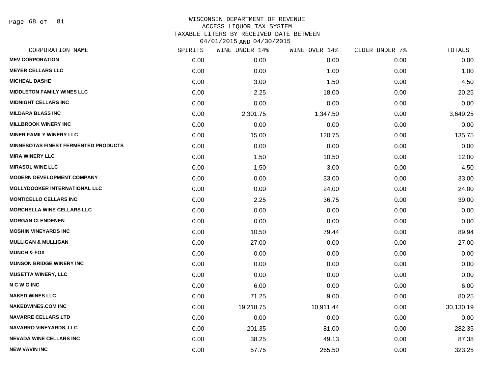Page 68 of 81

| CORPORATION NAME                            | SPIRITS | WINE UNDER 14% | WINE OVER 14% | CIDER UNDER 7% | $\mathtt{TOTALS}$ |
|---------------------------------------------|---------|----------------|---------------|----------------|-------------------|
| <b>MEV CORPORATION</b>                      | 0.00    | 0.00           | 0.00          | 0.00           | 0.00              |
| <b>MEYER CELLARS LLC</b>                    | 0.00    | 0.00           | 1.00          | 0.00           | 1.00              |
| <b>MICHEAL DASHE</b>                        | 0.00    | 3.00           | 1.50          | 0.00           | 4.50              |
| <b>MIDDLETON FAMILY WINES LLC</b>           | 0.00    | 2.25           | 18.00         | 0.00           | 20.25             |
| <b>MIDNIGHT CELLARS INC</b>                 | 0.00    | 0.00           | 0.00          | 0.00           | 0.00              |
| <b>MILDARA BLASS INC</b>                    | 0.00    | 2,301.75       | 1,347.50      | 0.00           | 3,649.25          |
| <b>MILLBROOK WINERY INC</b>                 | 0.00    | 0.00           | 0.00          | 0.00           | 0.00              |
| <b>MINER FAMILY WINERY LLC</b>              | 0.00    | 15.00          | 120.75        | 0.00           | 135.75            |
| <b>MINNESOTAS FINEST FERMENTED PRODUCTS</b> | 0.00    | 0.00           | 0.00          | 0.00           | 0.00              |
| <b>MIRA WINERY LLC</b>                      | 0.00    | 1.50           | 10.50         | 0.00           | 12.00             |
| <b>MIRASOL WINE LLC</b>                     | 0.00    | 1.50           | 3.00          | 0.00           | 4.50              |
| <b>MODERN DEVELOPMENT COMPANY</b>           | 0.00    | 0.00           | 33.00         | 0.00           | 33.00             |
| <b>MOLLYDOOKER INTERNATIONAL LLC</b>        | 0.00    | 0.00           | 24.00         | 0.00           | 24.00             |
| <b>MONTICELLO CELLARS INC</b>               | 0.00    | 2.25           | 36.75         | 0.00           | 39.00             |
| <b>MORCHELLA WINE CELLARS LLC</b>           | 0.00    | 0.00           | 0.00          | 0.00           | 0.00              |
| <b>MORGAN CLENDENEN</b>                     | 0.00    | 0.00           | 0.00          | 0.00           | 0.00              |
| <b>MOSHIN VINEYARDS INC</b>                 | 0.00    | 10.50          | 79.44         | 0.00           | 89.94             |
| <b>MULLIGAN &amp; MULLIGAN</b>              | 0.00    | 27.00          | 0.00          | 0.00           | 27.00             |
| <b>MUNCH &amp; FOX</b>                      | 0.00    | 0.00           | 0.00          | 0.00           | 0.00              |
| <b>MUNSON BRIDGE WINERY INC</b>             | 0.00    | 0.00           | 0.00          | 0.00           | 0.00              |
| <b>MUSETTA WINERY, LLC</b>                  | 0.00    | 0.00           | 0.00          | 0.00           | 0.00              |
| <b>NCWGINC</b>                              | 0.00    | 6.00           | 0.00          | 0.00           | 6.00              |
| <b>NAKED WINES LLC</b>                      | 0.00    | 71.25          | 9.00          | 0.00           | 80.25             |
| <b>NAKEDWINES.COM INC</b>                   | 0.00    | 19,218.75      | 10,911.44     | 0.00           | 30,130.19         |
| <b>NAVARRE CELLARS LTD</b>                  | 0.00    | 0.00           | 0.00          | 0.00           | 0.00              |
| NAVARRO VINEYARDS, LLC                      | 0.00    | 201.35         | 81.00         | 0.00           | 282.35            |
| <b>NEVADA WINE CELLARS INC</b>              | 0.00    | 38.25          | 49.13         | 0.00           | 87.38             |
| <b>NEW VAVIN INC</b>                        | 0.00    | 57.75          | 265.50        | 0.00           | 323.25            |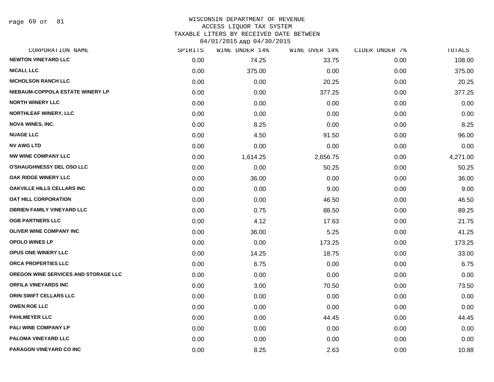Page 69 of 81

#### WISCONSIN DEPARTMENT OF REVENUE ACCESS LIQUOR TAX SYSTEM TAXABLE LITERS BY RECEIVED DATE BETWEEN

04/01/2015 AND 04/30/2015

| CORPORATION NAME                            | SPIRITS | WINE UNDER 14% | WINE OVER 14% | CIDER UNDER 7% | <b>TOTALS</b> |
|---------------------------------------------|---------|----------------|---------------|----------------|---------------|
| <b>NEWTON VINEYARD LLC</b>                  | 0.00    | 74.25          | 33.75         | 0.00           | 108.00        |
| <b>NICALI, LLC</b>                          | 0.00    | 375.00         | 0.00          | 0.00           | 375.00        |
| <b>NICHOLSON RANCH LLC</b>                  | 0.00    | 0.00           | 20.25         | 0.00           | 20.25         |
| NIEBAUM-COPPOLA ESTATE WINERY LP            | 0.00    | 0.00           | 377.25        | 0.00           | 377.25        |
| <b>NORTH WINERY LLC</b>                     | 0.00    | 0.00           | 0.00          | 0.00           | 0.00          |
| <b>NORTHLEAF WINERY, LLC</b>                | 0.00    | 0.00           | 0.00          | 0.00           | 0.00          |
| <b>NOVA WINES, INC.</b>                     | 0.00    | 8.25           | 0.00          | 0.00           | 8.25          |
| <b>NUAGE LLC</b>                            | 0.00    | 4.50           | 91.50         | 0.00           | 96.00         |
| <b>NV AWG LTD</b>                           | 0.00    | 0.00           | 0.00          | 0.00           | 0.00          |
| <b>NW WINE COMPANY LLC</b>                  | 0.00    | 1,614.25       | 2,656.75      | 0.00           | 4,271.00      |
| <b>O'SHAUGHNESSY DEL OSO LLC</b>            | 0.00    | 0.00           | 50.25         | 0.00           | 50.25         |
| OAK RIDGE WINERY LLC                        | 0.00    | 36.00          | 0.00          | 0.00           | 36.00         |
| <b>OAKVILLE HILLS CELLARS INC</b>           | 0.00    | 0.00           | 9.00          | 0.00           | 9.00          |
| <b>OAT HILL CORPORATION</b>                 | 0.00    | 0.00           | 46.50         | 0.00           | 46.50         |
| <b>OBRIEN FAMILY VINEYARD LLC</b>           | 0.00    | 0.75           | 88.50         | 0.00           | 89.25         |
| <b>OGB PARTNERS LLC</b>                     | 0.00    | 4.12           | 17.63         | 0.00           | 21.75         |
| OLIVER WINE COMPANY INC                     | 0.00    | 36.00          | 5.25          | 0.00           | 41.25         |
| <b>OPOLO WINES LP</b>                       | 0.00    | 0.00           | 173.25        | 0.00           | 173.25        |
| OPUS ONE WINERY LLC                         | 0.00    | 14.25          | 18.75         | 0.00           | 33.00         |
| ORCA PROPERTIES LLC                         | 0.00    | 6.75           | 0.00          | 0.00           | 6.75          |
| <b>OREGON WINE SERVICES AND STORAGE LLC</b> | 0.00    | 0.00           | 0.00          | 0.00           | 0.00          |
| <b>ORFILA VINEYARDS INC</b>                 | 0.00    | 3.00           | 70.50         | 0.00           | 73.50         |
| <b>ORIN SWIFT CELLARS LLC</b>               | 0.00    | 0.00           | 0.00          | 0.00           | 0.00          |
| <b>OWEN ROE LLC</b>                         | 0.00    | 0.00           | 0.00          | 0.00           | 0.00          |
| <b>PAHLMEYER LLC</b>                        | 0.00    | 0.00           | 44.45         | 0.00           | 44.45         |
| PALI WINE COMPANY LP                        | 0.00    | 0.00           | 0.00          | 0.00           | 0.00          |
| PALOMA VINEYARD LLC                         | 0.00    | 0.00           | 0.00          | 0.00           | 0.00          |
| PARAGON VINEYARD CO INC                     | 0.00    | 8.25           | 2.63          | 0.00           | 10.88         |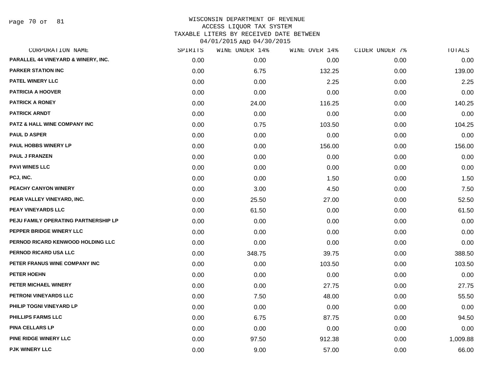Page 70 of 81

| CORPORATION NAME                        | SPIRITS | WINE UNDER 14% | WINE OVER 14% | CIDER UNDER 7% | TOTALS   |
|-----------------------------------------|---------|----------------|---------------|----------------|----------|
| PARALLEL 44 VINEYARD & WINERY, INC.     | 0.00    | 0.00           | 0.00          | 0.00           | 0.00     |
| <b>PARKER STATION INC</b>               | 0.00    | 6.75           | 132.25        | 0.00           | 139.00   |
| PATEL WINERY LLC                        | 0.00    | 0.00           | 2.25          | 0.00           | 2.25     |
| <b>PATRICIA A HOOVER</b>                | 0.00    | 0.00           | 0.00          | 0.00           | 0.00     |
| <b>PATRICK A RONEY</b>                  | 0.00    | 24.00          | 116.25        | 0.00           | 140.25   |
| <b>PATRICK ARNDT</b>                    | 0.00    | 0.00           | 0.00          | 0.00           | 0.00     |
| <b>PATZ &amp; HALL WINE COMPANY INC</b> | 0.00    | 0.75           | 103.50        | 0.00           | 104.25   |
| <b>PAUL D ASPER</b>                     | 0.00    | 0.00           | 0.00          | 0.00           | 0.00     |
| PAUL HOBBS WINERY LP                    | 0.00    | 0.00           | 156.00        | 0.00           | 156.00   |
| <b>PAUL J FRANZEN</b>                   | 0.00    | 0.00           | 0.00          | 0.00           | 0.00     |
| <b>PAVI WINES LLC</b>                   | 0.00    | 0.00           | 0.00          | 0.00           | 0.00     |
| PCJ, INC.                               | 0.00    | 0.00           | 1.50          | 0.00           | 1.50     |
| PEACHY CANYON WINERY                    | 0.00    | 3.00           | 4.50          | 0.00           | 7.50     |
| PEAR VALLEY VINEYARD, INC.              | 0.00    | 25.50          | 27.00         | 0.00           | 52.50    |
| PEAY VINEYARDS LLC                      | 0.00    | 61.50          | 0.00          | 0.00           | 61.50    |
| PEJU FAMILY OPERATING PARTNERSHIP LP    | 0.00    | 0.00           | 0.00          | 0.00           | 0.00     |
| PEPPER BRIDGE WINERY LLC                | 0.00    | 0.00           | 0.00          | 0.00           | 0.00     |
| PERNOD RICARD KENWOOD HOLDING LLC       | 0.00    | 0.00           | 0.00          | 0.00           | 0.00     |
| PERNOD RICARD USA LLC                   | 0.00    | 348.75         | 39.75         | 0.00           | 388.50   |
| PETER FRANUS WINE COMPANY INC           | 0.00    | 0.00           | 103.50        | 0.00           | 103.50   |
| PETER HOEHN                             | 0.00    | 0.00           | 0.00          | 0.00           | 0.00     |
| PETER MICHAEL WINERY                    | 0.00    | 0.00           | 27.75         | 0.00           | 27.75    |
| PETRONI VINEYARDS LLC                   | 0.00    | 7.50           | 48.00         | 0.00           | 55.50    |
| PHILIP TOGNI VINEYARD LP                | 0.00    | 0.00           | 0.00          | 0.00           | 0.00     |
| <b>PHILLIPS FARMS LLC</b>               | 0.00    | 6.75           | 87.75         | 0.00           | 94.50    |
| <b>PINA CELLARS LP</b>                  | 0.00    | 0.00           | 0.00          | 0.00           | 0.00     |
| <b>PINE RIDGE WINERY LLC</b>            | 0.00    | 97.50          | 912.38        | 0.00           | 1,009.88 |
| PJK WINERY LLC                          | 0.00    | 9.00           | 57.00         | 0.00           | 66.00    |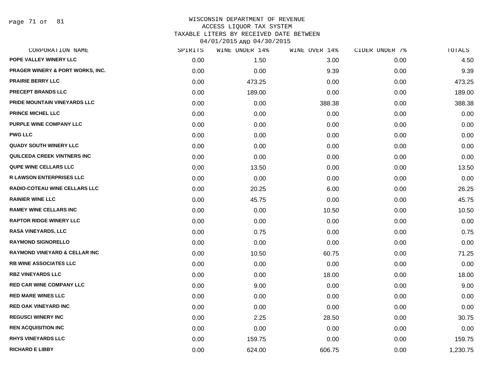Page 71 of 81

| CORPORATION NAME                            | SPIRITS | WINE UNDER 14% | WINE OVER 14% | CIDER UNDER 7% | TOTALS   |
|---------------------------------------------|---------|----------------|---------------|----------------|----------|
| POPE VALLEY WINERY LLC                      | 0.00    | 1.50           | 3.00          | 0.00           | 4.50     |
| <b>PRAGER WINERY &amp; PORT WORKS, INC.</b> | 0.00    | 0.00           | 9.39          | 0.00           | 9.39     |
| <b>PRAIRIE BERRY LLC</b>                    | 0.00    | 473.25         | 0.00          | 0.00           | 473.25   |
| <b>PRECEPT BRANDS LLC</b>                   | 0.00    | 189.00         | 0.00          | 0.00           | 189.00   |
| PRIDE MOUNTAIN VINEYARDS LLC                | 0.00    | 0.00           | 388.38        | 0.00           | 388.38   |
| PRINCE MICHEL LLC                           | 0.00    | 0.00           | 0.00          | 0.00           | 0.00     |
| PURPLE WINE COMPANY LLC                     | 0.00    | 0.00           | 0.00          | 0.00           | 0.00     |
| <b>PWG LLC</b>                              | 0.00    | 0.00           | 0.00          | 0.00           | 0.00     |
| <b>QUADY SOUTH WINERY LLC</b>               | 0.00    | 0.00           | 0.00          | 0.00           | 0.00     |
| QUILCEDA CREEK VINTNERS INC                 | 0.00    | 0.00           | 0.00          | 0.00           | 0.00     |
| <b>QUPE WINE CELLARS LLC</b>                | 0.00    | 13.50          | 0.00          | 0.00           | 13.50    |
| <b>R LAWSON ENTERPRISES LLC</b>             | 0.00    | 0.00           | 0.00          | 0.00           | 0.00     |
| RADIO-COTEAU WINE CELLARS LLC               | 0.00    | 20.25          | 6.00          | 0.00           | 26.25    |
| <b>RAINIER WINE LLC</b>                     | 0.00    | 45.75          | 0.00          | 0.00           | 45.75    |
| <b>RAMEY WINE CELLARS INC</b>               | 0.00    | 0.00           | 10.50         | 0.00           | 10.50    |
| <b>RAPTOR RIDGE WINERY LLC</b>              | 0.00    | 0.00           | 0.00          | 0.00           | 0.00     |
| <b>RASA VINEYARDS, LLC</b>                  | 0.00    | 0.75           | 0.00          | 0.00           | 0.75     |
| <b>RAYMOND SIGNORELLO</b>                   | 0.00    | 0.00           | 0.00          | 0.00           | 0.00     |
| <b>RAYMOND VINEYARD &amp; CELLAR INC</b>    | 0.00    | 10.50          | 60.75         | 0.00           | 71.25    |
| <b>RB WINE ASSOCIATES LLC</b>               | 0.00    | 0.00           | 0.00          | 0.00           | 0.00     |
| <b>RBZ VINEYARDS LLC</b>                    | 0.00    | 0.00           | 18.00         | 0.00           | 18.00    |
| <b>RED CAR WINE COMPANY LLC</b>             | 0.00    | 9.00           | 0.00          | 0.00           | 9.00     |
| <b>RED MARE WINES LLC</b>                   | 0.00    | 0.00           | 0.00          | 0.00           | 0.00     |
| <b>RED OAK VINEYARD INC</b>                 | 0.00    | 0.00           | 0.00          | 0.00           | 0.00     |
| <b>REGUSCI WINERY INC</b>                   | 0.00    | 2.25           | 28.50         | 0.00           | 30.75    |
| <b>REN ACQUISITION INC</b>                  | 0.00    | 0.00           | 0.00          | 0.00           | 0.00     |
| <b>RHYS VINEYARDS LLC</b>                   | 0.00    | 159.75         | 0.00          | 0.00           | 159.75   |
| <b>RICHARD E LIBBY</b>                      | 0.00    | 624.00         | 606.75        | 0.00           | 1,230.75 |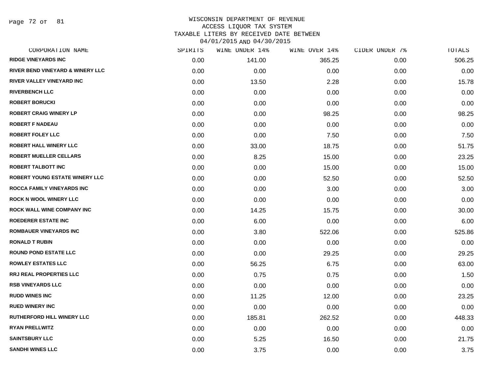Page 72 of 81

| CORPORATION NAME                            | SPIRITS | WINE UNDER 14% | WINE OVER 14% | CIDER UNDER 7% | TOTALS |
|---------------------------------------------|---------|----------------|---------------|----------------|--------|
| <b>RIDGE VINEYARDS INC</b>                  | 0.00    | 141.00         | 365.25        | 0.00           | 506.25 |
| <b>RIVER BEND VINEYARD &amp; WINERY LLC</b> | 0.00    | 0.00           | 0.00          | 0.00           | 0.00   |
| RIVER VALLEY VINEYARD INC                   | 0.00    | 13.50          | 2.28          | 0.00           | 15.78  |
| <b>RIVERBENCH LLC</b>                       | 0.00    | 0.00           | 0.00          | 0.00           | 0.00   |
| <b>ROBERT BORUCKI</b>                       | 0.00    | 0.00           | 0.00          | 0.00           | 0.00   |
| <b>ROBERT CRAIG WINERY LP</b>               | 0.00    | 0.00           | 98.25         | 0.00           | 98.25  |
| <b>ROBERT F NADEAU</b>                      | 0.00    | 0.00           | 0.00          | 0.00           | 0.00   |
| <b>ROBERT FOLEY LLC</b>                     | 0.00    | 0.00           | 7.50          | 0.00           | 7.50   |
| <b>ROBERT HALL WINERY LLC</b>               | 0.00    | 33.00          | 18.75         | 0.00           | 51.75  |
| <b>ROBERT MUELLER CELLARS</b>               | 0.00    | 8.25           | 15.00         | 0.00           | 23.25  |
| <b>ROBERT TALBOTT INC</b>                   | 0.00    | 0.00           | 15.00         | 0.00           | 15.00  |
| ROBERT YOUNG ESTATE WINERY LLC              | 0.00    | 0.00           | 52.50         | 0.00           | 52.50  |
| ROCCA FAMILY VINEYARDS INC                  | 0.00    | 0.00           | 3.00          | 0.00           | 3.00   |
| <b>ROCK N WOOL WINERY LLC</b>               | 0.00    | 0.00           | 0.00          | 0.00           | 0.00   |
| ROCK WALL WINE COMPANY INC                  | 0.00    | 14.25          | 15.75         | 0.00           | 30.00  |
| <b>ROEDERER ESTATE INC</b>                  | 0.00    | 6.00           | 0.00          | 0.00           | 6.00   |
| <b>ROMBAUER VINEYARDS INC</b>               | 0.00    | 3.80           | 522.06        | 0.00           | 525.86 |
| <b>RONALD T RUBIN</b>                       | 0.00    | 0.00           | 0.00          | 0.00           | 0.00   |
| <b>ROUND POND ESTATE LLC</b>                | 0.00    | 0.00           | 29.25         | 0.00           | 29.25  |
| <b>ROWLEY ESTATES LLC</b>                   | 0.00    | 56.25          | 6.75          | 0.00           | 63.00  |
| <b>RRJ REAL PROPERTIES LLC</b>              | 0.00    | 0.75           | 0.75          | 0.00           | 1.50   |
| <b>RSB VINEYARDS LLC</b>                    | 0.00    | 0.00           | 0.00          | 0.00           | 0.00   |
| <b>RUDD WINES INC</b>                       | 0.00    | 11.25          | 12.00         | 0.00           | 23.25  |
| <b>RUED WINERY INC</b>                      | 0.00    | 0.00           | 0.00          | 0.00           | 0.00   |
| RUTHERFORD HILL WINERY LLC                  | 0.00    | 185.81         | 262.52        | 0.00           | 448.33 |
| <b>RYAN PRELLWITZ</b>                       | 0.00    | 0.00           | 0.00          | 0.00           | 0.00   |
| <b>SAINTSBURY LLC</b>                       | 0.00    | 5.25           | 16.50         | 0.00           | 21.75  |
| <b>SANDHI WINES LLC</b>                     | 0.00    | 3.75           | 0.00          | 0.00           | 3.75   |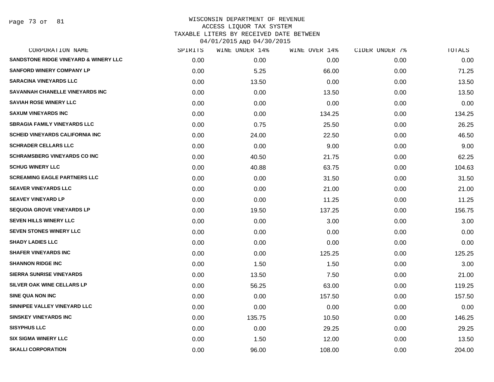Page 73 of 81

| CORPORATION NAME                                 | SPIRITS | WINE UNDER 14% | WINE OVER 14% | CIDER UNDER 7% | TOTALS |
|--------------------------------------------------|---------|----------------|---------------|----------------|--------|
| <b>SANDSTONE RIDGE VINEYARD &amp; WINERY LLC</b> | 0.00    | 0.00           | 0.00          | 0.00           | 0.00   |
| <b>SANFORD WINERY COMPANY LP</b>                 | 0.00    | 5.25           | 66.00         | 0.00           | 71.25  |
| <b>SARACINA VINEYARDS LLC</b>                    | 0.00    | 13.50          | 0.00          | 0.00           | 13.50  |
| SAVANNAH CHANELLE VINEYARDS INC                  | 0.00    | 0.00           | 13.50         | 0.00           | 13.50  |
| <b>SAVIAH ROSE WINERY LLC</b>                    | 0.00    | 0.00           | 0.00          | 0.00           | 0.00   |
| <b>SAXUM VINEYARDS INC</b>                       | 0.00    | 0.00           | 134.25        | 0.00           | 134.25 |
| <b>SBRAGIA FAMILY VINEYARDS LLC</b>              | 0.00    | 0.75           | 25.50         | 0.00           | 26.25  |
| <b>SCHEID VINEYARDS CALIFORNIA INC</b>           | 0.00    | 24.00          | 22.50         | 0.00           | 46.50  |
| <b>SCHRADER CELLARS LLC</b>                      | 0.00    | 0.00           | 9.00          | 0.00           | 9.00   |
| <b>SCHRAMSBERG VINEYARDS CO INC</b>              | 0.00    | 40.50          | 21.75         | 0.00           | 62.25  |
| <b>SCHUG WINERY LLC</b>                          | 0.00    | 40.88          | 63.75         | 0.00           | 104.63 |
| <b>SCREAMING EAGLE PARTNERS LLC</b>              | 0.00    | 0.00           | 31.50         | 0.00           | 31.50  |
| <b>SEAVER VINEYARDS LLC</b>                      | 0.00    | 0.00           | 21.00         | 0.00           | 21.00  |
| <b>SEAVEY VINEYARD LP</b>                        | 0.00    | 0.00           | 11.25         | 0.00           | 11.25  |
| <b>SEQUOIA GROVE VINEYARDS LP</b>                | 0.00    | 19.50          | 137.25        | 0.00           | 156.75 |
| <b>SEVEN HILLS WINERY LLC</b>                    | 0.00    | 0.00           | 3.00          | 0.00           | 3.00   |
| SEVEN STONES WINERY LLC                          | 0.00    | 0.00           | 0.00          | 0.00           | 0.00   |
| <b>SHADY LADIES LLC</b>                          | 0.00    | 0.00           | 0.00          | 0.00           | 0.00   |
| <b>SHAFER VINEYARDS INC</b>                      | 0.00    | 0.00           | 125.25        | 0.00           | 125.25 |
| <b>SHANNON RIDGE INC</b>                         | 0.00    | 1.50           | 1.50          | 0.00           | 3.00   |
| <b>SIERRA SUNRISE VINEYARDS</b>                  | 0.00    | 13.50          | 7.50          | 0.00           | 21.00  |
| SILVER OAK WINE CELLARS LP                       | 0.00    | 56.25          | 63.00         | 0.00           | 119.25 |
| <b>SINE QUA NON INC</b>                          | 0.00    | 0.00           | 157.50        | 0.00           | 157.50 |
| SINNIPEE VALLEY VINEYARD LLC                     | 0.00    | 0.00           | 0.00          | 0.00           | 0.00   |
| <b>SINSKEY VINEYARDS INC</b>                     | 0.00    | 135.75         | 10.50         | 0.00           | 146.25 |
| <b>SISYPHUS LLC</b>                              | 0.00    | 0.00           | 29.25         | 0.00           | 29.25  |
| <b>SIX SIGMA WINERY LLC</b>                      | 0.00    | 1.50           | 12.00         | 0.00           | 13.50  |
| <b>SKALLI CORPORATION</b>                        | 0.00    | 96.00          | 108.00        | 0.00           | 204.00 |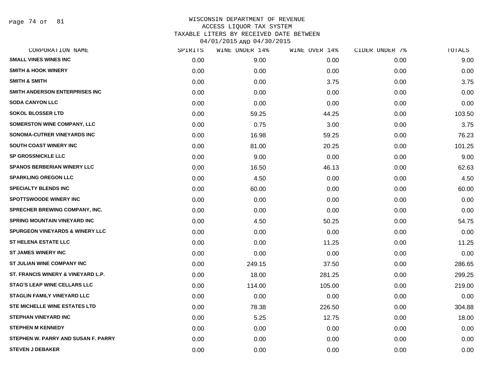Page 74 of 81

| CORPORATION NAME                           | SPIRITS | WINE UNDER 14% | WINE OVER 14% | CIDER UNDER 7% | TOTALS |
|--------------------------------------------|---------|----------------|---------------|----------------|--------|
| <b>SMALL VINES WINES INC</b>               | 0.00    | 9.00           | 0.00          | 0.00           | 9.00   |
| <b>SMITH &amp; HOOK WINERY</b>             | 0.00    | 0.00           | 0.00          | 0.00           | 0.00   |
| <b>SMITH &amp; SMITH</b>                   | 0.00    | 0.00           | 3.75          | 0.00           | 3.75   |
| SMITH ANDERSON ENTERPRISES INC             | 0.00    | 0.00           | 0.00          | 0.00           | 0.00   |
| <b>SODA CANYON LLC</b>                     | 0.00    | 0.00           | 0.00          | 0.00           | 0.00   |
| <b>SOKOL BLOSSER LTD</b>                   | 0.00    | 59.25          | 44.25         | 0.00           | 103.50 |
| <b>SOMERSTON WINE COMPANY, LLC</b>         | 0.00    | 0.75           | 3.00          | 0.00           | 3.75   |
| SONOMA-CUTRER VINEYARDS INC                | 0.00    | 16.98          | 59.25         | 0.00           | 76.23  |
| <b>SOUTH COAST WINERY INC</b>              | 0.00    | 81.00          | 20.25         | 0.00           | 101.25 |
| <b>SP GROSSNICKLE LLC</b>                  | 0.00    | 9.00           | 0.00          | 0.00           | 9.00   |
| <b>SPANOS BERBERIAN WINERY LLC</b>         | 0.00    | 16.50          | 46.13         | 0.00           | 62.63  |
| <b>SPARKLING OREGON LLC</b>                | 0.00    | 4.50           | 0.00          | 0.00           | 4.50   |
| <b>SPECIALTY BLENDS INC</b>                | 0.00    | 60.00          | 0.00          | 0.00           | 60.00  |
| <b>SPOTTSWOODE WINERY INC</b>              | 0.00    | 0.00           | 0.00          | 0.00           | 0.00   |
| <b>SPRECHER BREWING COMPANY, INC.</b>      | 0.00    | 0.00           | 0.00          | 0.00           | 0.00   |
| <b>SPRING MOUNTAIN VINEYARD INC</b>        | 0.00    | 4.50           | 50.25         | 0.00           | 54.75  |
| <b>SPURGEON VINEYARDS &amp; WINERY LLC</b> | 0.00    | 0.00           | 0.00          | 0.00           | 0.00   |
| ST HELENA ESTATE LLC                       | 0.00    | 0.00           | 11.25         | 0.00           | 11.25  |
| <b>ST JAMES WINERY INC</b>                 | 0.00    | 0.00           | 0.00          | 0.00           | 0.00   |
| <b>ST JULIAN WINE COMPANY INC</b>          | 0.00    | 249.15         | 37.50         | 0.00           | 286.65 |
| ST. FRANCIS WINERY & VINEYARD L.P.         | 0.00    | 18.00          | 281.25        | 0.00           | 299.25 |
| <b>STAG'S LEAP WINE CELLARS LLC</b>        | 0.00    | 114.00         | 105.00        | 0.00           | 219.00 |
| <b>STAGLIN FAMILY VINEYARD LLC</b>         | 0.00    | 0.00           | 0.00          | 0.00           | 0.00   |
| STE MICHELLE WINE ESTATES LTD              | 0.00    | 78.38          | 226.50        | 0.00           | 304.88 |
| <b>STEPHAN VINEYARD INC</b>                | 0.00    | 5.25           | 12.75         | 0.00           | 18.00  |
| <b>STEPHEN M KENNEDY</b>                   | 0.00    | 0.00           | 0.00          | 0.00           | 0.00   |
| STEPHEN W. PARRY AND SUSAN F. PARRY        | 0.00    | 0.00           | 0.00          | 0.00           | 0.00   |
| <b>STEVEN J DEBAKER</b>                    | 0.00    | 0.00           | 0.00          | 0.00           | 0.00   |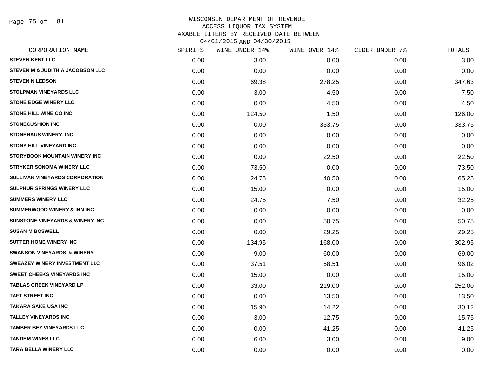Page 75 of 81

| SPIRITS | WINE UNDER 14% | WINE OVER 14% | CIDER UNDER 7% | TOTALS |
|---------|----------------|---------------|----------------|--------|
| 0.00    | 3.00           | 0.00          | 0.00           | 3.00   |
| 0.00    | 0.00           | 0.00          | 0.00           | 0.00   |
| 0.00    | 69.38          | 278.25        | 0.00           | 347.63 |
| 0.00    | 3.00           | 4.50          | 0.00           | 7.50   |
| 0.00    | 0.00           | 4.50          | 0.00           | 4.50   |
| 0.00    | 124.50         | 1.50          | 0.00           | 126.00 |
| 0.00    | 0.00           | 333.75        | 0.00           | 333.75 |
| 0.00    | 0.00           | 0.00          | 0.00           | 0.00   |
| 0.00    | 0.00           | 0.00          | 0.00           | 0.00   |
| 0.00    | 0.00           | 22.50         | 0.00           | 22.50  |
| 0.00    | 73.50          | 0.00          | 0.00           | 73.50  |
| 0.00    | 24.75          | 40.50         | 0.00           | 65.25  |
| 0.00    | 15.00          | 0.00          | 0.00           | 15.00  |
| 0.00    | 24.75          | 7.50          | 0.00           | 32.25  |
| 0.00    | 0.00           | 0.00          | 0.00           | 0.00   |
| 0.00    | 0.00           | 50.75         | 0.00           | 50.75  |
| 0.00    | 0.00           | 29.25         | 0.00           | 29.25  |
| 0.00    | 134.95         | 168.00        | 0.00           | 302.95 |
| 0.00    | 9.00           | 60.00         | 0.00           | 69.00  |
| 0.00    | 37.51          | 58.51         | 0.00           | 96.02  |
| 0.00    | 15.00          | 0.00          | 0.00           | 15.00  |
| 0.00    | 33.00          | 219.00        | 0.00           | 252.00 |
| 0.00    | 0.00           | 13.50         | 0.00           | 13.50  |
| 0.00    | 15.90          | 14.22         | 0.00           | 30.12  |
| 0.00    | 3.00           | 12.75         | 0.00           | 15.75  |
| 0.00    | 0.00           | 41.25         | 0.00           | 41.25  |
| 0.00    | 6.00           | 3.00          | 0.00           | 9.00   |
| 0.00    | 0.00           | 0.00          | 0.00           | 0.00   |
|         |                |               |                |        |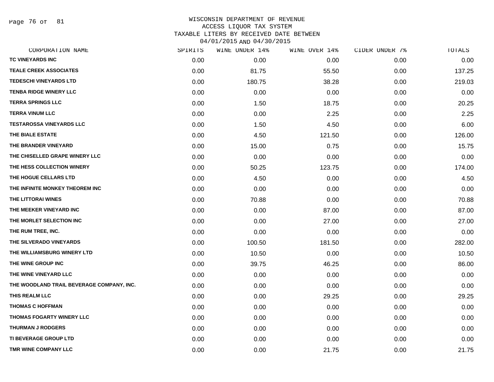Page 76 of 81

| CORPORATION NAME                          | SPIRITS | WINE UNDER 14% | WINE OVER 14% | CIDER UNDER 7% | TOTALS |
|-------------------------------------------|---------|----------------|---------------|----------------|--------|
| TC VINEYARDS INC                          | 0.00    | 0.00           | 0.00          | 0.00           | 0.00   |
| <b>TEALE CREEK ASSOCIATES</b>             | 0.00    | 81.75          | 55.50         | 0.00           | 137.25 |
| <b>TEDESCHI VINEYARDS LTD</b>             | 0.00    | 180.75         | 38.28         | 0.00           | 219.03 |
| <b>TENBA RIDGE WINERY LLC</b>             | 0.00    | 0.00           | 0.00          | 0.00           | 0.00   |
| <b>TERRA SPRINGS LLC</b>                  | 0.00    | 1.50           | 18.75         | 0.00           | 20.25  |
| <b>TERRA VINUM LLC</b>                    | 0.00    | 0.00           | 2.25          | 0.00           | 2.25   |
| <b>TESTAROSSA VINEYARDS LLC</b>           | 0.00    | 1.50           | 4.50          | 0.00           | 6.00   |
| THE BIALE ESTATE                          | 0.00    | 4.50           | 121.50        | 0.00           | 126.00 |
| THE BRANDER VINEYARD                      | 0.00    | 15.00          | 0.75          | 0.00           | 15.75  |
| THE CHISELLED GRAPE WINERY LLC            | 0.00    | 0.00           | 0.00          | 0.00           | 0.00   |
| THE HESS COLLECTION WINERY                | 0.00    | 50.25          | 123.75        | 0.00           | 174.00 |
| THE HOGUE CELLARS LTD                     | 0.00    | 4.50           | 0.00          | 0.00           | 4.50   |
| THE INFINITE MONKEY THEOREM INC           | 0.00    | 0.00           | 0.00          | 0.00           | 0.00   |
| THE LITTORAI WINES                        | 0.00    | 70.88          | 0.00          | 0.00           | 70.88  |
| THE MEEKER VINEYARD INC                   | 0.00    | 0.00           | 87.00         | 0.00           | 87.00  |
| THE MORLET SELECTION INC                  | 0.00    | 0.00           | 27.00         | 0.00           | 27.00  |
| THE RUM TREE, INC.                        | 0.00    | 0.00           | 0.00          | 0.00           | 0.00   |
| THE SILVERADO VINEYARDS                   | 0.00    | 100.50         | 181.50        | 0.00           | 282.00 |
| THE WILLIAMSBURG WINERY LTD               | 0.00    | 10.50          | 0.00          | 0.00           | 10.50  |
| THE WINE GROUP INC                        | 0.00    | 39.75          | 46.25         | 0.00           | 86.00  |
| THE WINE VINEYARD LLC                     | 0.00    | 0.00           | 0.00          | 0.00           | 0.00   |
| THE WOODLAND TRAIL BEVERAGE COMPANY, INC. | 0.00    | 0.00           | 0.00          | 0.00           | 0.00   |
| THIS REALM LLC                            | 0.00    | 0.00           | 29.25         | 0.00           | 29.25  |
| <b>THOMAS C HOFFMAN</b>                   | 0.00    | 0.00           | 0.00          | 0.00           | 0.00   |
| THOMAS FOGARTY WINERY LLC                 | 0.00    | 0.00           | 0.00          | 0.00           | 0.00   |
| <b>THURMAN J RODGERS</b>                  | 0.00    | 0.00           | 0.00          | 0.00           | 0.00   |
| <b>TI BEVERAGE GROUP LTD</b>              | 0.00    | 0.00           | 0.00          | 0.00           | 0.00   |
| TMR WINE COMPANY LLC                      | 0.00    | 0.00           | 21.75         | 0.00           | 21.75  |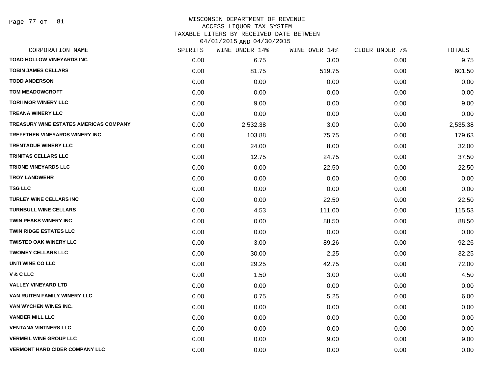Page 77 of 81

#### WISCONSIN DEPARTMENT OF REVENUE ACCESS LIQUOR TAX SYSTEM

TAXABLE LITERS BY RECEIVED DATE BETWEEN

04/01/2015 AND 04/30/2015

| CORPORATION NAME                              | SPIRITS | WINE UNDER 14% | WINE OVER 14% | CIDER UNDER 7% | TOTALS   |
|-----------------------------------------------|---------|----------------|---------------|----------------|----------|
| TOAD HOLLOW VINEYARDS INC                     | 0.00    | 6.75           | 3.00          | 0.00           | 9.75     |
| <b>TOBIN JAMES CELLARS</b>                    | 0.00    | 81.75          | 519.75        | 0.00           | 601.50   |
| <b>TODD ANDERSON</b>                          | 0.00    | 0.00           | 0.00          | 0.00           | 0.00     |
| <b>TOM MEADOWCROFT</b>                        | 0.00    | 0.00           | 0.00          | 0.00           | 0.00     |
| <b>TORII MOR WINERY LLC</b>                   | 0.00    | 9.00           | 0.00          | 0.00           | 9.00     |
| <b>TREANA WINERY LLC</b>                      | 0.00    | 0.00           | 0.00          | 0.00           | 0.00     |
| <b>TREASURY WINE ESTATES AMERICAS COMPANY</b> | 0.00    | 2,532.38       | 3.00          | 0.00           | 2,535.38 |
| <b>TREFETHEN VINEYARDS WINERY INC</b>         | 0.00    | 103.88         | 75.75         | 0.00           | 179.63   |
| <b>TRENTADUE WINERY LLC</b>                   | 0.00    | 24.00          | 8.00          | 0.00           | 32.00    |
| <b>TRINITAS CELLARS LLC</b>                   | 0.00    | 12.75          | 24.75         | 0.00           | 37.50    |
| <b>TRIONE VINEYARDS LLC</b>                   | 0.00    | 0.00           | 22.50         | 0.00           | 22.50    |
| <b>TROY LANDWEHR</b>                          | 0.00    | 0.00           | 0.00          | 0.00           | 0.00     |
| <b>TSG LLC</b>                                | 0.00    | 0.00           | 0.00          | 0.00           | 0.00     |
| <b>TURLEY WINE CELLARS INC</b>                | 0.00    | 0.00           | 22.50         | 0.00           | 22.50    |
| <b>TURNBULL WINE CELLARS</b>                  | 0.00    | 4.53           | 111.00        | 0.00           | 115.53   |
| TWIN PEAKS WINERY INC                         | 0.00    | 0.00           | 88.50         | 0.00           | 88.50    |
| <b>TWIN RIDGE ESTATES LLC</b>                 | 0.00    | 0.00           | 0.00          | 0.00           | 0.00     |
| <b>TWISTED OAK WINERY LLC</b>                 | 0.00    | 3.00           | 89.26         | 0.00           | 92.26    |
| <b>TWOMEY CELLARS LLC</b>                     | 0.00    | 30.00          | 2.25          | 0.00           | 32.25    |
| UNTI WINE CO LLC                              | 0.00    | 29.25          | 42.75         | 0.00           | 72.00    |
| V & C LLC                                     | 0.00    | 1.50           | 3.00          | 0.00           | 4.50     |
| <b>VALLEY VINEYARD LTD</b>                    | 0.00    | 0.00           | 0.00          | 0.00           | 0.00     |
| VAN RUITEN FAMILY WINERY LLC                  | 0.00    | 0.75           | 5.25          | 0.00           | 6.00     |
| VAN WYCHEN WINES INC.                         | 0.00    | 0.00           | 0.00          | 0.00           | 0.00     |
| <b>VANDER MILL LLC</b>                        | 0.00    | 0.00           | 0.00          | 0.00           | 0.00     |
| <b>VENTANA VINTNERS LLC</b>                   | 0.00    | 0.00           | 0.00          | 0.00           | 0.00     |
| <b>VERMEIL WINE GROUP LLC</b>                 | 0.00    | 0.00           | 9.00          | 0.00           | 9.00     |
| <b>VERMONT HARD CIDER COMPANY LLC</b>         | 0.00    | 0.00           | 0.00          | 0.00           | 0.00     |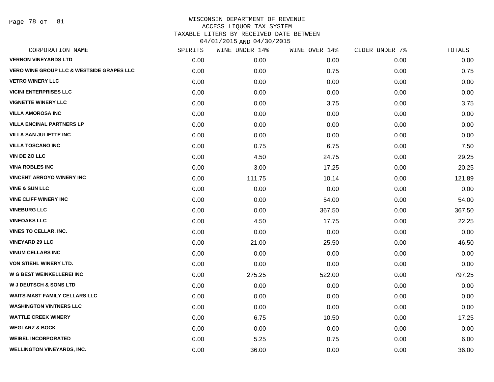Page 78 of 81

| CORPORATION NAME                                     | SPIRITS | WINE UNDER 14% | WINE OVER 14% | CIDER UNDER 7% | TOTALS |
|------------------------------------------------------|---------|----------------|---------------|----------------|--------|
| <b>VERNON VINEYARDS LTD</b>                          | 0.00    | 0.00           | 0.00          | 0.00           | 0.00   |
| <b>VERO WINE GROUP LLC &amp; WESTSIDE GRAPES LLC</b> | 0.00    | 0.00           | 0.75          | 0.00           | 0.75   |
| <b>VETRO WINERY LLC</b>                              | 0.00    | 0.00           | 0.00          | 0.00           | 0.00   |
| <b>VICINI ENTERPRISES LLC</b>                        | 0.00    | 0.00           | 0.00          | 0.00           | 0.00   |
| <b>VIGNETTE WINERY LLC</b>                           | 0.00    | 0.00           | 3.75          | 0.00           | 3.75   |
| <b>VILLA AMOROSA INC</b>                             | 0.00    | 0.00           | 0.00          | 0.00           | 0.00   |
| <b>VILLA ENCINAL PARTNERS LP</b>                     | 0.00    | 0.00           | 0.00          | 0.00           | 0.00   |
| <b>VILLA SAN JULIETTE INC</b>                        | 0.00    | 0.00           | 0.00          | 0.00           | 0.00   |
| <b>VILLA TOSCANO INC</b>                             | 0.00    | 0.75           | 6.75          | 0.00           | 7.50   |
| <b>VIN DE ZO LLC</b>                                 | 0.00    | 4.50           | 24.75         | 0.00           | 29.25  |
| <b>VINA ROBLES INC</b>                               | 0.00    | 3.00           | 17.25         | 0.00           | 20.25  |
| <b>VINCENT ARROYO WINERY INC</b>                     | 0.00    | 111.75         | 10.14         | 0.00           | 121.89 |
| <b>VINE &amp; SUN LLC</b>                            | 0.00    | 0.00           | 0.00          | 0.00           | 0.00   |
| <b>VINE CLIFF WINERY INC</b>                         | 0.00    | 0.00           | 54.00         | 0.00           | 54.00  |
| <b>VINEBURG LLC</b>                                  | 0.00    | 0.00           | 367.50        | 0.00           | 367.50 |
| <b>VINEOAKS LLC</b>                                  | 0.00    | 4.50           | 17.75         | 0.00           | 22.25  |
| <b>VINES TO CELLAR, INC.</b>                         | 0.00    | 0.00           | 0.00          | 0.00           | 0.00   |
| <b>VINEYARD 29 LLC</b>                               | 0.00    | 21.00          | 25.50         | 0.00           | 46.50  |
| <b>VINUM CELLARS INC</b>                             | 0.00    | 0.00           | 0.00          | 0.00           | 0.00   |
| VON STIEHL WINERY LTD.                               | 0.00    | 0.00           | 0.00          | 0.00           | 0.00   |
| <b>W G BEST WEINKELLEREI INC</b>                     | 0.00    | 275.25         | 522.00        | 0.00           | 797.25 |
| <b>W J DEUTSCH &amp; SONS LTD</b>                    | 0.00    | 0.00           | 0.00          | 0.00           | 0.00   |
| <b>WAITS-MAST FAMILY CELLARS LLC</b>                 | 0.00    | 0.00           | 0.00          | 0.00           | 0.00   |
| <b>WASHINGTON VINTNERS LLC</b>                       | 0.00    | 0.00           | 0.00          | 0.00           | 0.00   |
| <b>WATTLE CREEK WINERY</b>                           | 0.00    | 6.75           | 10.50         | 0.00           | 17.25  |
| <b>WEGLARZ &amp; BOCK</b>                            | 0.00    | 0.00           | 0.00          | 0.00           | 0.00   |
| <b>WEIBEL INCORPORATED</b>                           | 0.00    | 5.25           | 0.75          | 0.00           | 6.00   |
| <b>WELLINGTON VINEYARDS, INC.</b>                    | 0.00    | 36.00          | 0.00          | 0.00           | 36.00  |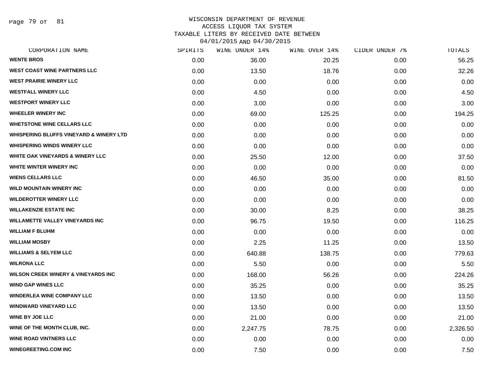Page 79 of 81

| CORPORATION NAME                                   | SPIRITS | WINE UNDER 14% | WINE OVER 14% | CIDER UNDER 7% | TOTALS   |
|----------------------------------------------------|---------|----------------|---------------|----------------|----------|
| <b>WENTE BROS</b>                                  | 0.00    | 36.00          | 20.25         | 0.00           | 56.25    |
| <b>WEST COAST WINE PARTNERS LLC</b>                | 0.00    | 13.50          | 18.76         | 0.00           | 32.26    |
| <b>WEST PRAIRIE WINERY LLC</b>                     | 0.00    | 0.00           | 0.00          | 0.00           | 0.00     |
| <b>WESTFALL WINERY LLC</b>                         | 0.00    | 4.50           | 0.00          | 0.00           | 4.50     |
| <b>WESTPORT WINERY LLC</b>                         | 0.00    | 3.00           | 0.00          | 0.00           | 3.00     |
| <b>WHEELER WINERY INC</b>                          | 0.00    | 69.00          | 125.25        | 0.00           | 194.25   |
| <b>WHETSTONE WINE CELLARS LLC</b>                  | 0.00    | 0.00           | 0.00          | 0.00           | 0.00     |
| <b>WHISPERING BLUFFS VINEYARD &amp; WINERY LTD</b> | 0.00    | 0.00           | 0.00          | 0.00           | 0.00     |
| <b>WHISPERING WINDS WINERY LLC</b>                 | 0.00    | 0.00           | 0.00          | 0.00           | 0.00     |
| <b>WHITE OAK VINEYARDS &amp; WINERY LLC</b>        | 0.00    | 25.50          | 12.00         | 0.00           | 37.50    |
| WHITE WINTER WINERY INC                            | 0.00    | 0.00           | 0.00          | 0.00           | 0.00     |
| <b>WIENS CELLARS LLC</b>                           | 0.00    | 46.50          | 35.00         | 0.00           | 81.50    |
| <b>WILD MOUNTAIN WINERY INC</b>                    | 0.00    | 0.00           | 0.00          | 0.00           | 0.00     |
| <b>WILDEROTTER WINERY LLC</b>                      | 0.00    | 0.00           | 0.00          | 0.00           | 0.00     |
| <b>WILLAKENZIE ESTATE INC</b>                      | 0.00    | 30.00          | 8.25          | 0.00           | 38.25    |
| <b>WILLAMETTE VALLEY VINEYARDS INC</b>             | 0.00    | 96.75          | 19.50         | 0.00           | 116.25   |
| <b>WILLIAM F BLUHM</b>                             | 0.00    | 0.00           | 0.00          | 0.00           | 0.00     |
| <b>WILLIAM MOSBY</b>                               | 0.00    | 2.25           | 11.25         | 0.00           | 13.50    |
| <b>WILLIAMS &amp; SELYEM LLC</b>                   | 0.00    | 640.88         | 138.75        | 0.00           | 779.63   |
| <b>WILRONA LLC</b>                                 | 0.00    | 5.50           | 0.00          | 0.00           | 5.50     |
| <b>WILSON CREEK WINERY &amp; VINEYARDS INC</b>     | 0.00    | 168.00         | 56.26         | 0.00           | 224.26   |
| <b>WIND GAP WINES LLC</b>                          | 0.00    | 35.25          | 0.00          | 0.00           | 35.25    |
| <b>WINDERLEA WINE COMPANY LLC</b>                  | 0.00    | 13.50          | 0.00          | 0.00           | 13.50    |
| <b>WINDWARD VINEYARD LLC</b>                       | 0.00    | 13.50          | 0.00          | 0.00           | 13.50    |
| <b>WINE BY JOE LLC</b>                             | 0.00    | 21.00          | 0.00          | 0.00           | 21.00    |
| WINE OF THE MONTH CLUB, INC.                       | 0.00    | 2,247.75       | 78.75         | 0.00           | 2,326.50 |
| <b>WINE ROAD VINTNERS LLC</b>                      | 0.00    | 0.00           | 0.00          | 0.00           | 0.00     |
| <b>WINEGREETING.COM INC</b>                        | 0.00    | 7.50           | 0.00          | 0.00           | 7.50     |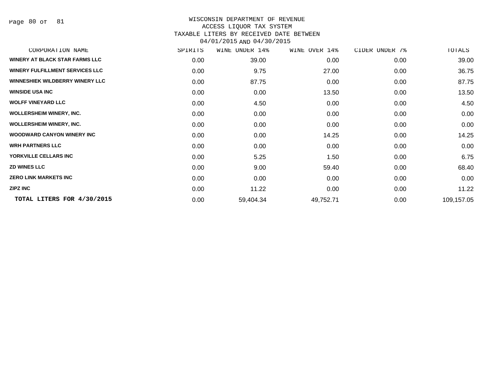Page 80 of 81

| CORPORATION NAME                       | SPIRITS | WINE UNDER 14% | WINE OVER 14% | CIDER UNDER 7% | TOTALS     |
|----------------------------------------|---------|----------------|---------------|----------------|------------|
| <b>WINERY AT BLACK STAR FARMS LLC</b>  | 0.00    | 39.00          | 0.00          | 0.00           | 39.00      |
| <b>WINERY FULFILLMENT SERVICES LLC</b> | 0.00    | 9.75           | 27.00         | 0.00           | 36.75      |
| <b>WINNESHIEK WILDBERRY WINERY LLC</b> | 0.00    | 87.75          | 0.00          | 0.00           | 87.75      |
| <b>WINSIDE USA INC</b>                 | 0.00    | 0.00           | 13.50         | 0.00           | 13.50      |
| <b>WOLFF VINEYARD LLC</b>              | 0.00    | 4.50           | 0.00          | 0.00           | 4.50       |
| <b>WOLLERSHEIM WINERY, INC.</b>        | 0.00    | 0.00           | 0.00          | 0.00           | 0.00       |
| <b>WOLLERSHEIM WINERY, INC.</b>        | 0.00    | 0.00           | 0.00          | 0.00           | 0.00       |
| <b>WOODWARD CANYON WINERY INC</b>      | 0.00    | 0.00           | 14.25         | 0.00           | 14.25      |
| <b>WRH PARTNERS LLC</b>                | 0.00    | 0.00           | 0.00          | 0.00           | 0.00       |
| YORKVILLE CELLARS INC                  | 0.00    | 5.25           | 1.50          | 0.00           | 6.75       |
| <b>ZD WINES LLC</b>                    | 0.00    | 9.00           | 59.40         | 0.00           | 68.40      |
| <b>ZERO LINK MARKETS INC</b>           | 0.00    | 0.00           | 0.00          | 0.00           | 0.00       |
| <b>ZIPZ INC</b>                        | 0.00    | 11.22          | 0.00          | 0.00           | 11.22      |
| TOTAL LITERS FOR 4/30/2015             | 0.00    | 59,404.34      | 49,752.71     | 0.00           | 109,157.05 |